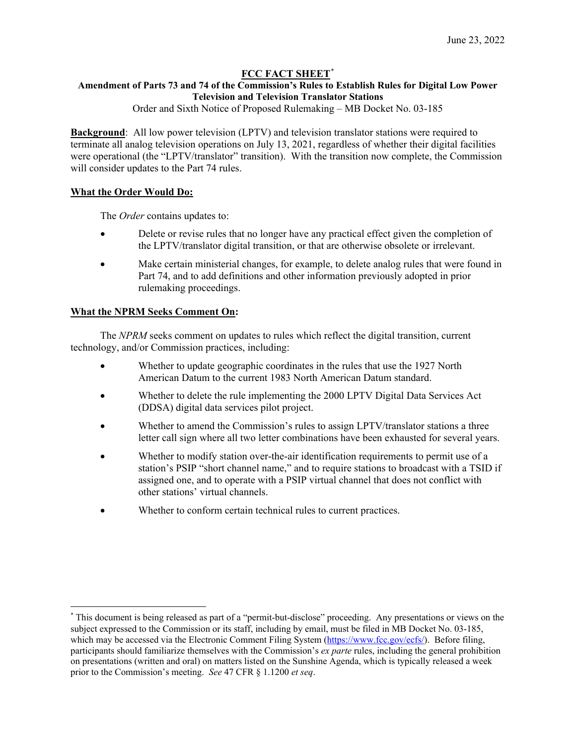# **FCC FACT SHEET**[\\*](#page-0-0)

# **Amendment of Parts 73 and 74 of the Commission's Rules to Establish Rules for Digital Low Power Television and Television Translator Stations**

Order and Sixth Notice of Proposed Rulemaking – MB Docket No. 03-185

**Background**: All low power television (LPTV) and television translator stations were required to terminate all analog television operations on July 13, 2021, regardless of whether their digital facilities were operational (the "LPTV/translator" transition). With the transition now complete, the Commission will consider updates to the Part 74 rules.

## **What the Order Would Do:**

The *Order* contains updates to:

- Delete or revise rules that no longer have any practical effect given the completion of the LPTV/translator digital transition, or that are otherwise obsolete or irrelevant.
- Make certain ministerial changes, for example, to delete analog rules that were found in Part 74, and to add definitions and other information previously adopted in prior rulemaking proceedings.

# **What the NPRM Seeks Comment On:**

The *NPRM* seeks comment on updates to rules which reflect the digital transition, current technology, and/or Commission practices, including:

- Whether to update geographic coordinates in the rules that use the 1927 North American Datum to the current 1983 North American Datum standard.
- Whether to delete the rule implementing the 2000 LPTV Digital Data Services Act (DDSA) digital data services pilot project.
- Whether to amend the Commission's rules to assign LPTV/translator stations a three letter call sign where all two letter combinations have been exhausted for several years.
- Whether to modify station over-the-air identification requirements to permit use of a station's PSIP "short channel name," and to require stations to broadcast with a TSID if assigned one, and to operate with a PSIP virtual channel that does not conflict with other stations' virtual channels.
- Whether to conform certain technical rules to current practices.

<span id="page-0-0"></span><sup>\*</sup> This document is being released as part of a "permit-but-disclose" proceeding. Any presentations or views on the subject expressed to the Commission or its staff, including by email, must be filed in MB Docket No. 03-185, which may be accessed via the Electronic Comment Filing System [\(https://www.fcc.gov/ecfs/\)](https://www.fcc.gov/ecfs/). Before filing, participants should familiarize themselves with the Commission's *ex parte* rules, including the general prohibition on presentations (written and oral) on matters listed on the Sunshine Agenda, which is typically released a week prior to the Commission's meeting. *See* 47 CFR § 1.1200 *et seq*.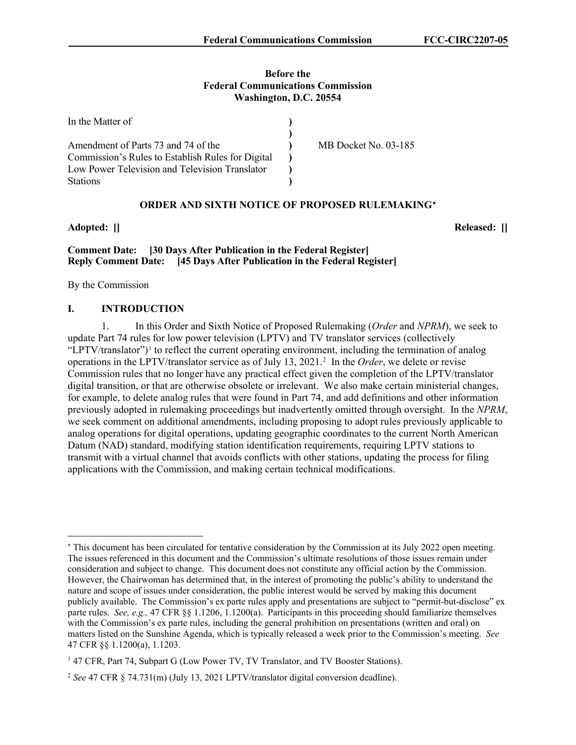## **Before the Federal Communications Commission Washington, D.C. 20554**

| In the Matter of                                  |                      |
|---------------------------------------------------|----------------------|
|                                                   |                      |
| Amendment of Parts 73 and 74 of the               | MB Docket No. 03-185 |
| Commission's Rules to Establish Rules for Digital |                      |
| Low Power Television and Television Translator    |                      |
| <b>Stations</b>                                   |                      |

## **ORDER AND SIXTH NOTICE OF PROPOSED RULEMAKING**[∗](#page-1-0)

# **Comment Date: [30 Days After Publication in the Federal Register] Reply Comment Date: [45 Days After Publication in the Federal Register]**

By the Commission

#### **I. INTRODUCTION**

1. In this Order and Sixth Notice of Proposed Rulemaking (*Order* and *NPRM*), we seek to update Part 74 rules for low power television (LPTV) and TV translator services (collectively "LPTV/translator")<sup>[1](#page-1-1)</sup> to reflect the current operating environment, including the termination of analog operations in the LPTV/translator service as of July 13, 2021.<sup>2</sup> In the *Order*, we delete or revise Commission rules that no longer have any practical effect given the completion of the LPTV/translator digital transition, or that are otherwise obsolete or irrelevant. We also make certain ministerial changes, for example, to delete analog rules that were found in Part 74, and add definitions and other information previously adopted in rulemaking proceedings but inadvertently omitted through oversight. In the *NPRM*, we seek comment on additional amendments, including proposing to adopt rules previously applicable to analog operations for digital operations, updating geographic coordinates to the current North American Datum (NAD) standard, modifying station identification requirements, requiring LPTV stations to transmit with a virtual channel that avoids conflicts with other stations, updating the process for filing applications with the Commission, and making certain technical modifications.

**Adopted: [] Released: []**

<span id="page-1-0"></span><sup>∗</sup> This document has been circulated for tentative consideration by the Commission at its July 2022 open meeting. The issues referenced in this document and the Commission's ultimate resolutions of those issues remain under consideration and subject to change. This document does not constitute any official action by the Commission. However, the Chairwoman has determined that, in the interest of promoting the public's ability to understand the nature and scope of issues under consideration, the public interest would be served by making this document publicly available. The Commission's ex parte rules apply and presentations are subject to "permit-but-disclose" ex parte rules. *See, e.g.,* 47 CFR §§ 1.1206, 1.1200(a). Participants in this proceeding should familiarize themselves with the Commission's ex parte rules, including the general prohibition on presentations (written and oral) on matters listed on the Sunshine Agenda, which is typically released a week prior to the Commission's meeting. *See* 47 CFR §§ 1.1200(a), 1.1203.

<span id="page-1-1"></span><sup>&</sup>lt;sup>1</sup> 47 CFR, Part 74, Subpart G (Low Power TV, TV Translator, and TV Booster Stations).

<span id="page-1-2"></span><sup>2</sup> *See* 47 CFR § 74.731(m) (July 13, 2021 LPTV/translator digital conversion deadline).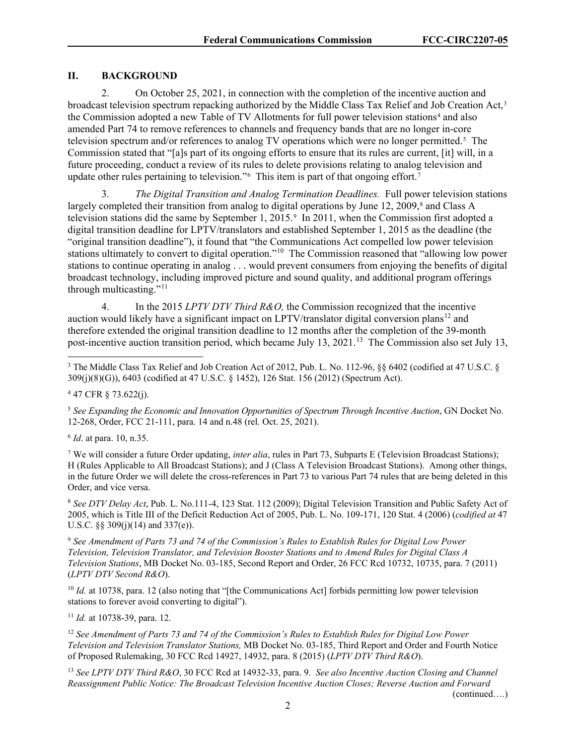# **II. BACKGROUND**

2. On October 25, 2021, in connection with the completion of the incentive auction and broadcast television spectrum repacking authorized by the Middle Class Tax Relief and Job Creation Act,[3](#page-2-0) the Commission adopted a new Table of TV Allotments for full power television stations<sup>[4](#page-2-1)</sup> and also amended Part 74 to remove references to channels and frequency bands that are no longer in-core television spectrum and/or references to analog TV operations which were no longer permitted.<sup>5</sup> The Commission stated that "[a]s part of its ongoing efforts to ensure that its rules are current, [it] will, in a future proceeding, conduct a review of its rules to delete provisions relating to analog television and update other rules pertaining to television."<sup>[6](#page-2-3)</sup> This item is part of that ongoing effort.<sup>[7](#page-2-4)</sup>

3. *The Digital Transition and Analog Termination Deadlines.* Full power television stations largely completed their transition from analog to digital operations by June 12, 2009, $\frac{8}{3}$  and Class A television stations did the same by September 1, 2015.[9](#page-2-6) In 2011, when the Commission first adopted a digital transition deadline for LPTV/translators and established September 1, 2015 as the deadline (the "original transition deadline"), it found that "the Communications Act compelled low power television stations ultimately to convert to digital operation."[10](#page-2-7) The Commission reasoned that "allowing low power stations to continue operating in analog . . . would prevent consumers from enjoying the benefits of digital broadcast technology, including improved picture and sound quality, and additional program offerings through multicasting."<sup>11</sup>

4. In the 2015 *LPTV DTV Third R&O,* the Commission recognized that the incentive auction would likely have a significant impact on LPTV/translator digital conversion plans<sup>[12](#page-2-9)</sup> and therefore extended the original transition deadline to 12 months after the completion of the 39-month post-incentive auction transition period, which became July 13, 2021.<sup>13</sup> The Commission also set July 13,

<span id="page-2-0"></span><sup>3</sup> The Middle Class Tax Relief and Job Creation Act of 2012, Pub. L. No. 112-96, §§ 6402 (codified at 47 U.S.C. § 309(j)(8)(G)), 6403 (codified at 47 U.S.C. § 1452), 126 Stat. 156 (2012) (Spectrum Act).

<span id="page-2-1"></span><sup>4</sup> 47 CFR § 73.622(j).

<span id="page-2-2"></span><sup>5</sup> *See Expanding the Economic and Innovation Opportunities of Spectrum Through Incentive Auction*, GN Docket No. 12-268, Order, FCC 21-111, para. 14 and n.48 (rel. Oct. 25, 2021).

<span id="page-2-3"></span><sup>6</sup> *Id*. at para. 10, n.35.

<span id="page-2-4"></span><sup>7</sup> We will consider a future Order updating, *inter alia*, rules in Part 73, Subparts E (Television Broadcast Stations); H (Rules Applicable to All Broadcast Stations); and J (Class A Television Broadcast Stations). Among other things, in the future Order we will delete the cross-references in Part 73 to various Part 74 rules that are being deleted in this Order, and vice versa.

<span id="page-2-5"></span><sup>8</sup> *See DTV Delay Act*, Pub. L. No.111-4, 123 Stat. 112 (2009); Digital Television Transition and Public Safety Act of 2005, which is Title III of the Deficit Reduction Act of 2005, Pub. L. No. 109-171, 120 Stat. 4 (2006) (*codified at* 47 U.S.C. §§ 309(j)(14) and 337(e)).

<span id="page-2-6"></span><sup>9</sup> *See Amendment of Parts 73 and 74 of the Commission's Rules to Establish Rules for Digital Low Power Television, Television Translator, and Television Booster Stations and to Amend Rules for Digital Class A Television Stations*, MB Docket No. 03-185, Second Report and Order, 26 FCC Rcd 10732, 10735, para. 7 (2011) (*LPTV DTV Second R&O*).

<span id="page-2-7"></span><sup>10</sup> *Id.* at 10738, para. 12 (also noting that "[the Communications Act] forbids permitting low power television stations to forever avoid converting to digital").

<span id="page-2-8"></span><sup>11</sup> *Id.* at 10738-39, para. 12.

<span id="page-2-9"></span><sup>12</sup> *See Amendment of Parts 73 and 74 of the Commission's Rules to Establish Rules for Digital Low Power Television and Television Translator Stations,* MB Docket No. 03-185, Third Report and Order and Fourth Notice of Proposed Rulemaking, 30 FCC Rcd 14927, 14932, para. 8 (2015) (*LPTV DTV Third R&O*).

<span id="page-2-10"></span><sup>13</sup> *See LPTV DTV Third R&O*, 30 FCC Rcd at 14932-33, para. 9. *See also Incentive Auction Closing and Channel Reassignment Public Notice: The Broadcast Television Incentive Auction Closes; Reverse Auction and Forward* 

(continued….)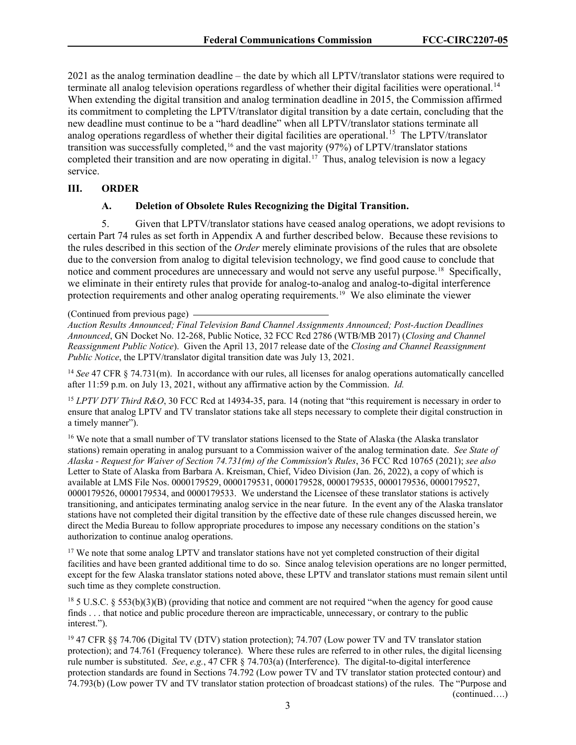2021 as the analog termination deadline – the date by which all LPTV/translator stations were required to terminate all analog television operations regardless of whether their digital facilities were operational.<sup>14</sup> When extending the digital transition and analog termination deadline in 2015, the Commission affirmed its commitment to completing the LPTV/translator digital transition by a date certain, concluding that the new deadline must continue to be a "hard deadline" when all LPTV/translator stations terminate all analog operations regardless of whether their digital facilities are operational.<sup>15</sup> The LPTV/translator transition was successfully completed, [16](#page-3-2) and the vast majority (97%) of LPTV/translator stations completed their transition and are now operating in digital. [17](#page-3-3) Thus, analog television is now a legacy service.

#### **III. ORDER**

#### **A. Deletion of Obsolete Rules Recognizing the Digital Transition.**

5. Given that LPTV/translator stations have ceased analog operations, we adopt revisions to certain Part 74 rules as set forth in Appendix A and further described below. Because these revisions to the rules described in this section of the *Order* merely eliminate provisions of the rules that are obsolete due to the conversion from analog to digital television technology, we find good cause to conclude that notice and comment procedures are unnecessary and would not serve any useful purpose.<sup>[18](#page-3-4)</sup> Specifically, we eliminate in their entirety rules that provide for analog-to-analog and analog-to-digital interference protection requirements and other analog operating requirements. [19](#page-3-5) We also eliminate the viewer

<span id="page-3-0"></span><sup>14</sup> *See* 47 CFR § 74.731(m). In accordance with our rules, all licenses for analog operations automatically cancelled after 11:59 p.m. on July 13, 2021, without any affirmative action by the Commission. *Id.*

<span id="page-3-1"></span><sup>15</sup> *LPTV DTV Third R&O*, 30 FCC Rcd at 14934-35, para. 14 (noting that "this requirement is necessary in order to ensure that analog LPTV and TV translator stations take all steps necessary to complete their digital construction in a timely manner").

<span id="page-3-2"></span><sup>16</sup> We note that a small number of TV translator stations licensed to the State of Alaska (the Alaska translator stations) remain operating in analog pursuant to a Commission waiver of the analog termination date. *See State of Alaska - Request for Waiver of Section 74.731(m) of the Commission's Rules*, 36 FCC Rcd 10765 (2021); *see also* Letter to State of Alaska from Barbara A. Kreisman, Chief, Video Division (Jan. 26, 2022), a copy of which is available at LMS File Nos. 0000179529, 0000179531, 0000179528, 0000179535, 0000179536, 0000179527, 0000179526, 0000179534, and 0000179533. We understand the Licensee of these translator stations is actively transitioning, and anticipates terminating analog service in the near future. In the event any of the Alaska translator stations have not completed their digital transition by the effective date of these rule changes discussed herein, we direct the Media Bureau to follow appropriate procedures to impose any necessary conditions on the station's authorization to continue analog operations.

<span id="page-3-3"></span><sup>17</sup> We note that some analog LPTV and translator stations have not yet completed construction of their digital facilities and have been granted additional time to do so. Since analog television operations are no longer permitted, except for the few Alaska translator stations noted above, these LPTV and translator stations must remain silent until such time as they complete construction.

<span id="page-3-4"></span><sup>18</sup> 5 U.S.C. § 553(b)(3)(B) (providing that notice and comment are not required "when the agency for good cause finds . . . that notice and public procedure thereon are impracticable, unnecessary, or contrary to the public interest.").

<span id="page-3-5"></span><sup>19</sup> 47 CFR §§ 74.706 (Digital TV (DTV) station protection); 74.707 (Low power TV and TV translator station protection); and 74.761 (Frequency tolerance). Where these rules are referred to in other rules, the digital licensing rule number is substituted. *See*, *e.g.*, 47 CFR § 74.703(a) (Interference). The digital-to-digital interference protection standards are found in Sections 74.792 (Low power TV and TV translator station protected contour) and 74.793(b) (Low power TV and TV translator station protection of broadcast stations) of the rules. The "Purpose and (continued….)

<sup>(</sup>Continued from previous page)

*Auction Results Announced; Final Television Band Channel Assignments Announced; Post-Auction Deadlines Announced*, GN Docket No. 12-268, Public Notice, 32 FCC Rcd 2786 (WTB/MB 2017) (*Closing and Channel Reassignment Public Notice*). Given the April 13, 2017 release date of the *Closing and Channel Reassignment Public Notice*, the LPTV/translator digital transition date was July 13, 2021.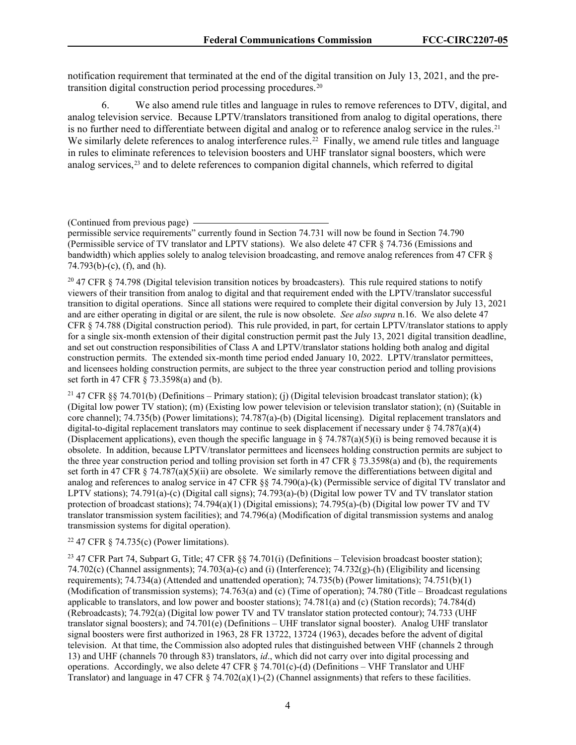notification requirement that terminated at the end of the digital transition on July 13, 2021, and the pretransition digital construction period processing procedures. [20](#page-4-0) 

6. We also amend rule titles and language in rules to remove references to DTV, digital, and analog television service. Because LPTV/translators transitioned from analog to digital operations, there is no further need to differentiate between digital and analog or to reference analog service in the rules.<sup>[21](#page-4-1)</sup> We similarly delete references to analog interference rules.<sup>22</sup> Finally, we amend rule titles and language in rules to eliminate references to television boosters and UHF translator signal boosters, which were analog services, [23](#page-4-3) and to delete references to companion digital channels, which referred to digital

<span id="page-4-0"></span><sup>20</sup> 47 CFR § 74.798 (Digital television transition notices by broadcasters). This rule required stations to notify viewers of their transition from analog to digital and that requirement ended with the LPTV/translator successful transition to digital operations. Since all stations were required to complete their digital conversion by July 13, 2021 and are either operating in digital or are silent, the rule is now obsolete. *See also supra* n.16. We also delete 47 CFR § 74.788 (Digital construction period). This rule provided, in part, for certain LPTV/translator stations to apply for a single six-month extension of their digital construction permit past the July 13, 2021 digital transition deadline, and set out construction responsibilities of Class A and LPTV/translator stations holding both analog and digital construction permits. The extended six-month time period ended January 10, 2022. LPTV/translator permittees, and licensees holding construction permits, are subject to the three year construction period and tolling provisions set forth in 47 CFR § 73.3598(a) and (b).

<span id="page-4-1"></span><sup>21</sup> 47 CFR §§ 74.701(b) (Definitions – Primary station); (j) (Digital television broadcast translator station); (k) (Digital low power TV station); (m) (Existing low power television or television translator station); (n) (Suitable in core channel); 74.735(b) (Power limitations); 74.787(a)-(b) (Digital licensing). Digital replacement translators and digital-to-digital replacement translators may continue to seek displacement if necessary under § 74.787(a)(4) (Displacement applications), even though the specific language in  $\S$  74.787(a)(5)(i) is being removed because it is obsolete. In addition, because LPTV/translator permittees and licensees holding construction permits are subject to the three year construction period and tolling provision set forth in 47 CFR  $\S$  73.3598(a) and (b), the requirements set forth in 47 CFR  $\S$  74.787(a)(5)(ii) are obsolete. We similarly remove the differentiations between digital and analog and references to analog service in 47 CFR §§ 74.790(a)-(k) (Permissible service of digital TV translator and LPTV stations); 74.791(a)-(c) (Digital call signs); 74.793(a)-(b) (Digital low power TV and TV translator station protection of broadcast stations); 74.794(a)(1) (Digital emissions); 74.795(a)-(b) (Digital low power TV and TV translator transmission system facilities); and 74.796(a) (Modification of digital transmission systems and analog transmission systems for digital operation).

## <span id="page-4-2"></span><sup>22</sup> 47 CFR  $\S$  74.735(c) (Power limitations).

<span id="page-4-3"></span><sup>23</sup> 47 CFR Part 74, Subpart G, Title; 47 CFR §§ 74.701(i) (Definitions – Television broadcast booster station); 74.702(c) (Channel assignments); 74.703(a)-(c) and (i) (Interference); 74.732(g)-(h) (Eligibility and licensing requirements); 74.734(a) (Attended and unattended operation); 74.735(b) (Power limitations); 74.751(b)(1) (Modification of transmission systems); 74.763(a) and (c) (Time of operation); 74.780 (Title – Broadcast regulations applicable to translators, and low power and booster stations); 74.781(a) and (c) (Station records); 74.784(d) (Rebroadcasts); 74.792(a) (Digital low power TV and TV translator station protected contour); 74.733 (UHF translator signal boosters); and 74.701(e) (Definitions – UHF translator signal booster). Analog UHF translator signal boosters were first authorized in 1963, 28 FR 13722, 13724 (1963), decades before the advent of digital television. At that time, the Commission also adopted rules that distinguished between VHF (channels 2 through 13) and UHF (channels 70 through 83) translators, *id*., which did not carry over into digital processing and operations. Accordingly, we also delete 47 CFR § 74.701(c)-(d) (Definitions – VHF Translator and UHF Translator) and language in 47 CFR  $\S$  74.702(a)(1)-(2) (Channel assignments) that refers to these facilities.

<sup>(</sup>Continued from previous page)

permissible service requirements" currently found in Section 74.731 will now be found in Section 74.790 (Permissible service of TV translator and LPTV stations). We also delete 47 CFR § 74.736 (Emissions and bandwidth) which applies solely to analog television broadcasting, and remove analog references from 47 CFR §  $74.793(b)-(c)$ , (f), and (h).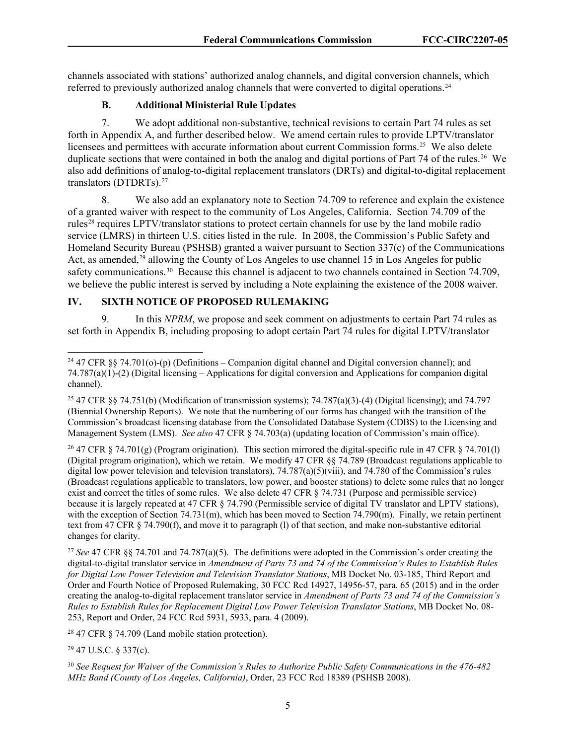channels associated with stations' authorized analog channels, and digital conversion channels, which referred to previously authorized analog channels that were converted to digital operations.<sup>24</sup>

## **B. Additional Ministerial Rule Updates**

7. We adopt additional non-substantive, technical revisions to certain Part 74 rules as set forth in Appendix A, and further described below. We amend certain rules to provide LPTV/translator licensees and permittees with accurate information about current Commission forms.<sup>25</sup> We also delete duplicate sections that were contained in both the analog and digital portions of Part 74 of the rules. [26](#page-5-2) We also add definitions of analog-to-digital replacement translators (DRTs) and digital-to-digital replacement translators (DTDRTs).[27](#page-5-3) 

8. We also add an explanatory note to Section 74.709 to reference and explain the existence of a granted waiver with respect to the community of Los Angeles, California. Section 74.709 of the rules[28](#page-5-4) requires LPTV/translator stations to protect certain channels for use by the land mobile radio service (LMRS) in thirteen U.S. cities listed in the rule. In 2008, the Commission's Public Safety and Homeland Security Bureau (PSHSB) granted a waiver pursuant to Section 337(c) of the Communications Act, as amended,<sup>[29](#page-5-5)</sup> allowing the County of Los Angeles to use channel 15 in Los Angeles for public safety communications.<sup>[30](#page-5-6)</sup> Because this channel is adjacent to two channels contained in Section 74.709, we believe the public interest is served by including a Note explaining the existence of the 2008 waiver.

## **IV. SIXTH NOTICE OF PROPOSED RULEMAKING**

9. In this *NPRM*, we propose and seek comment on adjustments to certain Part 74 rules as set forth in Appendix B, including proposing to adopt certain Part 74 rules for digital LPTV/translator

<span id="page-5-2"></span><sup>26</sup> 47 CFR § 74.701(g) (Program origination). This section mirrored the digital-specific rule in 47 CFR § 74.701(l) (Digital program origination), which we retain. We modify 47 CFR §§ 74.789 (Broadcast regulations applicable to digital low power television and television translators), 74.787(a)(5)(viii), and 74.780 of the Commission's rules (Broadcast regulations applicable to translators, low power, and booster stations) to delete some rules that no longer exist and correct the titles of some rules. We also delete 47 CFR § 74.731 (Purpose and permissible service) because it is largely repeated at 47 CFR § 74.790 (Permissible service of digital TV translator and LPTV stations), with the exception of Section 74.731(m), which has been moved to Section 74.790(m). Finally, we retain pertinent text from 47 CFR § 74.790(f), and move it to paragraph (l) of that section, and make non-substantive editorial changes for clarity.

<span id="page-5-3"></span><sup>27</sup> *See* 47 CFR §§ 74.701 and 74.787(a)(5). The definitions were adopted in the Commission's order creating the digital-to-digital translator service in *Amendment of Parts 73 and 74 of the Commission's Rules to Establish Rules for Digital Low Power Television and Television Translator Stations*, MB Docket No. 03-185, Third Report and Order and Fourth Notice of Proposed Rulemaking, 30 FCC Rcd 14927, 14956-57, para. 65 (2015) and in the order creating the analog-to-digital replacement translator service in *Amendment of Parts 73 and 74 of the Commission's Rules to Establish Rules for Replacement Digital Low Power Television Translator Stations*, MB Docket No. 08- 253, Report and Order, 24 FCC Rcd 5931, 5933, para. 4 (2009).

<span id="page-5-4"></span><sup>28</sup> 47 CFR § 74.709 (Land mobile station protection).

<span id="page-5-5"></span> $29$  47 U.S.C. § 337(c).

<span id="page-5-0"></span><sup>&</sup>lt;sup>24</sup> 47 CFR §§ 74.701(o)-(p) (Definitions – Companion digital channel and Digital conversion channel); and 74.787(a)(1)-(2) (Digital licensing – Applications for digital conversion and Applications for companion digital channel).

<span id="page-5-1"></span><sup>&</sup>lt;sup>25</sup> 47 CFR §§ 74.751(b) (Modification of transmission systems); 74.787(a)(3)-(4) (Digital licensing); and 74.797 (Biennial Ownership Reports). We note that the numbering of our forms has changed with the transition of the Commission's broadcast licensing database from the Consolidated Database System (CDBS) to the Licensing and Management System (LMS). *See also* 47 CFR § 74.703(a) (updating location of Commission's main office).

<span id="page-5-6"></span><sup>30</sup> *See Request for Waiver of the Commission's Rules to Authorize Public Safety Communications in the 476-482 MHz Band (County of Los Angeles, California)*, Order, 23 FCC Rcd 18389 (PSHSB 2008).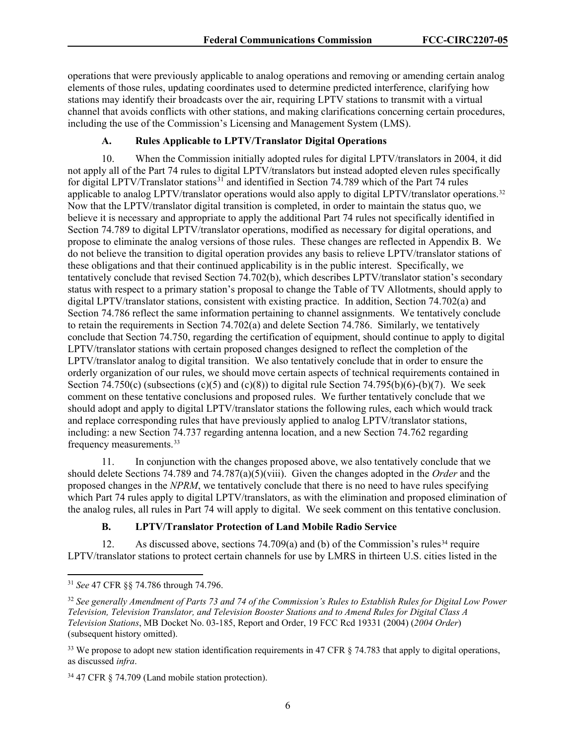operations that were previously applicable to analog operations and removing or amending certain analog elements of those rules, updating coordinates used to determine predicted interference, clarifying how stations may identify their broadcasts over the air, requiring LPTV stations to transmit with a virtual channel that avoids conflicts with other stations, and making clarifications concerning certain procedures, including the use of the Commission's Licensing and Management System (LMS).

## **A. Rules Applicable to LPTV/Translator Digital Operations**

10. When the Commission initially adopted rules for digital LPTV/translators in 2004, it did not apply all of the Part 74 rules to digital LPTV/translators but instead adopted eleven rules specifically for digital LPTV/Translator stations<sup>[31](#page-6-0)</sup> and identified in Section 74.789 which of the Part 74 rules applicable to analog LPTV/translator operations would also apply to digital LPTV/translator operations.<sup>[32](#page-6-1)</sup> Now that the LPTV/translator digital transition is completed, in order to maintain the status quo, we believe it is necessary and appropriate to apply the additional Part 74 rules not specifically identified in Section 74.789 to digital LPTV/translator operations, modified as necessary for digital operations, and propose to eliminate the analog versions of those rules. These changes are reflected in Appendix B. We do not believe the transition to digital operation provides any basis to relieve LPTV/translator stations of these obligations and that their continued applicability is in the public interest. Specifically, we tentatively conclude that revised Section 74.702(b), which describes LPTV/translator station's secondary status with respect to a primary station's proposal to change the Table of TV Allotments, should apply to digital LPTV/translator stations, consistent with existing practice. In addition, Section 74.702(a) and Section 74.786 reflect the same information pertaining to channel assignments. We tentatively conclude to retain the requirements in Section 74.702(a) and delete Section 74.786. Similarly, we tentatively conclude that Section 74.750, regarding the certification of equipment, should continue to apply to digital LPTV/translator stations with certain proposed changes designed to reflect the completion of the LPTV/translator analog to digital transition. We also tentatively conclude that in order to ensure the orderly organization of our rules, we should move certain aspects of technical requirements contained in Section 74.750(c) (subsections (c)(5) and (c)(8)) to digital rule Section 74.795(b)(6)-(b)(7). We seek comment on these tentative conclusions and proposed rules. We further tentatively conclude that we should adopt and apply to digital LPTV/translator stations the following rules, each which would track and replace corresponding rules that have previously applied to analog LPTV/translator stations, including: a new Section 74.737 regarding antenna location, and a new Section 74.762 regarding frequency measurements.[33](#page-6-2)

11. In conjunction with the changes proposed above, we also tentatively conclude that we should delete Sections 74.789 and 74.787(a)(5)(viii). Given the changes adopted in the *Order* and the proposed changes in the *NPRM*, we tentatively conclude that there is no need to have rules specifying which Part 74 rules apply to digital LPTV/translators, as with the elimination and proposed elimination of the analog rules, all rules in Part 74 will apply to digital. We seek comment on this tentative conclusion.

## **B. LPTV/Translator Protection of Land Mobile Radio Service**

12. As discussed above, sections  $74.709(a)$  and (b) of the Commission's rules<sup>[34](#page-6-3)</sup> require LPTV/translator stations to protect certain channels for use by LMRS in thirteen U.S. cities listed in the

<span id="page-6-0"></span><sup>31</sup> *See* 47 CFR §§ 74.786 through 74.796.

<span id="page-6-1"></span><sup>32</sup> *See generally Amendment of Parts 73 and 74 of the Commission's Rules to Establish Rules for Digital Low Power Television, Television Translator, and Television Booster Stations and to Amend Rules for Digital Class A Television Stations*, MB Docket No. 03-185, Report and Order, 19 FCC Rcd 19331 (2004) (*2004 Order*) (subsequent history omitted).

<span id="page-6-2"></span><sup>&</sup>lt;sup>33</sup> We propose to adopt new station identification requirements in 47 CFR  $\S$  74.783 that apply to digital operations, as discussed *infra*.

<span id="page-6-3"></span><sup>34</sup> 47 CFR § 74.709 (Land mobile station protection).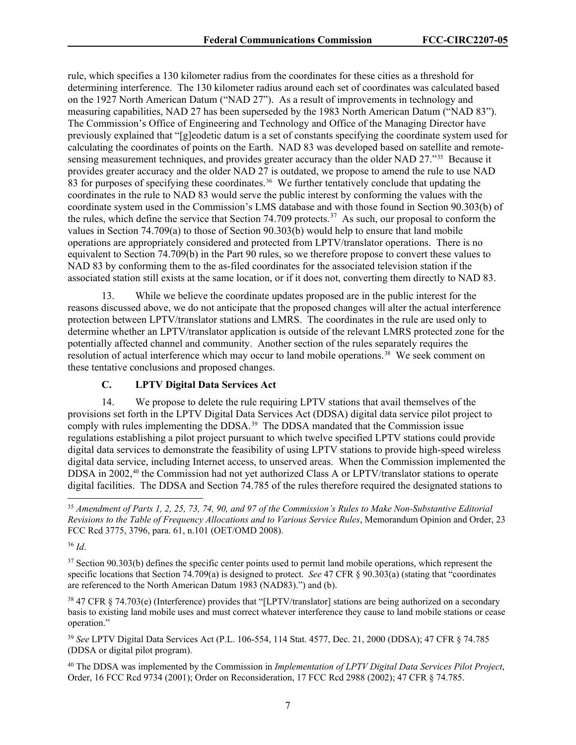rule, which specifies a 130 kilometer radius from the coordinates for these cities as a threshold for determining interference. The 130 kilometer radius around each set of coordinates was calculated based on the 1927 North American Datum ("NAD 27"). As a result of improvements in technology and measuring capabilities, NAD 27 has been superseded by the 1983 North American Datum ("NAD 83"). The Commission's Office of Engineering and Technology and Office of the Managing Director have previously explained that "[g]eodetic datum is a set of constants specifying the coordinate system used for calculating the coordinates of points on the Earth. NAD 83 was developed based on satellite and remotesensing measurement techniques, and provides greater accuracy than the older NAD 27."[35](#page-7-0) Because it provides greater accuracy and the older NAD 27 is outdated, we propose to amend the rule to use NAD 83 for purposes of specifying these coordinates.<sup>[36](#page-7-1)</sup> We further tentatively conclude that updating the coordinates in the rule to NAD 83 would serve the public interest by conforming the values with the coordinate system used in the Commission's LMS database and with those found in Section 90.303(b) of the rules, which define the service that Section 74.709 protects.<sup>[37](#page-7-2)</sup> As such, our proposal to conform the values in Section 74.709(a) to those of Section 90.303(b) would help to ensure that land mobile operations are appropriately considered and protected from LPTV/translator operations. There is no equivalent to Section 74.709(b) in the Part 90 rules, so we therefore propose to convert these values to NAD 83 by conforming them to the as-filed coordinates for the associated television station if the associated station still exists at the same location, or if it does not, converting them directly to NAD 83.

While we believe the coordinate updates proposed are in the public interest for the reasons discussed above, we do not anticipate that the proposed changes will alter the actual interference protection between LPTV/translator stations and LMRS. The coordinates in the rule are used only to determine whether an LPTV/translator application is outside of the relevant LMRS protected zone for the potentially affected channel and community. Another section of the rules separately requires the resolution of actual interference which may occur to land mobile operations.[38](#page-7-3) We seek comment on these tentative conclusions and proposed changes.

# **C. LPTV Digital Data Services Act**

14. We propose to delete the rule requiring LPTV stations that avail themselves of the provisions set forth in the LPTV Digital Data Services Act (DDSA) digital data service pilot project to comply with rules implementing the DDSA.<sup>39</sup> The DDSA mandated that the Commission issue regulations establishing a pilot project pursuant to which twelve specified LPTV stations could provide digital data services to demonstrate the feasibility of using LPTV stations to provide high-speed wireless digital data service, including Internet access, to unserved areas. When the Commission implemented the DDSA in 2002, [40](#page-7-5) the Commission had not yet authorized Class A or LPTV/translator stations to operate digital facilities. The DDSA and Section 74.785 of the rules therefore required the designated stations to

<span id="page-7-1"></span><sup>36</sup> *Id*.

<span id="page-7-3"></span><sup>38</sup> 47 CFR § 74.703(e) (Interference) provides that "[LPTV/translator] stations are being authorized on a secondary basis to existing land mobile uses and must correct whatever interference they cause to land mobile stations or cease operation."

<span id="page-7-4"></span><sup>39</sup> *See* LPTV Digital Data Services Act (P.L. 106-554, 114 Stat. 4577, Dec. 21, 2000 (DDSA); 47 CFR § 74.785 (DDSA or digital pilot program).

<span id="page-7-5"></span><sup>40</sup> The DDSA was implemented by the Commission in *Implementation of LPTV Digital Data Services Pilot Project*, Order, 16 FCC Rcd 9734 (2001); Order on Reconsideration, 17 FCC Rcd 2988 (2002); 47 CFR § 74.785.

<span id="page-7-0"></span><sup>35</sup> *Amendment of Parts 1, 2, 25, 73, 74, 90, and 97 of the Commission's Rules to Make Non-Substantive Editorial Revisions to the Table of Frequency Allocations and to Various Service Rules*, Memorandum Opinion and Order, 23 FCC Rcd 3775, 3796, para. 61, n.101 (OET/OMD 2008).

<span id="page-7-2"></span><sup>&</sup>lt;sup>37</sup> Section 90.303(b) defines the specific center points used to permit land mobile operations, which represent the specific locations that Section 74.709(a) is designed to protect. *See* 47 CFR § 90.303(a) (stating that "coordinates are referenced to the North American Datum 1983 (NAD83).") and (b).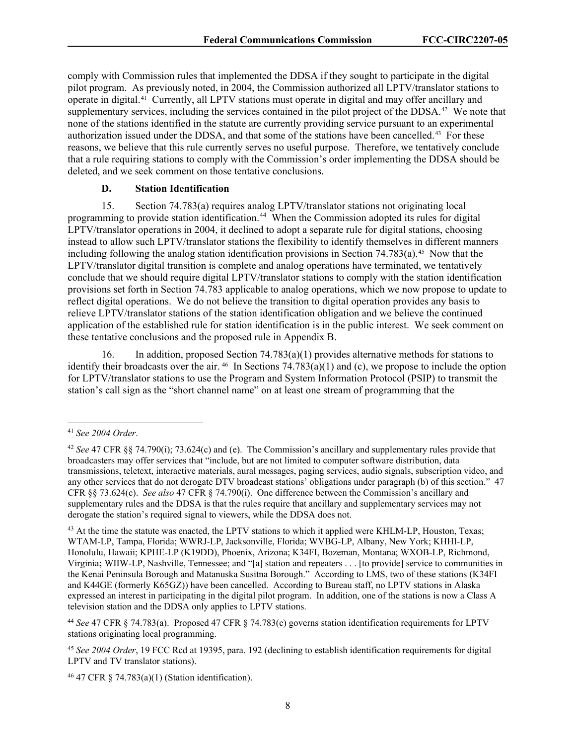comply with Commission rules that implemented the DDSA if they sought to participate in the digital pilot program. As previously noted, in 2004, the Commission authorized all LPTV/translator stations to operate in digital.[41](#page-8-0) Currently, all LPTV stations must operate in digital and may offer ancillary and supplementary services, including the services contained in the pilot project of the DDSA.<sup>[42](#page-8-1)</sup> We note that none of the stations identified in the statute are currently providing service pursuant to an experimental authorization issued under the DDSA, and that some of the stations have been cancelled.[43](#page-8-2) For these reasons, we believe that this rule currently serves no useful purpose. Therefore, we tentatively conclude that a rule requiring stations to comply with the Commission's order implementing the DDSA should be deleted, and we seek comment on those tentative conclusions.

#### **D. Station Identification**

15. Section 74.783(a) requires analog LPTV/translator stations not originating local programming to provide station identification.<sup>[44](#page-8-3)</sup> When the Commission adopted its rules for digital LPTV/translator operations in 2004, it declined to adopt a separate rule for digital stations, choosing instead to allow such LPTV/translator stations the flexibility to identify themselves in different manners including following the analog station identification provisions in Section  $74.783(a)$ .<sup>[45](#page-8-4)</sup> Now that the LPTV/translator digital transition is complete and analog operations have terminated, we tentatively conclude that we should require digital LPTV/translator stations to comply with the station identification provisions set forth in Section 74.783 applicable to analog operations, which we now propose to update to reflect digital operations. We do not believe the transition to digital operation provides any basis to relieve LPTV/translator stations of the station identification obligation and we believe the continued application of the established rule for station identification is in the public interest. We seek comment on these tentative conclusions and the proposed rule in Appendix B.

16. In addition, proposed Section 74.783(a)(1) provides alternative methods for stations to identify their broadcasts over the air.  $46$  In Sections 74.783(a)(1) and (c), we propose to include the option for LPTV/translator stations to use the Program and System Information Protocol (PSIP) to transmit the station's call sign as the "short channel name" on at least one stream of programming that the

<span id="page-8-0"></span><sup>41</sup> *See 2004 Order*.

<span id="page-8-1"></span><sup>42</sup> *See* 47 CFR §§ 74.790(i); 73.624(c) and (e). The Commission's ancillary and supplementary rules provide that broadcasters may offer services that "include, but are not limited to computer software distribution, data transmissions, teletext, interactive materials, aural messages, paging services, audio signals, subscription video, and any other services that do not derogate DTV broadcast stations' obligations under paragraph (b) of this section." 47 CFR §§ 73.624(c). *See also* 47 CFR § 74.790(i). One difference between the Commission's ancillary and supplementary rules and the DDSA is that the rules require that ancillary and supplementary services may not derogate the station's required signal to viewers, while the DDSA does not.

<span id="page-8-2"></span><sup>&</sup>lt;sup>43</sup> At the time the statute was enacted, the LPTV stations to which it applied were KHLM-LP, Houston, Texas; WTAM-LP, Tampa, Florida; WWRJ-LP, Jacksonville, Florida; WVBG-LP, Albany, New York; KHHI-LP, Honolulu, Hawaii; KPHE-LP (K19DD), Phoenix, Arizona; K34FI, Bozeman, Montana; WXOB-LP, Richmond, Virginia**;** WIIW-LP, Nashville, Tennessee; and "[a] station and repeaters . . . [to provide] service to communities in the Kenai Peninsula Borough and Matanuska Susitna Borough." According to LMS, two of these stations (K34FI and K44GE (formerly K65GZ)) have been cancelled. According to Bureau staff, no LPTV stations in Alaska expressed an interest in participating in the digital pilot program. In addition, one of the stations is now a Class A television station and the DDSA only applies to LPTV stations.

<span id="page-8-3"></span><sup>44</sup> *See* 47 CFR § 74.783(a). Proposed 47 CFR § 74.783(c) governs station identification requirements for LPTV stations originating local programming.

<span id="page-8-4"></span><sup>45</sup> *See 2004 Order*, 19 FCC Rcd at 19395, para. 192 (declining to establish identification requirements for digital LPTV and TV translator stations).

<span id="page-8-5"></span><sup>46</sup> 47 CFR § 74.783(a)(1) (Station identification).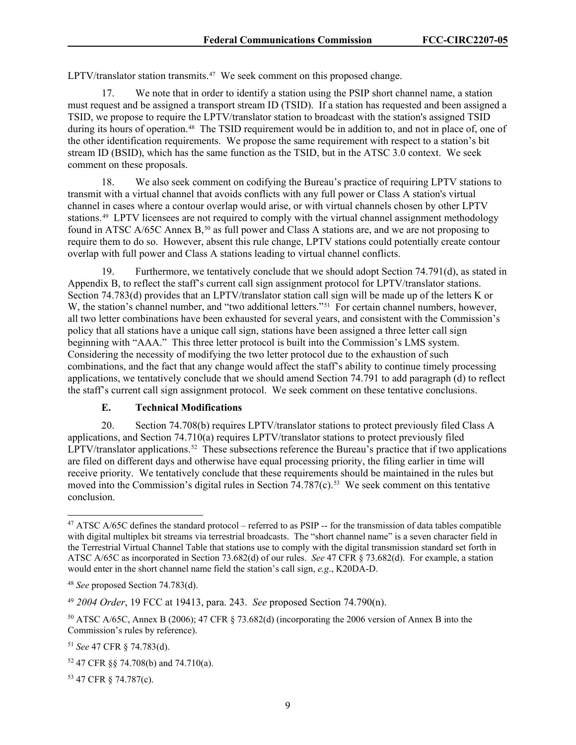$LPTV/translator$  station transmits.<sup>[47](#page-9-0)</sup> We seek comment on this proposed change.

17. We note that in order to identify a station using the PSIP short channel name, a station must request and be assigned a transport stream ID (TSID). If a station has requested and been assigned a TSID, we propose to require the LPTV/translator station to broadcast with the station's assigned TSID during its hours of operation.<sup>48</sup> The TSID requirement would be in addition to, and not in place of, one of the other identification requirements. We propose the same requirement with respect to a station's bit stream ID (BSID), which has the same function as the TSID, but in the ATSC 3.0 context. We seek comment on these proposals.

18. We also seek comment on codifying the Bureau's practice of requiring LPTV stations to transmit with a virtual channel that avoids conflicts with any full power or Class A station's virtual channel in cases where a contour overlap would arise, or with virtual channels chosen by other LPTV stations. [49](#page-9-2) LPTV licensees are not required to comply with the virtual channel assignment methodology found in ATSC A/65C Annex B,<sup>[50](#page-9-3)</sup> as full power and Class A stations are, and we are not proposing to require them to do so. However, absent this rule change, LPTV stations could potentially create contour overlap with full power and Class A stations leading to virtual channel conflicts.

19. Furthermore, we tentatively conclude that we should adopt Section 74.791(d), as stated in Appendix B, to reflect the staff's current call sign assignment protocol for LPTV/translator stations. Section 74.783(d) provides that an LPTV/translator station call sign will be made up of the letters K or W, the station's channel number, and "two additional letters."<sup>[51](#page-9-4)</sup> For certain channel numbers, however, all two letter combinations have been exhausted for several years, and consistent with the Commission's policy that all stations have a unique call sign, stations have been assigned a three letter call sign beginning with "AAA." This three letter protocol is built into the Commission's LMS system. Considering the necessity of modifying the two letter protocol due to the exhaustion of such combinations, and the fact that any change would affect the staff's ability to continue timely processing applications, we tentatively conclude that we should amend Section 74.791 to add paragraph (d) to reflect the staff's current call sign assignment protocol. We seek comment on these tentative conclusions.

#### **E. Technical Modifications**

20. Section 74.708(b) requires LPTV/translator stations to protect previously filed Class A applications, and Section 74.710(a) requires LPTV/translator stations to protect previously filed LPTV/translator applications.<sup>52</sup> These subsections reference the Bureau's practice that if two applications are filed on different days and otherwise have equal processing priority, the filing earlier in time will receive priority. We tentatively conclude that these requirements should be maintained in the rules but moved into the Commission's digital rules in Section 74.787(c).<sup>[53](#page-9-6)</sup> We seek comment on this tentative conclusion.

<span id="page-9-6"></span><sup>53</sup> 47 CFR § 74.787(c).

<span id="page-9-0"></span><sup>&</sup>lt;sup>47</sup> ATSC  $A/65C$  defines the standard protocol – referred to as PSIP -- for the transmission of data tables compatible with digital multiplex bit streams via terrestrial broadcasts. The "short channel name" is a seven character field in the Terrestrial Virtual Channel Table that stations use to comply with the digital transmission standard set forth in ATSC A/65C as incorporated in Section 73.682(d) of our rules. *See* 47 CFR § 73.682(d). For example, a station would enter in the short channel name field the station's call sign, *e.g*., K20DA-D.

<span id="page-9-1"></span><sup>48</sup> *See* proposed Section 74.783(d).

<span id="page-9-2"></span><sup>49</sup> *2004 Order*, 19 FCC at 19413, para. 243. *See* proposed Section 74.790(n).

<span id="page-9-3"></span><sup>50</sup> ATSC A/65C, Annex B (2006); 47 CFR § 73.682(d) (incorporating the 2006 version of Annex B into the Commission's rules by reference).

<span id="page-9-4"></span><sup>51</sup> *See* 47 CFR § 74.783(d).

<span id="page-9-5"></span><sup>52</sup> 47 CFR §§ 74.708(b) and 74.710(a).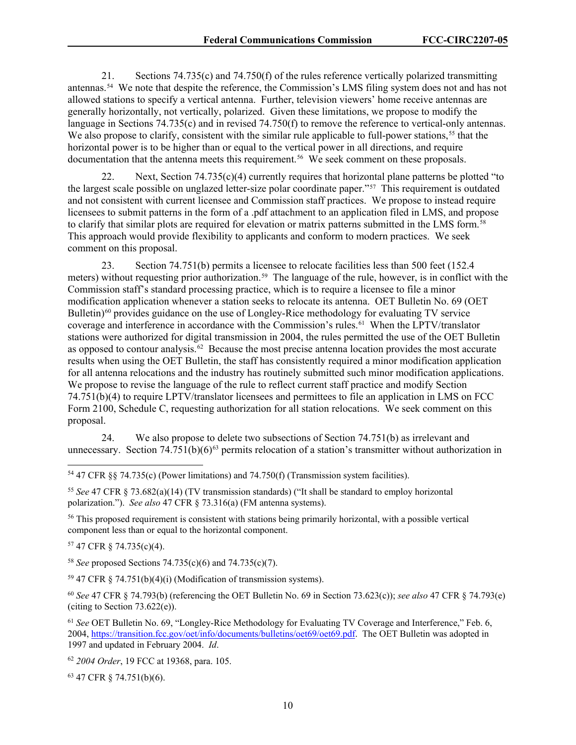21. Sections 74.735(c) and 74.750(f) of the rules reference vertically polarized transmitting antennas.[54](#page-10-0) We note that despite the reference, the Commission's LMS filing system does not and has not allowed stations to specify a vertical antenna. Further, television viewers' home receive antennas are generally horizontally, not vertically, polarized. Given these limitations, we propose to modify the language in Sections 74.735(c) and in revised 74.750(f) to remove the reference to vertical-only antennas. We also propose to clarify, consistent with the similar rule applicable to full-power stations,<sup>[55](#page-10-1)</sup> that the horizontal power is to be higher than or equal to the vertical power in all directions, and require documentation that the antenna meets this requirement. [56](#page-10-2) We seek comment on these proposals.

Next, Section  $74.735(c)(4)$  currently requires that horizontal plane patterns be plotted "to" the largest scale possible on unglazed letter-size polar coordinate paper."[57](#page-10-3) This requirement is outdated and not consistent with current licensee and Commission staff practices. We propose to instead require licensees to submit patterns in the form of a .pdf attachment to an application filed in LMS, and propose to clarify that similar plots are required for elevation or matrix patterns submitted in the LMS form.[58](#page-10-4)  This approach would provide flexibility to applicants and conform to modern practices. We seek comment on this proposal.

23. Section 74.751(b) permits a licensee to relocate facilities less than 500 feet (152.4 meters) without requesting prior authorization.<sup>59</sup> The language of the rule, however, is in conflict with the Commission staff's standard processing practice, which is to require a licensee to file a minor modification application whenever a station seeks to relocate its antenna. OET Bulletin No. 69 (OET Bulletin)<sup>[60](#page-10-6)</sup> provides guidance on the use of Longley-Rice methodology for evaluating TV service coverage and interference in accordance with the Commission's rules.<sup>61</sup> When the LPTV/translator stations were authorized for digital transmission in 2004, the rules permitted the use of the OET Bulletin as opposed to contour analysis.<sup>[62](#page-10-8)</sup> Because the most precise antenna location provides the most accurate results when using the OET Bulletin, the staff has consistently required a minor modification application for all antenna relocations and the industry has routinely submitted such minor modification applications. We propose to revise the language of the rule to reflect current staff practice and modify Section 74.751(b)(4) to require LPTV/translator licensees and permittees to file an application in LMS on FCC Form 2100, Schedule C, requesting authorization for all station relocations. We seek comment on this proposal.

24. We also propose to delete two subsections of Section 74.751(b) as irrelevant and unnecessary. Section 74.751(b)(6)<sup>[63](#page-10-9)</sup> permits relocation of a station's transmitter without authorization in

<span id="page-10-0"></span><sup>54</sup> 47 CFR §§ 74.735(c) (Power limitations) and 74.750(f) (Transmission system facilities).

<span id="page-10-1"></span><sup>55</sup> *See* 47 CFR § 73.682(a)(14) (TV transmission standards) ("It shall be standard to employ horizontal polarization."). *See also* 47 CFR § 73.316(a) (FM antenna systems).

<span id="page-10-2"></span><sup>56</sup> This proposed requirement is consistent with stations being primarily horizontal, with a possible vertical component less than or equal to the horizontal component.

<span id="page-10-3"></span><sup>57</sup> 47 CFR § 74.735(c)(4).

<span id="page-10-4"></span><sup>58</sup> *See* proposed Sections 74.735(c)(6) and 74.735(c)(7).

<span id="page-10-5"></span><sup>59</sup> 47 CFR § 74.751(b)(4)(i) (Modification of transmission systems).

<span id="page-10-6"></span><sup>60</sup> *See* 47 CFR § 74.793(b) (referencing the OET Bulletin No. 69 in Section 73.623(c)); *see also* 47 CFR § 74.793(e) (citing to Section  $73.622(e)$ ).

<span id="page-10-7"></span><sup>61</sup> *See* OET Bulletin No. 69, "Longley-Rice Methodology for Evaluating TV Coverage and Interference," Feb. 6, 2004, [https://transition.fcc.gov/oet/info/documents/bulletins/oet69/oet69.pdf.](https://transition.fcc.gov/oet/info/documents/bulletins/oet69/oet69.pdf) The OET Bulletin was adopted in 1997 and updated in February 2004. *Id*.

<span id="page-10-8"></span><sup>62</sup> *2004 Order*, 19 FCC at 19368, para. 105.

<span id="page-10-9"></span><sup>63</sup> 47 CFR § 74.751(b)(6).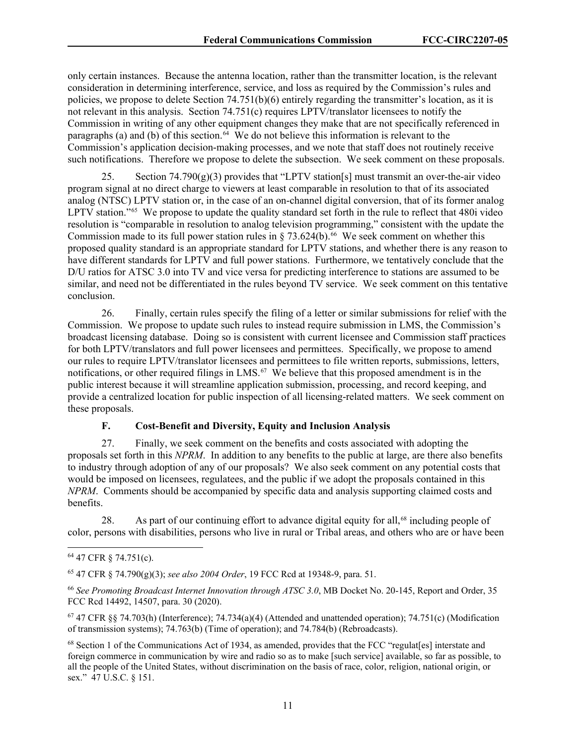only certain instances. Because the antenna location, rather than the transmitter location, is the relevant consideration in determining interference, service, and loss as required by the Commission's rules and policies, we propose to delete Section  $74.751(b)(6)$  entirely regarding the transmitter's location, as it is not relevant in this analysis. Section 74.751(c) requires LPTV/translator licensees to notify the Commission in writing of any other equipment changes they make that are not specifically referenced in paragraphs (a) and (b) of this section. $64 \text{ }\text{We}$  $64 \text{ }\text{We}$  do not believe this information is relevant to the Commission's application decision-making processes, and we note that staff does not routinely receive such notifications. Therefore we propose to delete the subsection. We seek comment on these proposals.

Section  $74.790(g)(3)$  provides that "LPTV station[s] must transmit an over-the-air video program signal at no direct charge to viewers at least comparable in resolution to that of its associated analog (NTSC) LPTV station or, in the case of an on-channel digital conversion, that of its former analog LPTV station."<sup>[65](#page-11-1)</sup> We propose to update the quality standard set forth in the rule to reflect that 480i video resolution is "comparable in resolution to analog television programming," consistent with the update the Commission made to its full power station rules in § 73.624(b).<sup>[66](#page-11-2)</sup> We seek comment on whether this proposed quality standard is an appropriate standard for LPTV stations, and whether there is any reason to have different standards for LPTV and full power stations. Furthermore, we tentatively conclude that the D/U ratios for ATSC 3.0 into TV and vice versa for predicting interference to stations are assumed to be similar, and need not be differentiated in the rules beyond TV service. We seek comment on this tentative conclusion.

26. Finally, certain rules specify the filing of a letter or similar submissions for relief with the Commission. We propose to update such rules to instead require submission in LMS, the Commission's broadcast licensing database. Doing so is consistent with current licensee and Commission staff practices for both LPTV/translators and full power licensees and permittees. Specifically, we propose to amend our rules to require LPTV/translator licensees and permittees to file written reports, submissions, letters, notifications, or other required filings in LMS. [67](#page-11-3) We believe that this proposed amendment is in the public interest because it will streamline application submission, processing, and record keeping, and provide a centralized location for public inspection of all licensing-related matters. We seek comment on these proposals.

## **F. Cost-Benefit and Diversity, Equity and Inclusion Analysis**

27. Finally, we seek comment on the benefits and costs associated with adopting the proposals set forth in this *NPRM*. In addition to any benefits to the public at large, are there also benefits to industry through adoption of any of our proposals? We also seek comment on any potential costs that would be imposed on licensees, regulatees, and the public if we adopt the proposals contained in this *NPRM*. Comments should be accompanied by specific data and analysis supporting claimed costs and benefits.

28. As part of our continuing effort to advance digital equity for all,<sup>[68](#page-11-4)</sup> including people of color, persons with disabilities, persons who live in rural or Tribal areas, and others who are or have been

<span id="page-11-0"></span><sup>64</sup> 47 CFR § 74.751(c).

<span id="page-11-1"></span><sup>65</sup> 47 CFR § 74.790(g)(3); *see also 2004 Order*, 19 FCC Rcd at 19348-9, para. 51.

<span id="page-11-2"></span><sup>66</sup> *See Promoting Broadcast Internet Innovation through ATSC 3.0*, MB Docket No. 20-145, Report and Order, 35 FCC Rcd 14492, 14507, para. 30 (2020).

<span id="page-11-3"></span> $67$  47 CFR §§ 74.703(h) (Interference); 74.734(a)(4) (Attended and unattended operation); 74.751(c) (Modification of transmission systems); 74.763(b) (Time of operation); and 74.784(b) (Rebroadcasts).

<span id="page-11-4"></span><sup>68</sup> Section 1 of the Communications Act of 1934, as amended, provides that the FCC "regulat[es] interstate and foreign commerce in communication by wire and radio so as to make [such service] available, so far as possible, to all the people of the United States, without discrimination on the basis of race, color, religion, national origin, or sex." 47 U.S.C. § 151.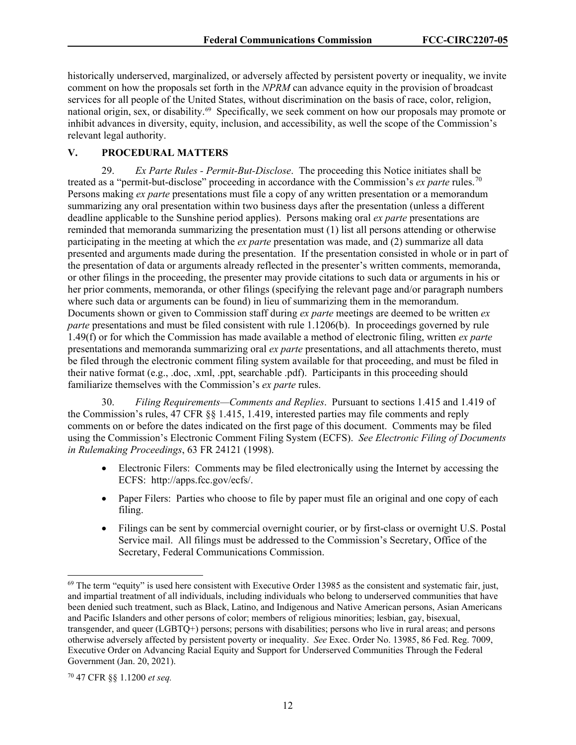historically underserved, marginalized, or adversely affected by persistent poverty or inequality, we invite comment on how the proposals set forth in the *NPRM* can advance equity in the provision of broadcast services for all people of the United States, without discrimination on the basis of race, color, religion, national origin, sex, or disability.<sup>69</sup> Specifically, we seek comment on how our proposals may promote or inhibit advances in diversity, equity, inclusion, and accessibility, as well the scope of the Commission's relevant legal authority.

## **V. PROCEDURAL MATTERS**

29. *Ex Parte Rules - Permit-But-Disclose*. The proceeding this Notice initiates shall be treated as a "permit-but-disclose" proceeding in accordance with the Commission's *ex parte* rules.[70](#page-12-1) Persons making *ex parte* presentations must file a copy of any written presentation or a memorandum summarizing any oral presentation within two business days after the presentation (unless a different deadline applicable to the Sunshine period applies). Persons making oral *ex parte* presentations are reminded that memoranda summarizing the presentation must (1) list all persons attending or otherwise participating in the meeting at which the *ex parte* presentation was made, and (2) summarize all data presented and arguments made during the presentation. If the presentation consisted in whole or in part of the presentation of data or arguments already reflected in the presenter's written comments, memoranda, or other filings in the proceeding, the presenter may provide citations to such data or arguments in his or her prior comments, memoranda, or other filings (specifying the relevant page and/or paragraph numbers where such data or arguments can be found) in lieu of summarizing them in the memorandum. Documents shown or given to Commission staff during *ex parte* meetings are deemed to be written *ex parte* presentations and must be filed consistent with rule 1.1206(b). In proceedings governed by rule 1.49(f) or for which the Commission has made available a method of electronic filing, written *ex parte* presentations and memoranda summarizing oral *ex parte* presentations, and all attachments thereto, must be filed through the electronic comment filing system available for that proceeding, and must be filed in their native format (e.g., .doc, .xml, .ppt, searchable .pdf). Participants in this proceeding should familiarize themselves with the Commission's *ex parte* rules.

30. *Filing Requirements—Comments and Replies*. Pursuant to sections 1.415 and 1.419 of the Commission's rules, 47 CFR §§ 1.415, 1.419, interested parties may file comments and reply comments on or before the dates indicated on the first page of this document. Comments may be filed using the Commission's Electronic Comment Filing System (ECFS). *See Electronic Filing of Documents in Rulemaking Proceedings*, 63 FR 24121 (1998).

- Electronic Filers: Comments may be filed electronically using the Internet by accessing the ECFS: http://apps.fcc.gov/ecfs/.
- Paper Filers: Parties who choose to file by paper must file an original and one copy of each filing.
- Filings can be sent by commercial overnight courier, or by first-class or overnight U.S. Postal Service mail. All filings must be addressed to the Commission's Secretary, Office of the Secretary, Federal Communications Commission.

<span id="page-12-0"></span> $69$  The term "equity" is used here consistent with Executive Order 13985 as the consistent and systematic fair, just, and impartial treatment of all individuals, including individuals who belong to underserved communities that have been denied such treatment, such as Black, Latino, and Indigenous and Native American persons, Asian Americans and Pacific Islanders and other persons of color; members of religious minorities; lesbian, gay, bisexual, transgender, and queer (LGBTQ+) persons; persons with disabilities; persons who live in rural areas; and persons otherwise adversely affected by persistent poverty or inequality. *See* Exec. Order No. 13985, 86 Fed. Reg. 7009, Executive Order on Advancing Racial Equity and Support for Underserved Communities Through the Federal Government (Jan. 20, 2021).

<span id="page-12-1"></span><sup>70</sup> 47 CFR §§ 1.1200 *et seq.*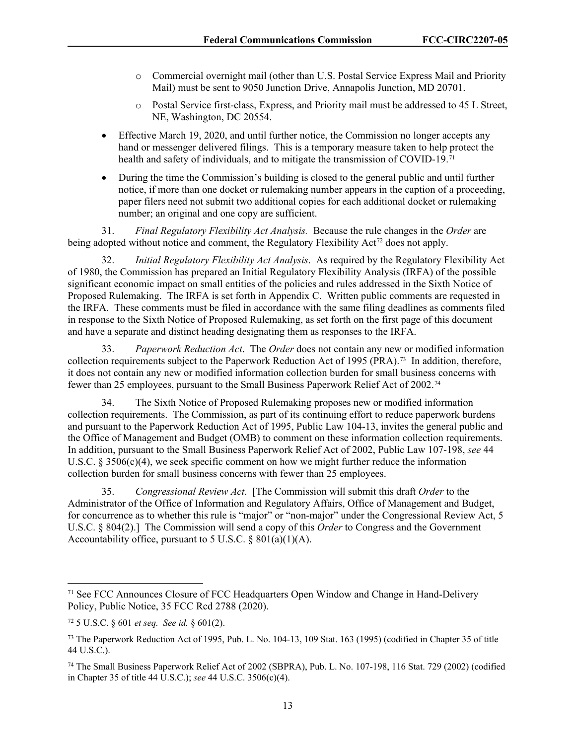- o Commercial overnight mail (other than U.S. Postal Service Express Mail and Priority Mail) must be sent to 9050 Junction Drive, Annapolis Junction, MD 20701.
- o Postal Service first-class, Express, and Priority mail must be addressed to 45 L Street, NE, Washington, DC 20554.
- Effective March 19, 2020, and until further notice, the Commission no longer accepts any hand or messenger delivered filings. This is a temporary measure taken to help protect the health and safety of individuals, and to mitigate the transmission of COVID-19.<sup>71</sup>
- During the time the Commission's building is closed to the general public and until further notice, if more than one docket or rulemaking number appears in the caption of a proceeding, paper filers need not submit two additional copies for each additional docket or rulemaking number; an original and one copy are sufficient.

31. *Final Regulatory Flexibility Act Analysis.* Because the rule changes in the *Order* are being adopted without notice and comment, the Regulatory Flexibility Act<sup>[72](#page-13-1)</sup> does not apply.

32. *Initial Regulatory Flexibility Act Analysis*. As required by the Regulatory Flexibility Act of 1980, the Commission has prepared an Initial Regulatory Flexibility Analysis (IRFA) of the possible significant economic impact on small entities of the policies and rules addressed in the Sixth Notice of Proposed Rulemaking. The IRFA is set forth in Appendix C. Written public comments are requested in the IRFA. These comments must be filed in accordance with the same filing deadlines as comments filed in response to the Sixth Notice of Proposed Rulemaking, as set forth on the first page of this document and have a separate and distinct heading designating them as responses to the IRFA.

33. *Paperwork Reduction Act*. The *Order* does not contain any new or modified information collection requirements subject to the Paperwork Reduction Act of 1995 (PRA).[73](#page-13-2) In addition, therefore, it does not contain any new or modified information collection burden for small business concerns with fewer than 25 employees, pursuant to the Small Business Paperwork Relief Act of 2002.[74](#page-13-3)

34. The Sixth Notice of Proposed Rulemaking proposes new or modified information collection requirements. The Commission, as part of its continuing effort to reduce paperwork burdens and pursuant to the Paperwork Reduction Act of 1995, Public Law 104-13, invites the general public and the Office of Management and Budget (OMB) to comment on these information collection requirements. In addition, pursuant to the Small Business Paperwork Relief Act of 2002, Public Law 107-198, *see* 44 U.S.C.  $\S 3506(c)(4)$ , we seek specific comment on how we might further reduce the information collection burden for small business concerns with fewer than 25 employees.

35. *Congressional Review Act*. [The Commission will submit this draft *Order* to the Administrator of the Office of Information and Regulatory Affairs, Office of Management and Budget, for concurrence as to whether this rule is "major" or "non-major" under the Congressional Review Act, 5 U.S.C. § 804(2).] The Commission will send a copy of this *Order* to Congress and the Government Accountability office, pursuant to 5 U.S.C. §  $801(a)(1)(A)$ .

<span id="page-13-0"></span><sup>71</sup> See FCC Announces Closure of FCC Headquarters Open Window and Change in Hand-Delivery Policy, Public Notice, 35 FCC Rcd 2788 (2020).

<span id="page-13-1"></span><sup>72</sup> 5 U.S.C. § 601 *et seq. See id.* § 601(2).

<span id="page-13-2"></span><sup>73</sup> The Paperwork Reduction Act of 1995, Pub. L. No. 104-13, 109 Stat. 163 (1995) (codified in Chapter 35 of title 44 U.S.C.).

<span id="page-13-3"></span><sup>74</sup> The Small Business Paperwork Relief Act of 2002 (SBPRA), Pub. L. No. 107-198, 116 Stat. 729 (2002) (codified in Chapter 35 of title 44 U.S.C.); *see* 44 U.S.C. 3506(c)(4).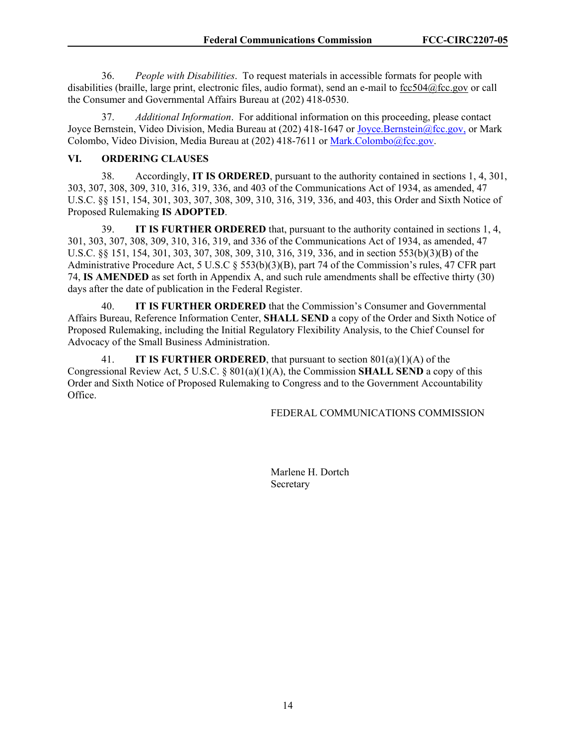36. *People with Disabilities*. To request materials in accessible formats for people with disabilities (braille, large print, electronic files, audio format), send an e-mail to [fcc504@fcc.gov](about:blank) or call the Consumer and Governmental Affairs Bureau at (202) 418-0530.

37. *Additional Information*. For additional information on this proceeding, please contact Joyce Bernstein, Video Division, Media Bureau at (202) 418-1647 or [Joyce.Bernstein@fcc.gov,](mailto:Joyce.Bernstein@fcc.gov) or Mark Colombo, Video Division, Media Bureau at (202) 418-7611 or [Mark.Colombo@fcc.gov.](mailto:Mark.Colombo@fcc.gov)

## **VI. ORDERING CLAUSES**

38. Accordingly, **IT IS ORDERED**, pursuant to the authority contained in sections 1, 4, 301, 303, 307, 308, 309, 310, 316, 319, 336, and 403 of the Communications Act of 1934, as amended, 47 U.S.C. §§ 151, 154, 301, 303, 307, 308, 309, 310, 316, 319, 336, and 403, this Order and Sixth Notice of Proposed Rulemaking **IS ADOPTED**.

39. **IT IS FURTHER ORDERED** that, pursuant to the authority contained in sections 1, 4, 301, 303, 307, 308, 309, 310, 316, 319, and 336 of the Communications Act of 1934, as amended, 47 U.S.C. §§ 151, 154, 301, 303, 307, 308, 309, 310, 316, 319, 336, and in section 553(b)(3)(B) of the Administrative Procedure Act, 5 U.S.C § 553(b)(3)(B), part 74 of the Commission's rules, 47 CFR part 74, **IS AMENDED** as set forth in Appendix A, and such rule amendments shall be effective thirty (30) days after the date of publication in the Federal Register.

40. **IT IS FURTHER ORDERED** that the Commission's Consumer and Governmental Affairs Bureau, Reference Information Center, **SHALL SEND** a copy of the Order and Sixth Notice of Proposed Rulemaking, including the Initial Regulatory Flexibility Analysis, to the Chief Counsel for Advocacy of the Small Business Administration.

41. **IT IS FURTHER ORDERED**, that pursuant to section 801(a)(1)(A) of the Congressional Review Act, 5 U.S.C. § 801(a)(1)(A), the Commission **SHALL SEND** a copy of this Order and Sixth Notice of Proposed Rulemaking to Congress and to the Government Accountability Office.

#### FEDERAL COMMUNICATIONS COMMISSION

 Marlene H. Dortch Secretary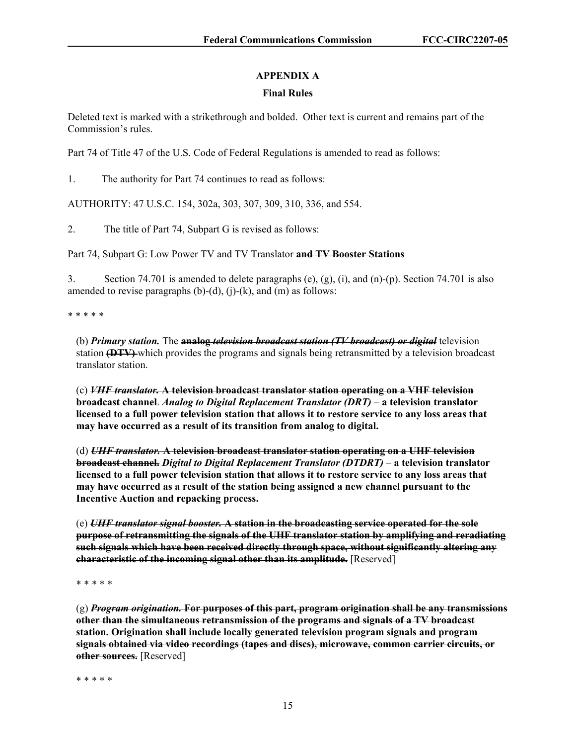# **APPENDIX A**

## **Final Rules**

Deleted text is marked with a strikethrough and bolded. Other text is current and remains part of the Commission's rules.

Part 74 of Title 47 of the U.S. Code of Federal Regulations is amended to read as follows:

1. The authority for Part 74 continues to read as follows:

AUTHORITY: 47 U.S.C. 154, 302a, 303, 307, 309, 310, 336, and 554.

2. The title of Part 74, Subpart G is revised as follows:

Part 74, Subpart G: Low Power TV and TV Translator **and TV Booster Stations**

3. Section 74.701 is amended to delete paragraphs (e), (g), (i), and (n)-(p). Section 74.701 is also amended to revise paragraphs  $(b)-(d)$ ,  $(i)-(k)$ , and  $(m)$  as follows:

\* \* \* \* \*

(b) *Primary station.* The **analog** *television broadcast station (TV broadcast) or digital* television station **(DTV)** which provides the programs and signals being retransmitted by a television broadcast translator station.

(c) *VHF translator.* **A television broadcast translator station operating on a VHF television broadcast channel**. *Analog to Digital Replacement Translator (DRT)* – **a television translator licensed to a full power television station that allows it to restore service to any loss areas that may have occurred as a result of its transition from analog to digital.**

(d) *UHF translator.* **A television broadcast translator station operating on a UHF television broadcast channel.** *Digital to Digital Replacement Translator (DTDRT)* – **a television translator licensed to a full power television station that allows it to restore service to any loss areas that may have occurred as a result of the station being assigned a new channel pursuant to the Incentive Auction and repacking process.**

(e) *UHF translator signal booster.* **A station in the broadcasting service operated for the sole purpose of retransmitting the signals of the UHF translator station by amplifying and reradiating such signals which have been received directly through space, without significantly altering any characteristic of the incoming signal other than its amplitude.** [Reserved]

\* \* \* \* \*

(g) *Program origination.* **For purposes of this part, program origination shall be any transmissions other than the simultaneous retransmission of the programs and signals of a TV broadcast station. Origination shall include locally generated television program signals and program signals obtained via video recordings (tapes and discs), microwave, common carrier circuits, or other sources.** [Reserved]

\* \* \* \* \*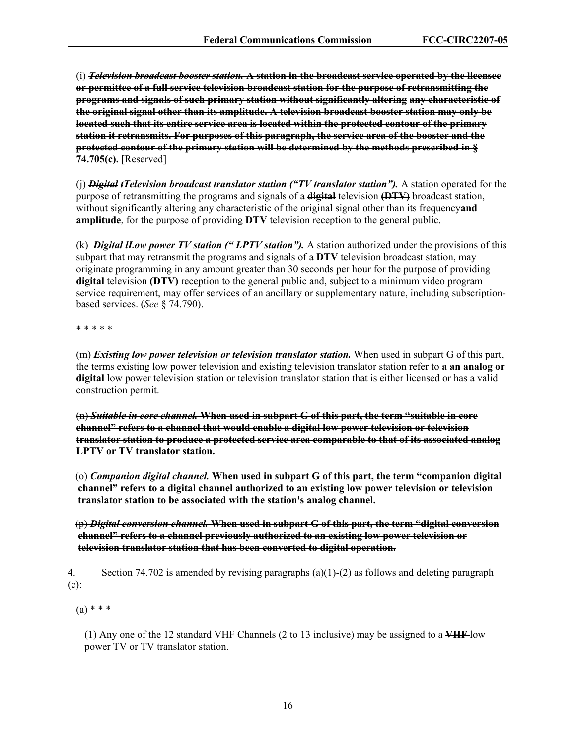(i) *Television broadcast booster station.* **A station in the broadcast service operated by the licensee or permittee of a full service television broadcast station for the purpose of retransmitting the programs and signals of such primary station without significantly altering any characteristic of the original signal other than its amplitude. A television broadcast booster station may only be located such that its entire service area is located within the protected contour of the primary station it retransmits. For purposes of this paragraph, the service area of the booster and the protected contour of the primary station will be determined by the methods prescribed in § 74.705(c).** [Reserved]

(j) *Digital tTelevision broadcast translator station ("TV translator station").* A station operated for the purpose of retransmitting the programs and signals of a **digital** television **(DTV)** broadcast station, without significantly altering any characteristic of the original signal other than its frequency**and amplitude**, for the purpose of providing **DTV** television reception to the general public.

(k) *Digital lLow power TV station (" LPTV station").* A station authorized under the provisions of this subpart that may retransmit the programs and signals of a **DTV** television broadcast station, may originate programming in any amount greater than 30 seconds per hour for the purpose of providing **digital** television **(DTV)** reception to the general public and, subject to a minimum video program service requirement, may offer services of an ancillary or supplementary nature, including subscriptionbased services. (*See* § 74.790).

\* \* \* \* \*

(m) *Existing low power television or television translator station.* When used in subpart G of this part, the terms existing low power television and existing television translator station refer to **a an analog or digital** low power television station or television translator station that is either licensed or has a valid construction permit.

(n) *Suitable in core channel.* **When used in subpart G of this part, the term "suitable in core channel" refers to a channel that would enable a digital low power television or television translator station to produce a protected service area comparable to that of its associated analog LPTV or TV translator station.**

 (o) *Companion digital channel.* **When used in subpart G of this part, the term "companion digital channel" refers to a digital channel authorized to an existing low power television or television translator station to be associated with the station's analog channel.**

 (p) *Digital conversion channel.* **When used in subpart G of this part, the term "digital conversion channel" refers to a channel previously authorized to an existing low power television or television translator station that has been converted to digital operation.**

4. Section 74.702 is amended by revising paragraphs (a)(1)-(2) as follows and deleting paragraph (c):

 $(a) * * *$ 

(1) Any one of the 12 standard VHF Channels (2 to 13 inclusive) may be assigned to a **VHF** low power TV or TV translator station.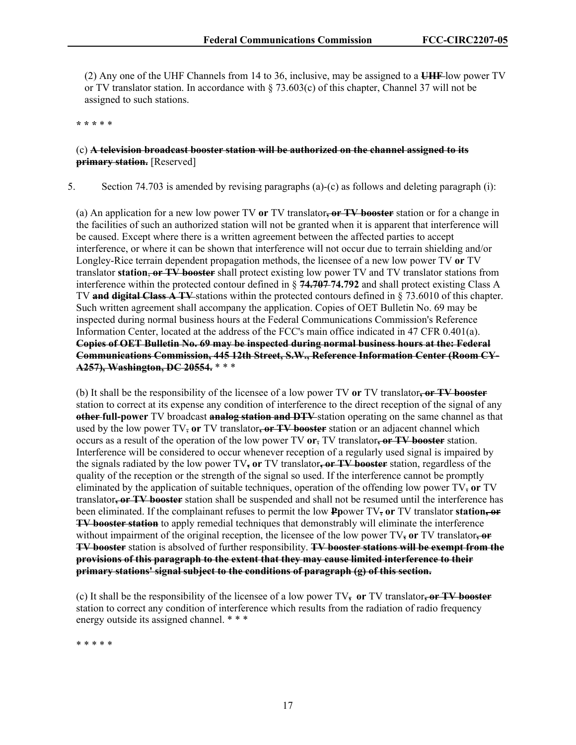(2) Any one of the UHF Channels from 14 to 36, inclusive, may be assigned to a **UHF** low power TV or TV translator station. In accordance with § 73.603(c) of this chapter, Channel 37 will not be assigned to such stations.

**\* \* \*** \* \*

## (c) **A television broadcast booster station will be authorized on the channel assigned to its primary station.** [Reserved]

5. Section 74.703 is amended by revising paragraphs (a)-(c) as follows and deleting paragraph (i):

(a) An application for a new low power TV **or** TV translator**, or TV booster** station or for a change in the facilities of such an authorized station will not be granted when it is apparent that interference will be caused. Except where there is a written agreement between the affected parties to accept interference, or where it can be shown that interference will not occur due to terrain shielding and/or Longley-Rice terrain dependent propagation methods, the licensee of a new low power TV **or** TV translator **station**, **or TV booster** shall protect existing low power TV and TV translator stations from interference within the protected contour defined in § **74.707 74.792** and shall protect existing Class A TV **and digital Class A TV** stations within the protected contours defined in § 73.6010 of this chapter. Such written agreement shall accompany the application. Copies of OET Bulletin No. 69 may be inspected during normal business hours at the Federal Communications Commission's Reference Information Center, located at the address of the FCC's main office indicated in 47 CFR 0.401(a). **Copies of OET Bulletin No. 69 may be inspected during normal business hours at the: Federal Communications Commission, 445 12th Street, S.W., Reference Information Center (Room CY-A257), Washington, DC 20554.** \* \* \*

(b) It shall be the responsibility of the licensee of a low power TV **or** TV translator**, or TV booster** station to correct at its expense any condition of interference to the direct reception of the signal of any **other full-power** TV broadcast **analog station and DTV** station operating on the same channel as that used by the low power TV, **or** TV translator**, or TV booster** station or an adjacent channel which occurs as a result of the operation of the low power TV **or**, TV translator**, or TV booster** station. Interference will be considered to occur whenever reception of a regularly used signal is impaired by the signals radiated by the low power TV**, or** TV translator**, or TV booster** station, regardless of the quality of the reception or the strength of the signal so used. If the interference cannot be promptly eliminated by the application of suitable techniques, operation of the offending low power TV, **or** TV translator**, or TV booster** station shall be suspended and shall not be resumed until the interference has been eliminated. If the complainant refuses to permit the low **Pp**ower TV, **or** TV translator **station, or TV booster station** to apply remedial techniques that demonstrably will eliminate the interference without impairment of the original reception, the licensee of the low power TV**, or** TV translator**, or TV booster** station is absolved of further responsibility. **TV booster stations will be exempt from the provisions of this paragraph to the extent that they may cause limited interference to their primary stations' signal subject to the conditions of paragraph (g) of this section.**

(c) It shall be the responsibility of the licensee of a low power TV**, or** TV translator**, or TV booster** station to correct any condition of interference which results from the radiation of radio frequency energy outside its assigned channel. \*\*\*

\* \* \* \* \*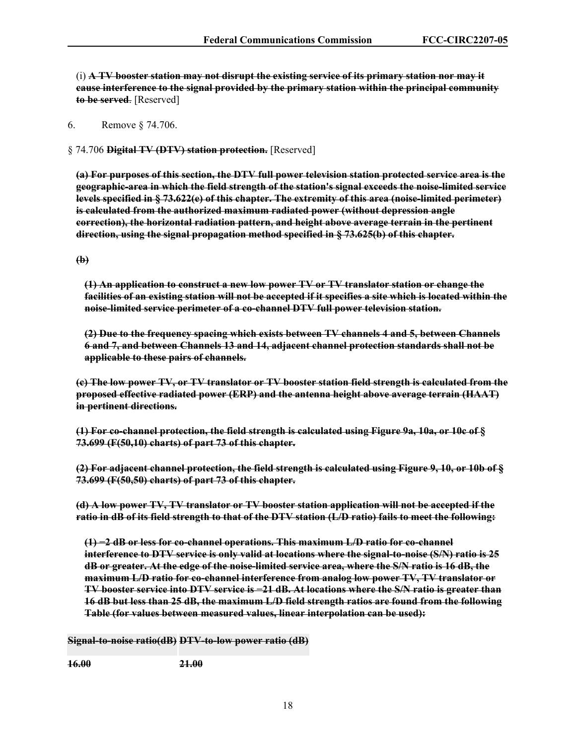(i) **A TV booster station may not disrupt the existing service of its primary station nor may it cause interference to the signal provided by the primary station within the principal community to be served**. [Reserved]

6. Remove § 74.706.

§ 74.706 **Digital TV (DTV) station protection.** [Reserved]

**(a) For purposes of this section, the DTV full power television station protected service area is the geographic-area in which the field strength of the station's signal exceeds the noise-limited service levels specified in § 73.622(e) of this chapter. The extremity of this area (noise-limited perimeter) is calculated from the authorized maximum radiated power (without depression angle correction), the horizontal radiation pattern, and height above average terrain in the pertinent direction, using the signal propagation method specified in § 73.625(b) of this chapter.**

**(b)** 

**(1) An application to construct a new low power TV or TV translator station or change the facilities of an existing station will not be accepted if it specifies a site which is located within the noise-limited service perimeter of a co-channel DTV full power television station.** 

**(2) Due to the frequency spacing which exists between TV channels 4 and 5, between Channels 6 and 7, and between Channels 13 and 14, adjacent channel protection standards shall not be applicable to these pairs of channels.** 

**(c) The low power TV, or TV translator or TV booster station field strength is calculated from the proposed effective radiated power (ERP) and the antenna height above average terrain (HAAT) in pertinent directions.** 

**(1) For co-channel protection, the field strength is calculated using Figure 9a, 10a, or 10c of § 73.699 (F(50,10) charts) of part 73 of this chapter.**

**(2) For adjacent channel protection, the field strength is calculated using Figure 9, 10, or 10b of § 73.699 (F(50,50) charts) of part 73 of this chapter.**

**(d) A low power TV, TV translator or TV booster station application will not be accepted if the ratio in dB of its field strength to that of the DTV station (L/D ratio) fails to meet the following:** 

**(1) −2 dB or less for co-channel operations. This maximum L/D ratio for co-channel interference to DTV service is only valid at locations where the signal-to-noise (S/N) ratio is 25 dB or greater. At the edge of the noise-limited service area, where the S/N ratio is 16 dB, the maximum L/D ratio for co-channel interference from analog low power TV, TV translator or TV booster service into DTV service is −21 dB. At locations where the S/N ratio is greater than 16 dB but less than 25 dB, the maximum L/D field strength ratios are found from the following Table (for values between measured values, linear interpolation can be used):** 

**Signal-to-noise ratio(dB) DTV-to-low power ratio (dB)** 

**16.00 21.00**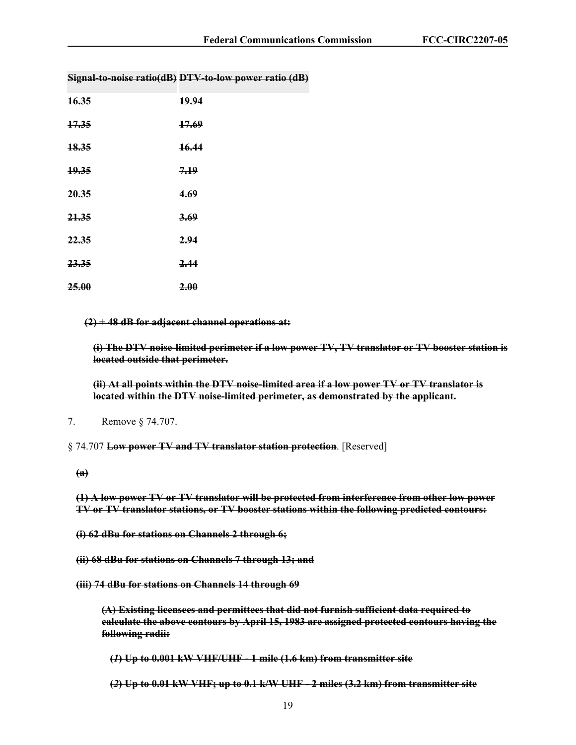| 16.35 | 19.94 |
|-------|-------|
| 17.35 | 17.69 |
| 18.35 | 16.44 |
| 19.35 | 7.19  |
| 20.35 | 4.69  |
| 21.35 | 3.69  |
| 22.35 | 2.94  |
| 23.35 | 2.44  |
| 25.00 | 2.00  |

**Signal-to-noise ratio(dB) DTV-to-low power ratio (dB)** 

**(2) + 48 dB for adjacent channel operations at:** 

**(i) The DTV noise-limited perimeter if a low power TV, TV translator or TV booster station is located outside that perimeter.** 

**(ii) At all points within the DTV noise-limited area if a low power TV or TV translator is located within the DTV noise-limited perimeter, as demonstrated by the applicant.** 

§ 74.707 **Low power TV and TV translator station protection**. [Reserved]

**(1) A low power TV or TV translator will be protected from interference from other low power TV or TV translator stations, or TV booster stations within the following predicted contours:** 

**(i) 62 dBu for stations on Channels 2 through 6;** 

- **(ii) 68 dBu for stations on Channels 7 through 13; and**
- **(iii) 74 dBu for stations on Channels 14 through 69**

**(A) Existing licensees and permittees that did not furnish sufficient data required to calculate the above contours by April 15, 1983 are assigned protected contours having the following radii:** 

**(***1***) Up to 0.001 kW VHF/UHF - 1 mile (1.6 km) from transmitter site** 

**(***2***) Up to 0.01 kW VHF; up to 0.1 k/W UHF - 2 miles (3.2 km) from transmitter site** 

<sup>7.</sup> Remove § 74.707.

**<sup>(</sup>a)**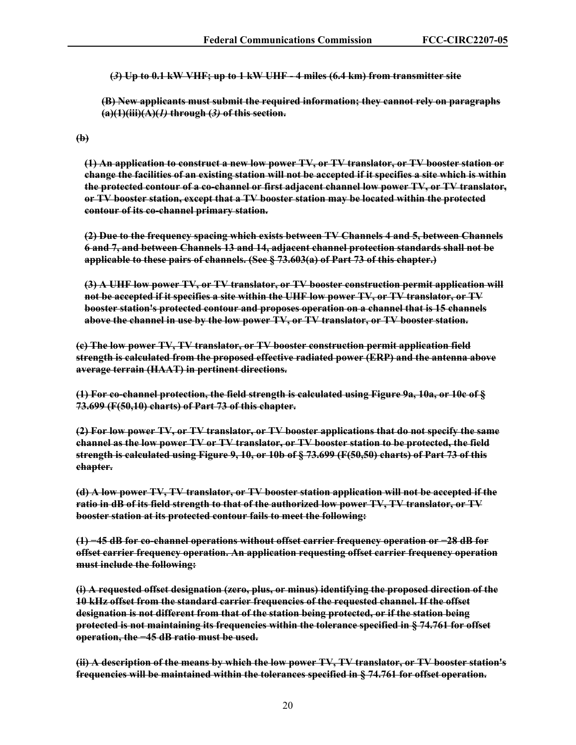**(***3***) Up to 0.1 kW VHF; up to 1 kW UHF - 4 miles (6.4 km) from transmitter site** 

**(B) New applicants must submit the required information; they cannot rely on paragraphs (a)(1)(iii)(A)(***1)* **through (***3)* **of this section.** 

**(b)** 

**(1) An application to construct a new low power TV, or TV translator, or TV booster station or change the facilities of an existing station will not be accepted if it specifies a site which is within the protected contour of a co-channel or first adjacent channel low power TV, or TV translator, or TV booster station, except that a TV booster station may be located within the protected contour of its co-channel primary station.**

**(2) Due to the frequency spacing which exists between TV Channels 4 and 5, between Channels 6 and 7, and between Channels 13 and 14, adjacent channel protection standards shall not be applicable to these pairs of channels. (See § 73.603(a) of Part 73 of this chapter.)** 

**(3) A UHF low power TV, or TV translator, or TV booster construction permit application will not be accepted if it specifies a site within the UHF low power TV, or TV translator, or TV booster station's protected contour and proposes operation on a channel that is 15 channels above the channel in use by the low power TV, or TV translator, or TV booster station.** 

**(c) The low power TV, TV translator, or TV booster construction permit application field strength is calculated from the proposed effective radiated power (ERP) and the antenna above average terrain (HAAT) in pertinent directions.** 

**(1) For co-channel protection, the field strength is calculated using Figure 9a, 10a, or 10c of § 73.699 (F(50,10) charts) of Part 73 of this chapter.** 

**(2) For low power TV, or TV translator, or TV booster applications that do not specify the same channel as the low power TV or TV translator, or TV booster station to be protected, the field strength is calculated using Figure 9, 10, or 10b of § 73.699 (F(50,50) charts) of Part 73 of this chapter.** 

**(d) A low power TV, TV translator, or TV booster station application will not be accepted if the ratio in dB of its field strength to that of the authorized low power TV, TV translator, or TV booster station at its protected contour fails to meet the following:** 

**(1) −45 dB for co-channel operations without offset carrier frequency operation or −28 dB for offset carrier frequency operation. An application requesting offset carrier frequency operation must include the following:** 

**(i) A requested offset designation (zero, plus, or minus) identifying the proposed direction of the 10 kHz offset from the standard carrier frequencies of the requested channel. If the offset designation is not different from that of the station being protected, or if the station being protected is not maintaining its frequencies within the tolerance specified in § 74.761 for offset operation, the −45 dB ratio must be used.** 

**(ii) A description of the means by which the low power TV, TV translator, or TV booster station's frequencies will be maintained within the tolerances specified in § 74.761 for offset operation.**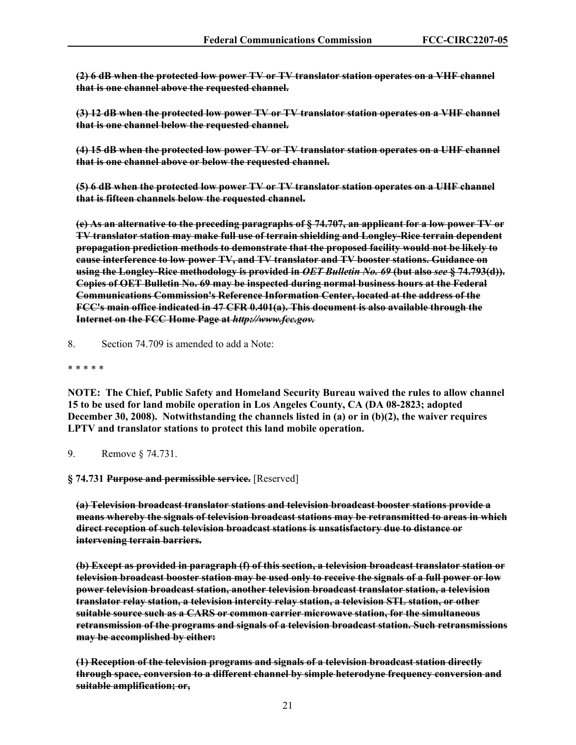**(2) 6 dB when the protected low power TV or TV translator station operates on a VHF channel that is one channel above the requested channel.** 

**(3) 12 dB when the protected low power TV or TV translator station operates on a VHF channel that is one channel below the requested channel.** 

**(4) 15 dB when the protected low power TV or TV translator station operates on a UHF channel that is one channel above or below the requested channel.** 

**(5) 6 dB when the protected low power TV or TV translator station operates on a UHF channel that is fifteen channels below the requested channel.** 

**(e) As an alternative to the preceding paragraphs of § 74.707, an applicant for a low power TV or TV translator station may make full use of terrain shielding and Longley-Rice terrain dependent propagation prediction methods to demonstrate that the proposed facility would not be likely to cause interference to low power TV, and TV translator and TV booster stations. Guidance on using the Longley-Rice methodology is provided in** *OET Bulletin No. 69* **(but also** *see* **§ 74.793(d)). Copies of OET Bulletin No. 69 may be inspected during normal business hours at the Federal Communications Commission's Reference Information Center, located at the address of the FCC's main office indicated in 47 CFR 0.401(a). This document is also available through the Internet on the FCC Home Page at** *http://www.fcc.gov.*

8. Section 74.709 is amended to add a Note:

#### \* \* \* \* \*

**NOTE: The Chief, Public Safety and Homeland Security Bureau waived the rules to allow channel 15 to be used for land mobile operation in Los Angeles County, CA (DA 08-2823; adopted December 30, 2008). Notwithstanding the channels listed in (a) or in (b)(2), the waiver requires LPTV and translator stations to protect this land mobile operation.**

9. Remove § 74.731.

**[§ 74.731 Purpose and permissible service.](https://www.ecfr.gov/current/title-47/section-74.731)** [Reserved]

**(a) Television broadcast translator stations and television broadcast booster stations provide a means whereby the signals of television broadcast stations may be retransmitted to areas in which direct reception of such television broadcast stations is unsatisfactory due to distance or intervening terrain barriers.** 

**(b) Except as provided in paragraph (f) of this section, a television broadcast translator station or television broadcast booster station may be used only to receive the signals of a full power or low power television broadcast station, another television broadcast translator station, a television translator relay station, a television intercity relay station, a television STL station, or other suitable source such as a CARS or common carrier microwave station, for the simultaneous retransmission of the programs and signals of a television broadcast station. Such retransmissions may be accomplished by either:** 

**(1) Reception of the television programs and signals of a television broadcast station directly through space, conversion to a different channel by simple heterodyne frequency conversion and suitable amplification; or,**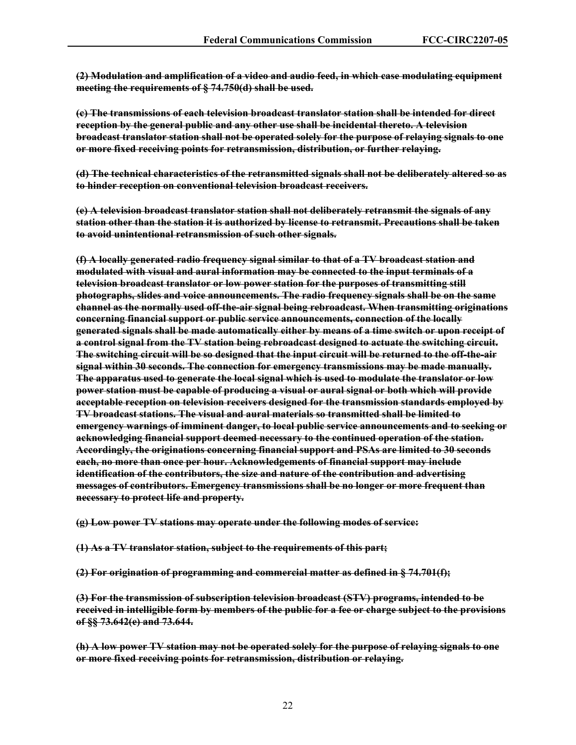**(2) Modulation and amplification of a video and audio feed, in which case modulating equipment meeting the requirements of § 74.750(d) shall be used.** 

**(c) The transmissions of each television broadcast translator station shall be intended for direct reception by the general public and any other use shall be incidental thereto. A television broadcast translator station shall not be operated solely for the purpose of relaying signals to one or more fixed receiving points for retransmission, distribution, or further relaying.** 

**(d) The technical characteristics of the retransmitted signals shall not be deliberately altered so as to hinder reception on conventional television broadcast receivers.** 

**(e) A television broadcast translator station shall not deliberately retransmit the signals of any station other than the station it is authorized by license to retransmit. Precautions shall be taken to avoid unintentional retransmission of such other signals.** 

**(f) A locally generated radio frequency signal similar to that of a TV broadcast station and modulated with visual and aural information may be connected to the input terminals of a television broadcast translator or low power station for the purposes of transmitting still photographs, slides and voice announcements. The radio frequency signals shall be on the same channel as the normally used off-the-air signal being rebroadcast. When transmitting originations concerning financial support or public service announcements, connection of the locally generated signals shall be made automatically either by means of a time switch or upon receipt of a control signal from the TV station being rebroadcast designed to actuate the switching circuit. The switching circuit will be so designed that the input circuit will be returned to the off-the-air signal within 30 seconds. The connection for emergency transmissions may be made manually. The apparatus used to generate the local signal which is used to modulate the translator or low power station must be capable of producing a visual or aural signal or both which will provide acceptable reception on television receivers designed for the transmission standards employed by TV broadcast stations. The visual and aural materials so transmitted shall be limited to emergency warnings of imminent danger, to local public service announcements and to seeking or acknowledging financial support deemed necessary to the continued operation of the station. Accordingly, the originations concerning financial support and PSAs are limited to 30 seconds each, no more than once per hour. Acknowledgements of financial support may include identification of the contributors, the size and nature of the contribution and advertising messages of contributors. Emergency transmissions shall be no longer or more frequent than necessary to protect life and property.** 

**(g) Low power TV stations may operate under the following modes of service:** 

**(1) As a TV translator station, subject to the requirements of this part;** 

**(2) For origination of programming and commercial matter as defined in § 74.701(f);** 

**(3) For the transmission of subscription television broadcast (STV) programs, intended to be received in intelligible form by members of the public for a fee or charge subject to the provisions of §§ 73.642(e) and 73.644.** 

**(h) A low power TV station may not be operated solely for the purpose of relaying signals to one or more fixed receiving points for retransmission, distribution or relaying.**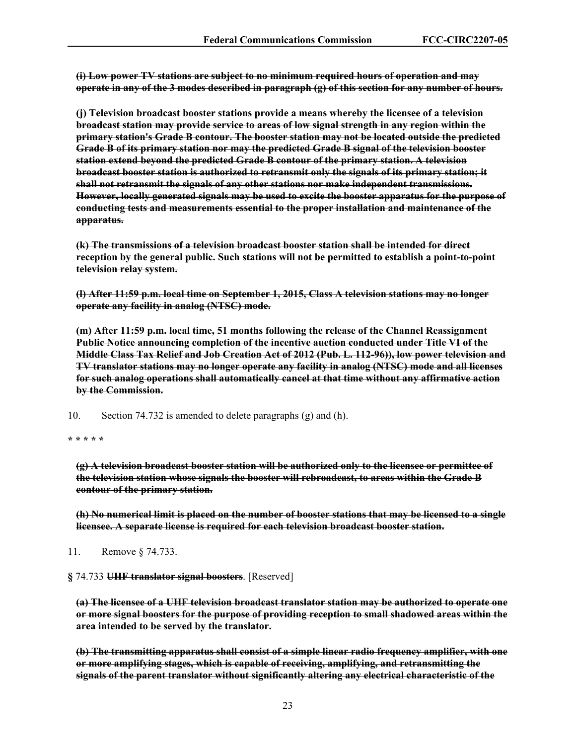**(i) Low power TV stations are subject to no minimum required hours of operation and may operate in any of the 3 modes described in paragraph (g) of this section for any number of hours.** 

**(j) Television broadcast booster stations provide a means whereby the licensee of a television broadcast station may provide service to areas of low signal strength in any region within the primary station's Grade B contour. The booster station may not be located outside the predicted Grade B of its primary station nor may the predicted Grade B signal of the television booster station extend beyond the predicted Grade B contour of the primary station. A television broadcast booster station is authorized to retransmit only the signals of its primary station; it shall not retransmit the signals of any other stations nor make independent transmissions. However, locally generated signals may be used to excite the booster apparatus for the purpose of conducting tests and measurements essential to the proper installation and maintenance of the apparatus.** 

**(k) The transmissions of a television broadcast booster station shall be intended for direct reception by the general public. Such stations will not be permitted to establish a point-to-point television relay system.** 

**(l) After 11:59 p.m. local time on September 1, 2015, Class A television stations may no longer operate any facility in analog (NTSC) mode.** 

**(m) After 11:59 p.m. local time, 51 months following the release of the Channel Reassignment Public Notice announcing completion of the incentive auction conducted under Title VI of the Middle Class Tax Relief and Job Creation Act of 2012 (Pub. L. 112-96)), low power television and TV translator stations may no longer operate any facility in analog (NTSC) mode and all licenses for such analog operations shall automatically cancel at that time without any affirmative action by the Commission.**

10. Section 74.732 is amended to delete paragraphs (g) and (h).

**\* \* \* \* \***

**(g) A television broadcast booster station will be authorized only to the licensee or permittee of the television station whose signals the booster will rebroadcast, to areas within the Grade B contour of the primary station.**

**(h) No numerical limit is placed on the number of booster stations that may be licensed to a single licensee. A separate license is required for each television broadcast booster station.**

11. Remove § 74.733.

**§** 74.733 **UHF translator signal boosters**. [Reserved]

**(a) The licensee of a UHF television broadcast translator station may be authorized to operate one or more signal boosters for the purpose of providing reception to small shadowed areas within the area intended to be served by the translator.** 

**(b) The transmitting apparatus shall consist of a simple linear radio frequency amplifier, with one or more amplifying stages, which is capable of receiving, amplifying, and retransmitting the signals of the parent translator without significantly altering any electrical characteristic of the**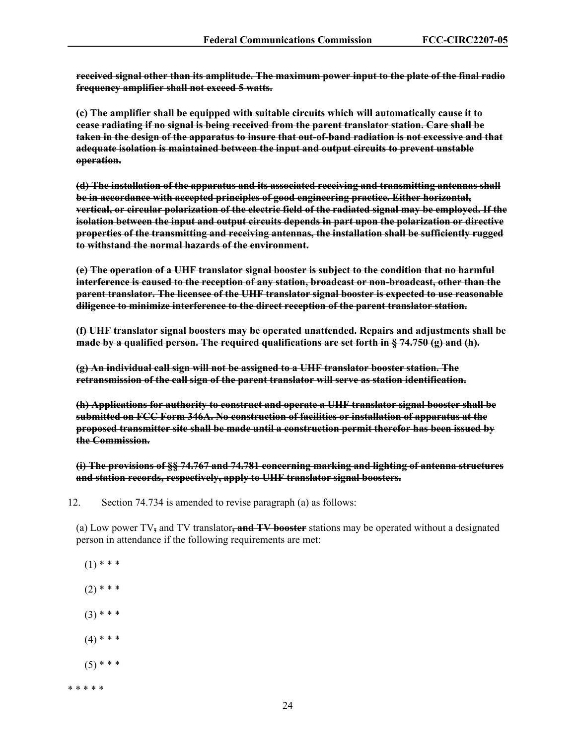**received signal other than its amplitude. The maximum power input to the plate of the final radio frequency amplifier shall not exceed 5 watts.** 

**(c) The amplifier shall be equipped with suitable circuits which will automatically cause it to cease radiating if no signal is being received from the parent translator station. Care shall be taken in the design of the apparatus to insure that out-of-band radiation is not excessive and that adequate isolation is maintained between the input and output circuits to prevent unstable operation.** 

**(d) The installation of the apparatus and its associated receiving and transmitting antennas shall be in accordance with accepted principles of good engineering practice. Either horizontal, vertical, or circular polarization of the electric field of the radiated signal may be employed. If the isolation between the input and output circuits depends in part upon the polarization or directive properties of the transmitting and receiving antennas, the installation shall be sufficiently rugged to withstand the normal hazards of the environment.** 

**(e) The operation of a UHF translator signal booster is subject to the condition that no harmful interference is caused to the reception of any station, broadcast or non-broadcast, other than the parent translator. The licensee of the UHF translator signal booster is expected to use reasonable diligence to minimize interference to the direct reception of the parent translator station.** 

**(f) UHF translator signal boosters may be operated unattended. Repairs and adjustments shall be made by a qualified person. The required qualifications are set forth in § 74.750 (g) and (h).** 

**(g) An individual call sign will not be assigned to a UHF translator booster station. The retransmission of the call sign of the parent translator will serve as station identification.** 

**(h) Applications for authority to construct and operate a UHF translator signal booster shall be submitted on FCC Form 346A. No construction of facilities or installation of apparatus at the proposed transmitter site shall be made until a construction permit therefor has been issued by the Commission.** 

**(i) The provisions of §§ 74.767 and 74.781 concerning marking and lighting of antenna structures and station records, respectively, apply to UHF translator signal boosters.** 

12. Section 74.734 is amended to revise paragraph (a) as follows:

(a) Low power TV**,** and TV translator**, and TV booster** stations may be operated without a designated person in attendance if the following requirements are met:

- $(1)$  \* \* \*
- $(2)$  \* \* \*
- $(3)$  \* \* \*
- $(4)$  \* \* \*
- $(5)$  \* \* \*

\* \* \* \* \*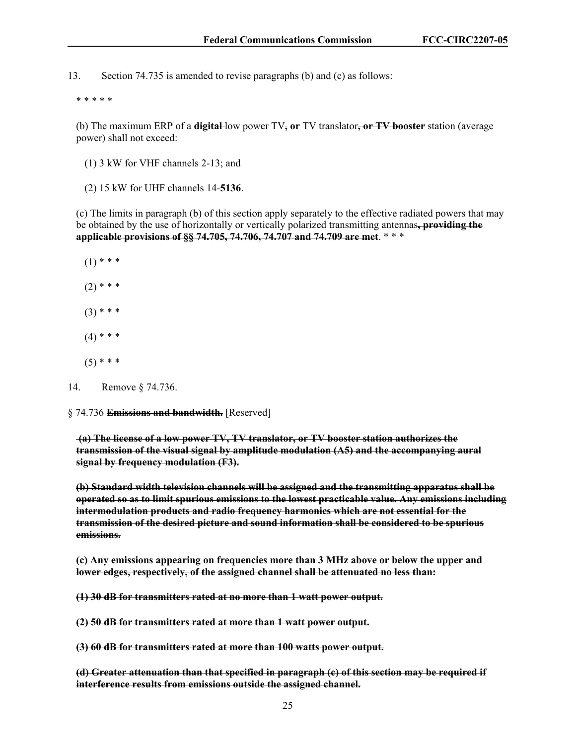13. Section 74.735 is amended to revise paragraphs (b) and (c) as follows:

\* \* \* \* \*

(b) The maximum ERP of a **digital** low power TV**, or** TV translator**, or TV booster** station (average power) shall not exceed:

- (1) 3 kW for VHF channels 2-13; and
- (2) 15 kW for UHF channels 14-**5136**.

(c) The limits in paragraph (b) of this section apply separately to the effective radiated powers that may be obtained by the use of horizontally or vertically polarized transmitting antennas**, providing the applicable provisions of §§ 74.705, 74.706, 74.707 and 74.709 are met**. \* \* \*

 $(1)$  \* \* \*

- $(2)$  \* \* \*
- $(3)$  \* \* \*
- $(4)$  \* \* \*
- $(5)$  \* \* \*

§ 74.736 **Emissions and bandwidth.** [Reserved]

**(a) The license of a low power TV, TV translator, or TV booster station authorizes the transmission of the visual signal by amplitude modulation (A5) and the accompanying aural signal by frequency modulation (F3).** 

**(b) Standard width television channels will be assigned and the transmitting apparatus shall be operated so as to limit spurious emissions to the lowest practicable value. Any emissions including intermodulation products and radio frequency harmonics which are not essential for the transmission of the desired picture and sound information shall be considered to be spurious emissions.** 

**(c) Any emissions appearing on frequencies more than 3 MHz above or below the upper and lower edges, respectively, of the assigned channel shall be attenuated no less than:** 

**(1) 30 dB for transmitters rated at no more than 1 watt power output.** 

**(2) 50 dB for transmitters rated at more than 1 watt power output.** 

**(3) 60 dB for transmitters rated at more than 100 watts power output.** 

**(d) Greater attenuation than that specified in paragraph (c) of this section may be required if interference results from emissions outside the assigned channel.** 

<sup>14.</sup> Remove § 74.736.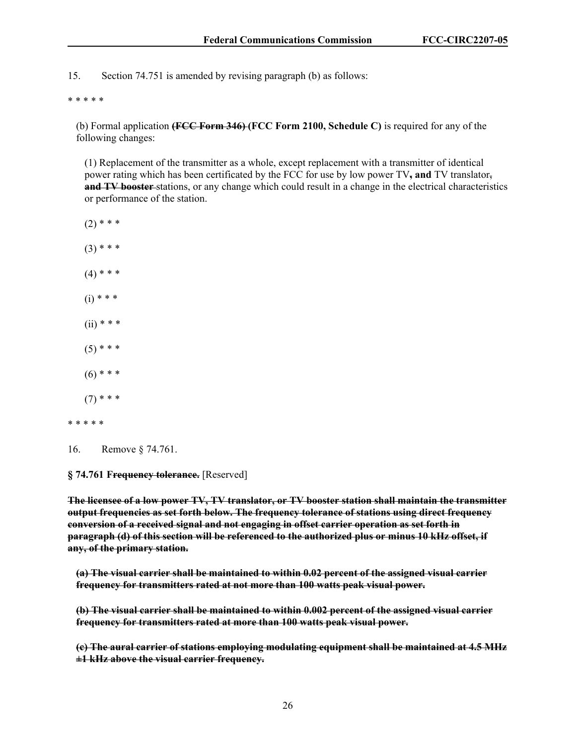15. Section 74.751 is amended by revising paragraph (b) as follows:

#### \* \* \* \* \*

(b) Formal application **(FCC Form 346) (FCC Form 2100, Schedule C)** is required for any of the following changes:

(1) Replacement of the transmitter as a whole, except replacement with a transmitter of identical power rating which has been certificated by the FCC for use by low power TV**, and** TV translator, **and TV booster** stations, or any change which could result in a change in the electrical characteristics or performance of the station.

- $(2)$  \* \* \*
- $(3)$  \* \* \*
- $(4)$  \* \* \*
- $(i) * * *$
- $(ii)$  \* \* \*
- $(5)$  \* \* \*
- $(6)$  \* \* \*
- $(7)$  \* \* \*
- \* \* \* \* \*
- 16. Remove § 74.761.

#### **§ 74.761 Frequency tolerance.** [Reserved]

**The licensee of a low power TV, TV translator, or TV booster station shall maintain the transmitter output frequencies as set forth below. The frequency tolerance of stations using direct frequency conversion of a received signal and not engaging in offset carrier operation as set forth in paragraph (d) of this section will be referenced to the authorized plus or minus 10 kHz offset, if any, of the primary station.** 

**(a) The visual carrier shall be maintained to within 0.02 percent of the assigned visual carrier frequency for transmitters rated at not more than 100 watts peak visual power.** 

**(b) The visual carrier shall be maintained to within 0.002 percent of the assigned visual carrier frequency for transmitters rated at more than 100 watts peak visual power.** 

**(c) The aural carrier of stations employing modulating equipment shall be maintained at 4.5 MHz ±1 kHz above the visual carrier frequency.**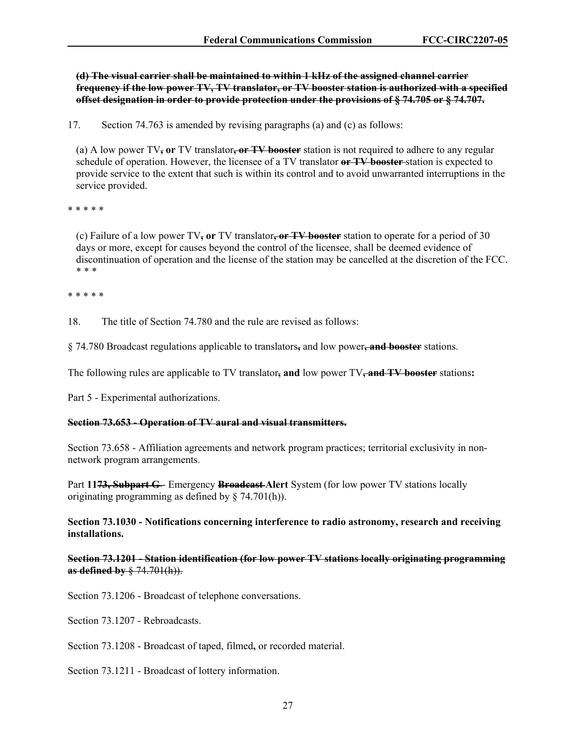**(d) The visual carrier shall be maintained to within 1 kHz of the assigned channel carrier frequency if the low power TV, TV translator, or TV booster station is authorized with a specified offset designation in order to provide protection under the provisions of § 74.705 or § 74.707.** 

17. Section 74.763 is amended by revising paragraphs (a) and (c) as follows:

(a) A low power TV**, or** TV translator**, or TV booster** station is not required to adhere to any regular schedule of operation. However, the licensee of a TV translator **or TV booster** station is expected to provide service to the extent that such is within its control and to avoid unwarranted interruptions in the service provided.

\* \* \* \* \*

(c) Failure of a low power TV**, or** TV translator**, or TV booster** station to operate for a period of 30 days or more, except for causes beyond the control of the licensee, shall be deemed evidence of discontinuation of operation and the license of the station may be cancelled at the discretion of the FCC. \* \* \*

\* \* \* \* \*

18. The title of Section 74.780 and the rule are revised as follows:

§ 74.780 Broadcast regulations applicable to translators**,** and low power**, and booster** stations.

The following rules are applicable to TV translator**, and** low power TV**, and TV booster** stations**:**

Part 5 - Experimental authorizations.

#### **Section 73.653 - Operation of TV aural and visual transmitters.**

Section 73.658 - Affiliation agreements and network program practices; territorial exclusivity in nonnetwork program arrangements.

Part 11<del>73, Subpart G</del>-Emergency Broadcast-Alert System (for low power TV stations locally originating programming as defined by § 74.701(h)).

**Section 73.1030 - Notifications concerning interference to radio astronomy, research and receiving installations.** 

**Section 73.1201 - Station identification (for low power TV stations locally originating programming as defined by** § 74.701(h)).

Section 73.1206 - Broadcast of telephone conversations.

Section 73.1207 - Rebroadcasts.

Section 73.1208 - Broadcast of taped, filmed**,** or recorded material.

Section 73.1211 - Broadcast of lottery information.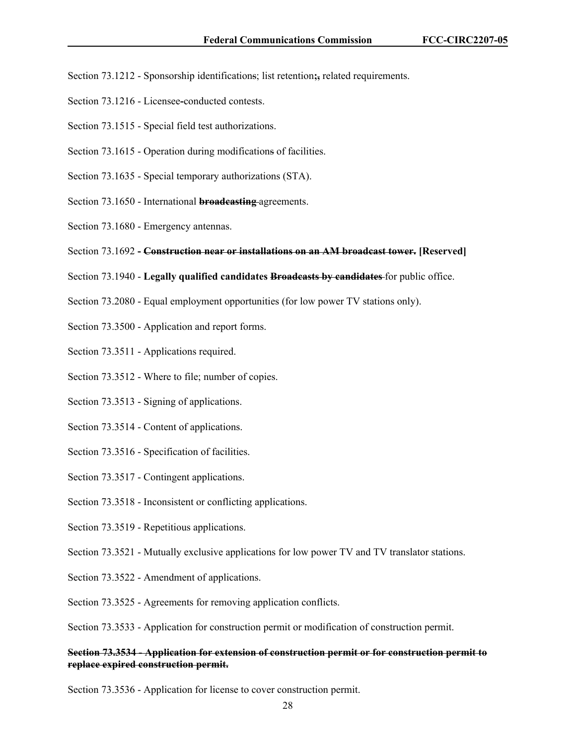- Section 73.1212 Sponsorship identifications; list retention**;,** related requirements.
- Section 73.1216 Licensee**-**conducted contests.
- Section 73.1515 Special field test authorizations.
- Section 73.1615 Operation during modifications of facilities.
- Section 73.1635 Special temporary authorizations (STA).
- Section 73.1650 International **broadcasting** agreements.
- Section 73.1680 Emergency antennas.
- Section 73.1692 **Construction near or installations on an AM broadcast tower. [Reserved]**
- Section 73.1940 **Legally qualified candidates Broadcasts by candidates** for public office.
- Section 73.2080 Equal employment opportunities (for low power TV stations only).
- Section 73.3500 Application and report forms.
- Section 73.3511 Applications required.
- Section 73.3512 Where to file; number of copies.
- Section 73.3513 Signing of applications.
- Section 73.3514 Content of applications.
- Section 73.3516 Specification of facilities.
- Section 73.3517 Contingent applications.
- Section 73.3518 Inconsistent or conflicting applications.
- Section 73.3519 Repetitious applications.
- Section 73.3521 Mutually exclusive applications for low power TV and TV translator stations.
- Section 73.3522 Amendment of applications.
- Section 73.3525 Agreements for removing application conflicts.

Section 73.3533 - Application for construction permit or modification of construction permit.

#### **Section 73.3534 - Application for extension of construction permit or for construction permit to replace expired construction permit.**

Section 73.3536 - Application for license to cover construction permit.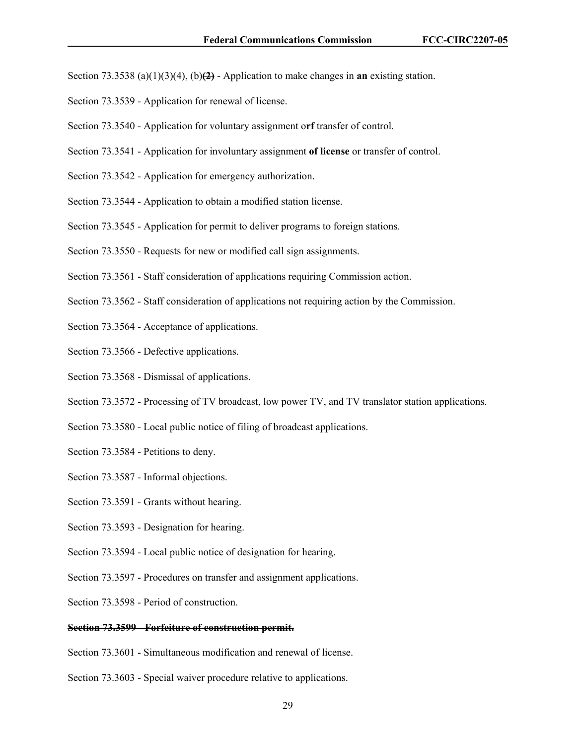Section 73.3538 (a)(1)(3)(4), (b)**(2)** - Application to make changes in **an** existing station.

- Section 73.3539 Application for renewal of license.
- Section 73.3540 Application for voluntary assignment o**rf** transfer of control.
- Section 73.3541 Application for involuntary assignment **of license** or transfer of control.
- Section 73.3542 Application for emergency authorization.
- Section 73.3544 Application to obtain a modified station license.
- Section 73.3545 Application for permit to deliver programs to foreign stations.
- Section 73.3550 Requests for new or modified call sign assignments.
- Section 73.3561 Staff consideration of applications requiring Commission action.
- Section 73.3562 Staff consideration of applications not requiring action by the Commission.
- Section 73.3564 Acceptance of applications.
- Section 73.3566 Defective applications.
- Section 73.3568 Dismissal of applications.
- Section 73.3572 Processing of TV broadcast, low power TV, and TV translator station applications.
- Section 73.3580 Local public notice of filing of broadcast applications.
- Section 73.3584 Petitions to deny.
- Section 73.3587 Informal objections.
- Section 73.3591 Grants without hearing.
- Section 73.3593 Designation for hearing.
- Section 73.3594 Local public notice of designation for hearing.
- Section 73.3597 Procedures on transfer and assignment applications.
- Section 73.3598 Period of construction.

## **Section 73.3599 - Forfeiture of construction permit.**

- Section 73.3601 Simultaneous modification and renewal of license.
- Section 73.3603 Special waiver procedure relative to applications.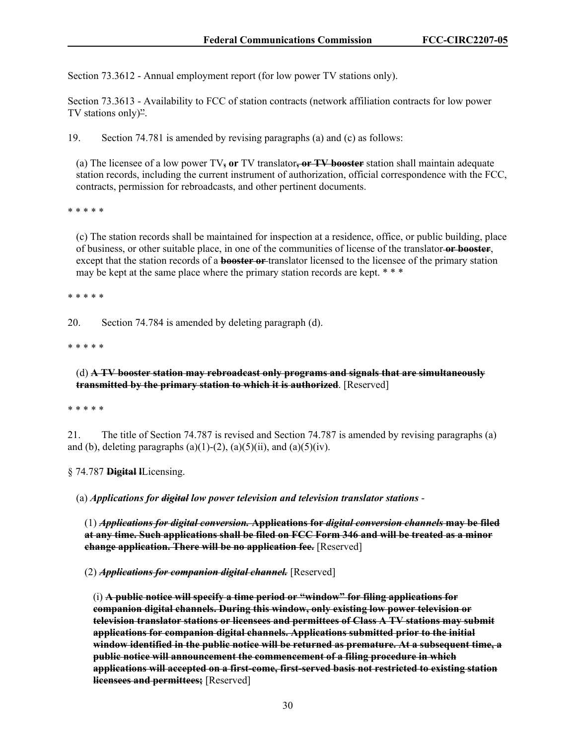Section 73.3612 - Annual employment report (for low power TV stations only).

Section 73.3613 - Availability to FCC of station contracts (network affiliation contracts for low power TV stations only)".

19. Section 74.781 is amended by revising paragraphs (a) and (c) as follows:

(a) The licensee of a low power TV**, or** TV translator**, or TV booster** station shall maintain adequate station records, including the current instrument of authorization, official correspondence with the FCC, contracts, permission for rebroadcasts, and other pertinent documents.

\* \* \* \* \*

(c) The station records shall be maintained for inspection at a residence, office, or public building, place of business, or other suitable place, in one of the communities of license of the translator **or booster**, except that the station records of a **booster or** translator licensed to the licensee of the primary station may be kept at the same place where the primary station records are kept. \* \* \*

\* \* \* \* \*

20. Section 74.784 is amended by deleting paragraph (d).

\* \* \* \* \*

(d) **A TV booster station may rebroadcast only programs and signals that are simultaneously transmitted by the primary station to which it is authorized**. [Reserved]

\* \* \* \* \*

21. The title of Section 74.787 is revised and Section 74.787 is amended by revising paragraphs (a) and (b), deleting paragraphs (a)(1)-(2), (a)(5)(ii), and (a)(5)(iv).

§ 74.787 **Digital l**Licensing.

(a) *Applications for digital low power television and television translator stations* -

(1) *Applications for digital conversion.* **Applications for** *digital conversion channels* **may be filed at any time. Such applications shall be filed on FCC Form 346 and will be treated as a minor change application. There will be no application fee.** [Reserved]

(2) *Applications for companion digital channel.* [Reserved]

(i) **A public notice will specify a time period or "window" for filing applications for companion digital channels. During this window, only existing low power television or television translator stations or licensees and permittees of Class A TV stations may submit applications for companion digital channels. Applications submitted prior to the initial window identified in the public notice will be returned as premature. At a subsequent time, a public notice will announcement the commencement of a filing procedure in which applications will accepted on a first-come, first-served basis not restricted to existing station licensees and permittees;** [Reserved]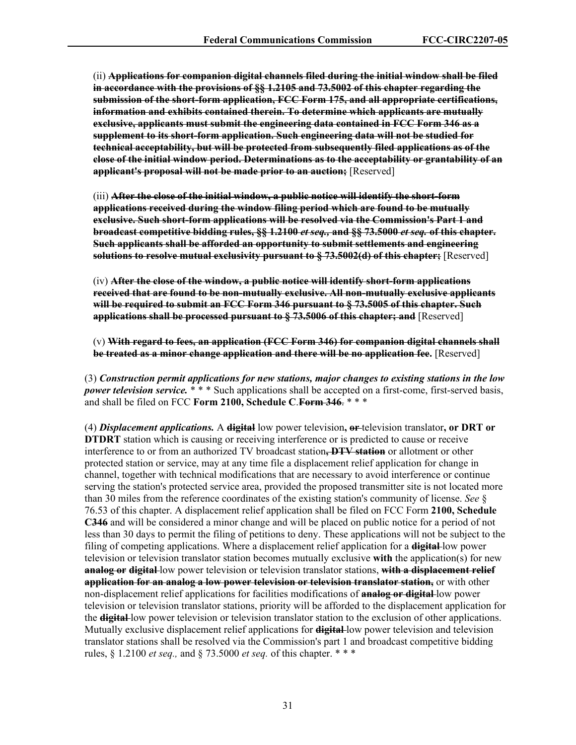(ii) **Applications for companion digital channels filed during the initial window shall be filed in accordance with the provisions of §§ 1.2105 and 73.5002 of this chapter regarding the submission of the short-form application, FCC Form 175, and all appropriate certifications, information and exhibits contained therein. To determine which applicants are mutually exclusive, applicants must submit the engineering data contained in FCC Form 346 as a supplement to its short-form application. Such engineering data will not be studied for technical acceptability, but will be protected from subsequently filed applications as of the close of the initial window period. Determinations as to the acceptability or grantability of an applicant's proposal will not be made prior to an auction;** [Reserved]

(iii) **After the close of the initial window, a public notice will identify the short-form applications received during the window filing period which are found to be mutually exclusive. Such short-form applications will be resolved via the Commission's Part 1 and broadcast competitive bidding rules, §§ 1.2100** *et seq.,* **and §§ 73.5000** *et seq.* **of this chapter. Such applicants shall be afforded an opportunity to submit settlements and engineering solutions to resolve mutual exclusivity pursuant to § 73.5002(d) of this chapter;** [Reserved]

(iv) **After the close of the window, a public notice will identify short-form applications received that are found to be non-mutually exclusive. All non-mutually exclusive applicants will be required to submit an FCC Form 346 pursuant to § 73.5005 of this chapter. Such applications shall be processed pursuant to § 73.5006 of this chapter; and** [Reserved]

(v) **With regard to fees, an application (FCC Form 346) for companion digital channels shall be treated as a minor change application and there will be no application fee.** [Reserved]

(3) *Construction permit applications for new stations, major changes to existing stations in the low power television service.* \* \* \* Such applications shall be accepted on a first-come, first-served basis, and shall be filed on FCC **Form 2100, Schedule C**.**Form 346**. \* \* \*

(4) *Displacement applications.* A **digital** low power television**, or** television translator**, or DRT or DTDRT** station which is causing or receiving interference or is predicted to cause or receive interference to or from an authorized TV broadcast station**, DTV station** or allotment or other protected station or service, may at any time file a displacement relief application for change in channel, together with technical modifications that are necessary to avoid interference or continue serving the station's protected service area, provided the proposed transmitter site is not located more than 30 miles from the reference coordinates of the existing station's community of license. *See* § 76.53 of this chapter. A displacement relief application shall be filed on FCC Form **2100, Schedule C346** and will be considered a minor change and will be placed on public notice for a period of not less than 30 days to permit the filing of petitions to deny. These applications will not be subject to the filing of competing applications. Where a displacement relief application for a **digital** low power television or television translator station becomes mutually exclusive **with** the application(s) for new **analog or digital** low power television or television translator stations, **with a displacement relief application for an analog a low power television or television translator station,** or with other non-displacement relief applications for facilities modifications of **analog or digital** low power television or television translator stations, priority will be afforded to the displacement application for the **digital** low power television or television translator station to the exclusion of other applications. Mutually exclusive displacement relief applications for **digital** low power television and television translator stations shall be resolved via the Commission's part 1 and broadcast competitive bidding rules, § 1.2100 *et seq.,* and § 73.5000 *et seq.* of this chapter. \* \* \*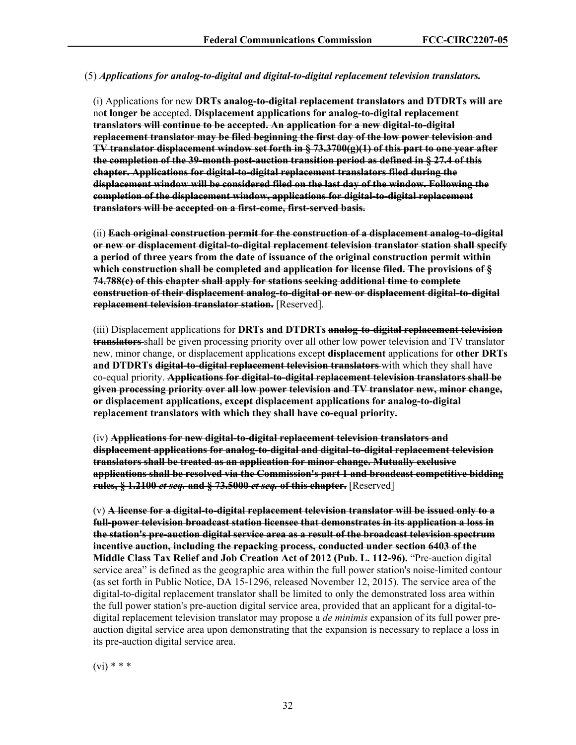## (5) *Applications for analog-to-digital and digital-to-digital replacement television translators.*

(i) Applications for new **DRTs analog-to-digital replacement translators and DTDRTs will are** no**t longer be** accepted. **Displacement applications for analog-to-digital replacement translators will continue to be accepted. An application for a new digital-to-digital replacement translator may be filed beginning the first day of the low power television and TV translator displacement window set forth in [§ 73.3700\(g\)\(1\) of this part](https://www.ecfr.gov/current/title-47/part-74/section-74.73.3700#p-74.73.3700(g)(1)) to one year after the completion of the 39-month post-auction transition period as defined in [§ 27.4 of this](https://www.ecfr.gov/current/title-47/section-27.4)  [chapter.](https://www.ecfr.gov/current/title-47/section-27.4) Applications for digital-to-digital replacement translators filed during the displacement window will be considered filed on the last day of the window. Following the completion of the displacement window, applications for digital-to-digital replacement translators will be accepted on a first-come, first-served basis.**

(ii) **Each original construction permit for the construction of a displacement analog-to-digital or new or displacement digital-to-digital replacement television translator station shall specify a period of three years from the date of issuance of the original construction permit within which construction shall be completed and application for license filed. The provisions of [§](https://www.ecfr.gov/current/title-47/section-74.788#p-74.788(c))  [74.788\(c\) of this chapter](https://www.ecfr.gov/current/title-47/section-74.788#p-74.788(c)) shall apply for stations seeking additional time to complete construction of their displacement analog-to-digital or new or displacement digital-to-digital replacement television translator station.** [Reserved].

(iii) Displacement applications for **DRTs and DTDRTs analog-to-digital replacement television translators** shall be given processing priority over all other low power television and TV translator new, minor change, or displacement applications except **displacement** applications for **other DRTs and DTDRTs digital-to-digital replacement television translators** with which they shall have co-equal priority. **Applications for digital-to-digital replacement television translators shall be given processing priority over all low power television and TV translator new, minor change, or displacement applications, except displacement applications for analog-to-digital replacement translators with which they shall have co-equal priority.**

(iv) **Applications for new digital-to-digital replacement television translators and displacement applications for analog-to-digital and digital-to-digital replacement television translators shall be treated as an application for minor change. Mutually exclusive applications shall be resolved via the Commission's part 1 and broadcast competitive bidding rules, [§ 1.2100](https://www.ecfr.gov/current/title-47/section-1.2100)** *et seq.* **and [§ 73.5000](https://www.ecfr.gov/current/title-47/section-73.5000)** *et seq.* **of this chapter.** [Reserved]

(v) **A license for a digital-to-digital replacement television translator will be issued only to a full-power television broadcast station licensee that demonstrates in its application a loss in the station's pre-auction digital service area as a result of the broadcast television spectrum incentive auction, including the repacking process, conducted under section 6403 of the Middle Class Tax Relief and Job Creation Act of 2012 [\(Pub. L. 112-96\)](https://www.govinfo.gov/link/plaw/112/public/96).** "Pre-auction digital service area" is defined as the geographic area within the full power station's noise-limited contour (as set forth in Public Notice, DA 15-1296, released November 12, 2015). The service area of the digital-to-digital replacement translator shall be limited to only the demonstrated loss area within the full power station's pre-auction digital service area, provided that an applicant for a digital-todigital replacement television translator may propose a *de minimis* expansion of its full power preauction digital service area upon demonstrating that the expansion is necessary to replace a loss in its pre-auction digital service area.

 $(vi)$  \* \* \*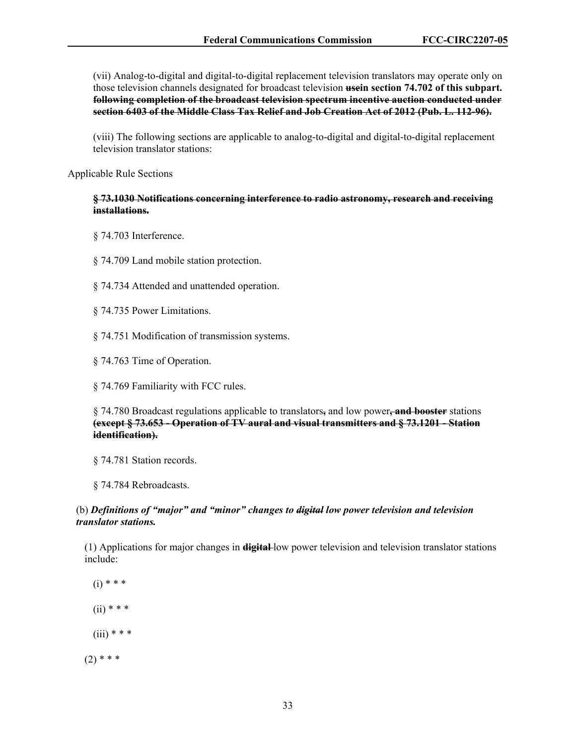(vii) Analog-to-digital and digital-to-digital replacement television translators may operate only on those television channels designated for broadcast television **usein section 74.702 of this subpart. following completion of the broadcast television spectrum incentive auction conducted under section 6403 of the Middle Class Tax Relief and Job Creation Act of 2012 [\(Pub. L. 112-96\)](https://www.govinfo.gov/link/plaw/112/public/96).**

(viii) The following sections are applicable to analog-to-digital and digital-to-digital replacement television translator stations:

Applicable Rule Sections

### **§ 73.1030 Notifications concerning interference to radio astronomy, research and receiving installations.**

- § 74.703 Interference.
- § 74.709 Land mobile station protection.
- § 74.734 Attended and unattended operation.
- § 74.735 Power Limitations.
- § 74.751 Modification of transmission systems.
- § 74.763 Time of Operation.
- § 74.769 Familiarity with FCC rules.

§ 74.780 Broadcast regulations applicable to translators**,** and low power**, and booster** stations **(except [§ 73.653](https://www.ecfr.gov/current/title-47/section-73.653) - Operation of TV aural and visual transmitters and [§ 73.1201](https://www.ecfr.gov/current/title-47/section-73.1201) - Station identification).** 

§ 74.781 Station records.

§ 74.784 Rebroadcasts.

## (b) *Definitions of "major" and "minor" changes to digital low power television and television translator stations.*

(1) Applications for major changes in **digital** low power television and television translator stations include:

 $(i)$  \* \* \*  $(ii)$  \* \* \*  $(iii)$  \* \* \*  $(2)$  \* \* \*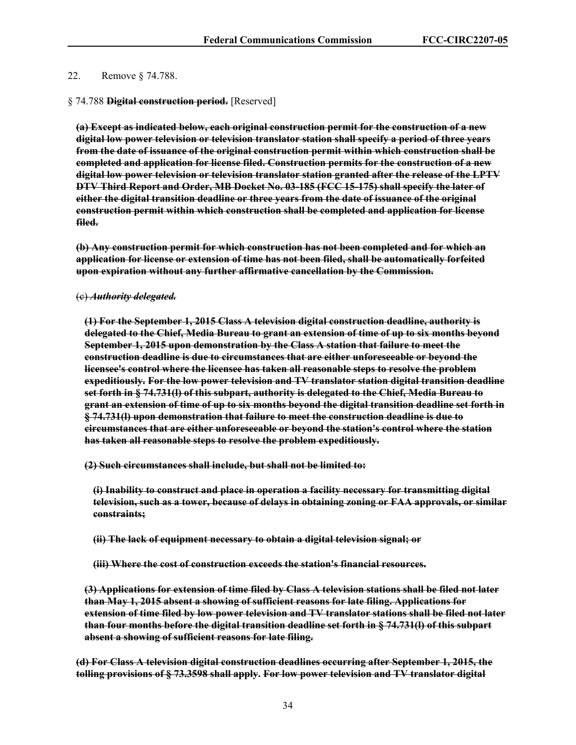## 22. Remove § 74.788.

## § 74.788 **Digital construction period.** [Reserved]

**(a) Except as indicated below, each original construction permit for the construction of a new digital low power television or television translator station shall specify a period of three years from the date of issuance of the original construction permit within which construction shall be completed and application for license filed. Construction permits for the construction of a new digital low power television or television translator station granted after the release of the LPTV DTV Third Report and Order, MB Docket No. 03-185 (FCC 15-175) shall specify the later of either the digital transition deadline or three years from the date of issuance of the original construction permit within which construction shall be completed and application for license filed.** 

**(b) Any construction permit for which construction has not been completed and for which an application for license or extension of time has not been filed, shall be automatically forfeited upon expiration without any further affirmative cancellation by the Commission.** 

#### (c) *Authority delegated.*

**(1) For the September 1, 2015 Class A television digital construction deadline, authority is delegated to the Chief, Media Bureau to grant an extension of time of up to six months beyond September 1, 2015 upon demonstration by the Class A station that failure to meet the construction deadline is due to circumstances that are either unforeseeable or beyond the licensee's control where the licensee has taken all reasonable steps to resolve the problem expeditiously. For the low power television and TV translator station digital transition deadline set forth in § 74.731(l) of this subpart, authority is delegated to the Chief, Media Bureau to grant an extension of time of up to six months beyond the digital transition deadline set forth in § 74.731(l) upon demonstration that failure to meet the construction deadline is due to circumstances that are either unforeseeable or beyond the station's control where the station has taken all reasonable steps to resolve the problem expeditiously.** 

**(2) Such circumstances shall include, but shall not be limited to:** 

**(i) Inability to construct and place in operation a facility necessary for transmitting digital television, such as a tower, because of delays in obtaining zoning or FAA approvals, or similar constraints;** 

**(ii) The lack of equipment necessary to obtain a digital television signal; or** 

**(iii) Where the cost of construction exceeds the station's financial resources.** 

**(3) Applications for extension of time filed by Class A television stations shall be filed not later than May 1, 2015 absent a showing of sufficient reasons for late filing. Applications for extension of time filed by low power television and TV translator stations shall be filed not later than four months before the digital transition deadline set forth in § 74.731(l) of this subpart absent a showing of sufficient reasons for late filing.** 

**(d) For Class A television digital construction deadlines occurring after September 1, 2015, the tolling provisions of § 73.3598 shall apply. For low power television and TV translator digital**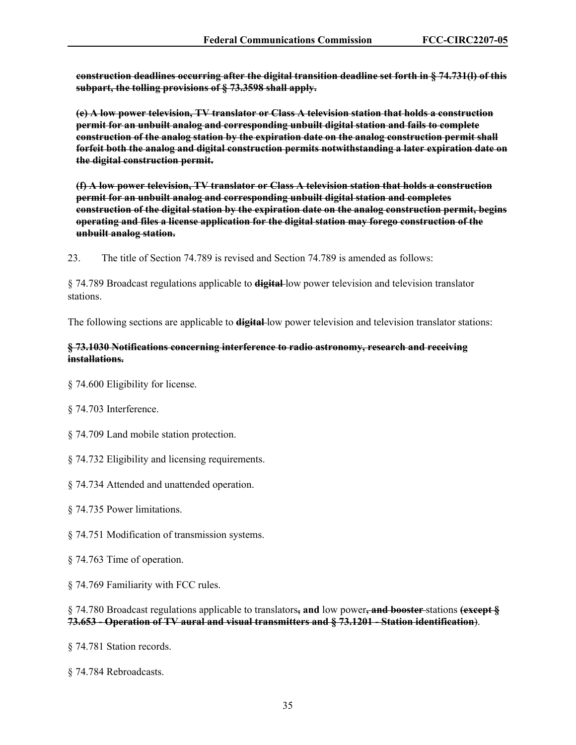**construction deadlines occurring after the digital transition deadline set forth in § 74.731(l) of this subpart, the tolling provisions of § 73.3598 shall apply.** 

**(e) A low power television, TV translator or Class A television station that holds a construction permit for an unbuilt analog and corresponding unbuilt digital station and fails to complete construction of the analog station by the expiration date on the analog construction permit shall forfeit both the analog and digital construction permits notwithstanding a later expiration date on the digital construction permit.** 

**(f) A low power television, TV translator or Class A television station that holds a construction permit for an unbuilt analog and corresponding unbuilt digital station and completes construction of the digital station by the expiration date on the analog construction permit, begins operating and files a license application for the digital station may forego construction of the unbuilt analog station.** 

23. The title of Section 74.789 is revised and Section 74.789 is amended as follows:

§ 74.789 Broadcast regulations applicable to **digital** low power television and television translator stations.

The following sections are applicable to **digital** low power television and television translator stations:

## **§ 73.1030 Notifications concerning interference to radio astronomy, research and receiving installations.**

§ 74.600 Eligibility for license.

§ 74.703 Interference.

§ 74.709 Land mobile station protection.

§ 74.732 Eligibility and licensing requirements.

§ 74.734 Attended and unattended operation.

§ 74.735 Power limitations.

§ 74.751 Modification of transmission systems.

§ 74.763 Time of operation.

§ 74.769 Familiarity with FCC rules.

§ 74.780 Broadcast regulations applicable to translators**, and** low power**, and booster** stations **(except § 73.653 - Operation of TV aural and visual transmitters and § 73.1201 - Station identification**).

§ 74.781 Station records.

§ 74.784 Rebroadcasts.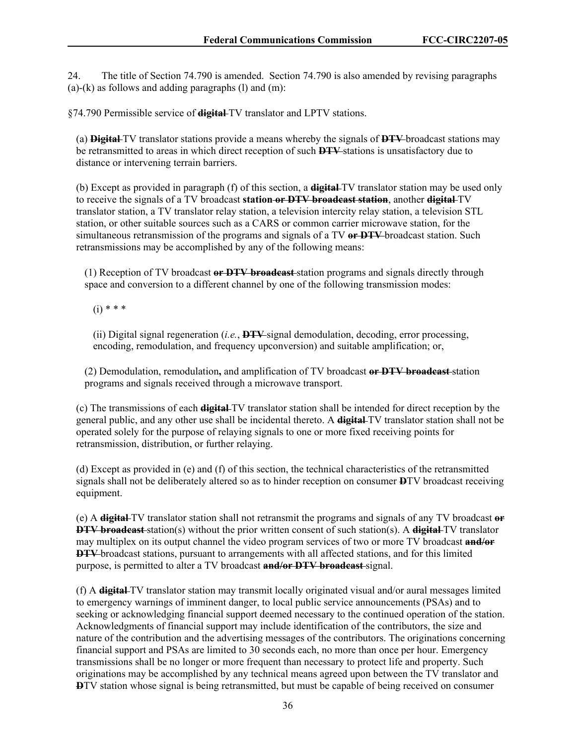24. The title of Section 74.790 is amended. Section 74.790 is also amended by revising paragraphs  $(a)-(k)$  as follows and adding paragraphs  $(l)$  and  $(m)$ :

§74.790 Permissible service of **digital** TV translator and LPTV stations.

(a) **Digital** TV translator stations provide a means whereby the signals of **DTV** broadcast stations may be retransmitted to areas in which direct reception of such **DTV** stations is unsatisfactory due to distance or intervening terrain barriers.

(b) Except as provided in paragraph (f) of this section, a **digital** TV translator station may be used only to receive the signals of a TV broadcast **station or DTV broadcast station**, another **digital** TV translator station, a TV translator relay station, a television intercity relay station, a television STL station, or other suitable sources such as a CARS or common carrier microwave station, for the simultaneous retransmission of the programs and signals of a TV **or DTV** broadcast station. Such retransmissions may be accomplished by any of the following means:

(1) Reception of TV broadcast **or DTV broadcast** station programs and signals directly through space and conversion to a different channel by one of the following transmission modes:

 $(i) * * * *$ 

(ii) Digital signal regeneration (*i.e.*, **DTV** signal demodulation, decoding, error processing, encoding, remodulation, and frequency upconversion) and suitable amplification; or,

(2) Demodulation, remodulation**,** and amplification of TV broadcast **or DTV broadcast** station programs and signals received through a microwave transport.

(c) The transmissions of each **digital** TV translator station shall be intended for direct reception by the general public, and any other use shall be incidental thereto. A **digital** TV translator station shall not be operated solely for the purpose of relaying signals to one or more fixed receiving points for retransmission, distribution, or further relaying.

(d) Except as provided in (e) and (f) of this section, the technical characteristics of the retransmitted signals shall not be deliberately altered so as to hinder reception on consumer **D**TV broadcast receiving equipment.

(e) A **digital** TV translator station shall not retransmit the programs and signals of any TV broadcast **or DTV broadcast** station(s) without the prior written consent of such station(s). A **digital** TV translator may multiplex on its output channel the video program services of two or more TV broadcast **and/or DTV** broadcast stations, pursuant to arrangements with all affected stations, and for this limited purpose, is permitted to alter a TV broadcast **and/or DTV broadcast** signal.

(f) A **digital** TV translator station may transmit locally originated visual and/or aural messages limited to emergency warnings of imminent danger, to local public service announcements (PSAs) and to seeking or acknowledging financial support deemed necessary to the continued operation of the station. Acknowledgments of financial support may include identification of the contributors, the size and nature of the contribution and the advertising messages of the contributors. The originations concerning financial support and PSAs are limited to 30 seconds each, no more than once per hour. Emergency transmissions shall be no longer or more frequent than necessary to protect life and property. Such originations may be accomplished by any technical means agreed upon between the TV translator and **D**TV station whose signal is being retransmitted, but must be capable of being received on consumer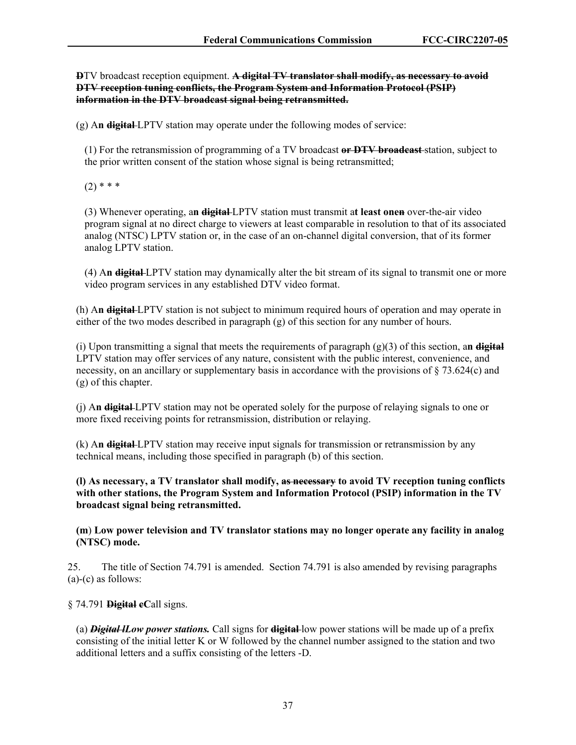**D**TV broadcast reception equipment. **A digital TV translator shall modify, as necessary to avoid DTV reception tuning conflicts, the Program System and Information Protocol (PSIP) information in the DTV broadcast signal being retransmitted.** 

(g) A**n digital** LPTV station may operate under the following modes of service:

(1) For the retransmission of programming of a TV broadcast **or DTV broadcast** station, subject to the prior written consent of the station whose signal is being retransmitted;

 $(2)$  \* \* \*

(3) Whenever operating, a**n digital** LPTV station must transmit a**t least onen** over-the-air video program signal at no direct charge to viewers at least comparable in resolution to that of its associated analog (NTSC) LPTV station or, in the case of an on-channel digital conversion, that of its former analog LPTV station.

(4) A**n digital** LPTV station may dynamically alter the bit stream of its signal to transmit one or more video program services in any established DTV video format.

(h) A**n digital** LPTV station is not subject to minimum required hours of operation and may operate in either of the two modes described in paragraph (g) of this section for any number of hours.

(i) Upon transmitting a signal that meets the requirements of paragraph (g)(3) of this section, a**n digital** LPTV station may offer services of any nature, consistent with the public interest, convenience, and necessity, on an ancillary or supplementary basis in accordance with the provisions of  $\S 73.624(c)$  and (g) of this chapter.

(j) A**n digital** LPTV station may not be operated solely for the purpose of relaying signals to one or more fixed receiving points for retransmission, distribution or relaying.

(k) A**n digital** LPTV station may receive input signals for transmission or retransmission by any technical means, including those specified in paragraph (b) of this section.

**(l) As necessary, a TV translator shall modify, as necessary to avoid TV reception tuning conflicts with other stations, the Program System and Information Protocol (PSIP) information in the TV broadcast signal being retransmitted.** 

**(m**) **Low power television and TV translator stations may no longer operate any facility in analog (NTSC) mode.**

25. The title of Section 74.791 is amended. Section 74.791 is also amended by revising paragraphs (a)-(c) as follows:

§ 74.791 **Digital cC**all signs.

(a) *Digital lLow power stations.* Call signs for **digital** low power stations will be made up of a prefix consisting of the initial letter K or W followed by the channel number assigned to the station and two additional letters and a suffix consisting of the letters -D.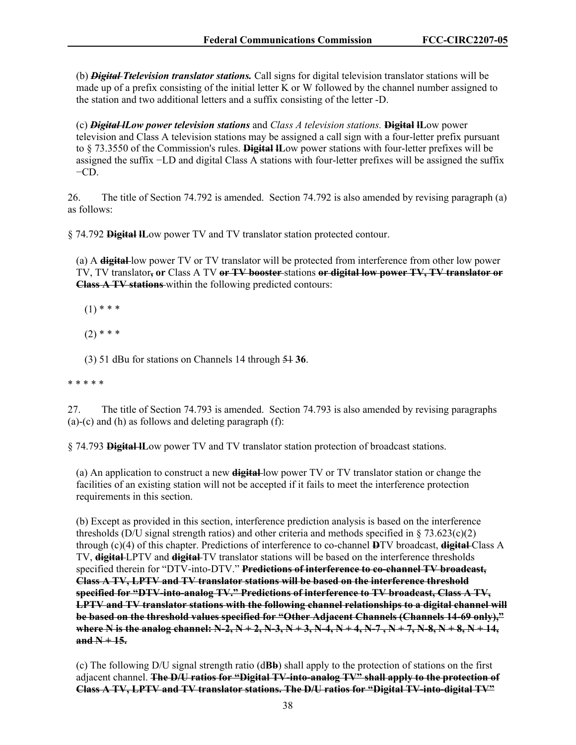(b) *Digital Ttelevision translator stations.* Call signs for digital television translator stations will be made up of a prefix consisting of the initial letter K or W followed by the channel number assigned to the station and two additional letters and a suffix consisting of the letter -D.

(c) *Digital lLow power television stations* and *Class A television stations.* **Digital lL**ow power television and Class A television stations may be assigned a call sign with a four-letter prefix pursuant to § 73.3550 of the Commission's rules. **Digital lL**ow power stations with four-letter prefixes will be assigned the suffix −LD and digital Class A stations with four-letter prefixes will be assigned the suffix  $-CD$ .

26. The title of Section 74.792 is amended. Section 74.792 is also amended by revising paragraph (a) as follows:

§ 74.792 **Digital lL**ow power TV and TV translator station protected contour.

(a) A **digital** low power TV or TV translator will be protected from interference from other low power TV, TV translator**, or** Class A TV **or TV booster** stations **or digital low power TV, TV translator or Class A TV stations** within the following predicted contours:

 $(1)$  \* \* \*

 $(2)$  \* \* \*

(3) 51 dBu for stations on Channels 14 through 51 **36**.

\* \* \* \* \*

27. The title of Section 74.793 is amended. Section 74.793 is also amended by revising paragraphs (a)-(c) and (h) as follows and deleting paragraph  $(f)$ :

§ 74.793 **Digital lL**ow power TV and TV translator station protection of broadcast stations.

(a) An application to construct a new **digital** low power TV or TV translator station or change the facilities of an existing station will not be accepted if it fails to meet the interference protection requirements in this section.

(b) Except as provided in this section, interference prediction analysis is based on the interference thresholds (D/U signal strength ratios) and other criteria and methods specified in  $\S$  73.623(c)(2) through (c)(4) of this chapter. Predictions of interference to co-channel **D**TV broadcast, **digital** Class A TV, **digital** LPTV and **digital** TV translator stations will be based on the interference thresholds specified therein for "DTV-into-DTV." **Predictions of interference to co-channel TV broadcast, Class A TV, LPTV and TV translator stations will be based on the interference threshold specified for "DTV-into-analog TV." Predictions of interference to TV broadcast, Class A TV, LPTV and TV translator stations with the following channel relationships to a digital channel will be based on the threshold values specified for "Other Adjacent Channels (Channels 14-69 only)," where N is the analog channel: N-2, N + 2, N-3, N + 3, N-4, N + 4, N-7 , N + 7, N-8, N + 8, N + 14,**   $and N+15.$ 

(c) The following D/U signal strength ratio (d**Bb**) shall apply to the protection of stations on the first adjacent channel. **The D/U ratios for "Digital TV-into-analog TV" shall apply to the protection of Class A TV, LPTV and TV translator stations. The D/U ratios for "Digital TV-into-digital TV"**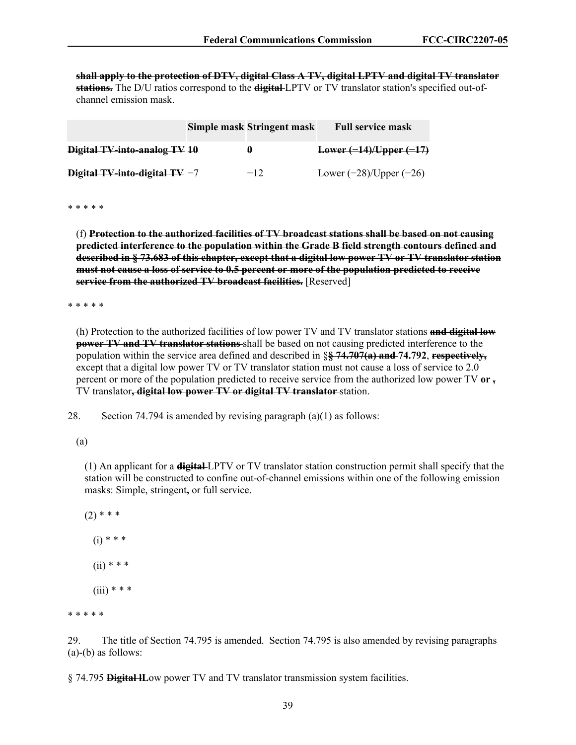**shall apply to the protection of DTV, digital Class A TV, digital LPTV and digital TV translator stations.** The D/U ratios correspond to the **digital** LPTV or TV translator station's specified out-ofchannel emission mask.

|                                 | Simple mask Stringent mask | <b>Full service mask</b>     |
|---------------------------------|----------------------------|------------------------------|
| Digital TV-into-analog TV 10    | H                          | $Lower (-14)/Upper (-17)$    |
| Digital TV-into-digital TV $-7$ | $-12$                      | Lower $(-28)$ /Upper $(-26)$ |

\* \* \* \* \*

(f) **Protection to the authorized facilities of TV broadcast stations shall be based on not causing predicted interference to the population within the Grade B field strength contours defined and described in § 73.683 of this chapter, except that a digital low power TV or TV translator station must not cause a loss of service to 0.5 percent or more of the population predicted to receive service from the authorized TV broadcast facilities.** [Reserved]

\* \* \* \* \*

(h) Protection to the authorized facilities of low power TV and TV translator stations **and digital low power TV and TV translator stations** shall be based on not causing predicted interference to the population within the service area defined and described in §**§ 74.707(a) and 74.792**, **respectively,** except that a digital low power TV or TV translator station must not cause a loss of service to 2.0 percent or more of the population predicted to receive service from the authorized low power TV **or ,**  TV translator**, digital low power TV or digital TV translator** station.

28. Section 74.794 is amended by revising paragraph (a)(1) as follows:

(a)

(1) An applicant for a **digital** LPTV or TV translator station construction permit shall specify that the station will be constructed to confine out-of-channel emissions within one of the following emission masks: Simple, stringent**,** or full service.

 $(2)$  \* \* \*  $(i) * * *$  $(ii)$  \* \* \*  $(iii)$  \* \* \*

\* \* \* \* \*

29. The title of Section 74.795 is amended. Section 74.795 is also amended by revising paragraphs (a)-(b) as follows:

§ 74.795 **Digital lL**ow power TV and TV translator transmission system facilities.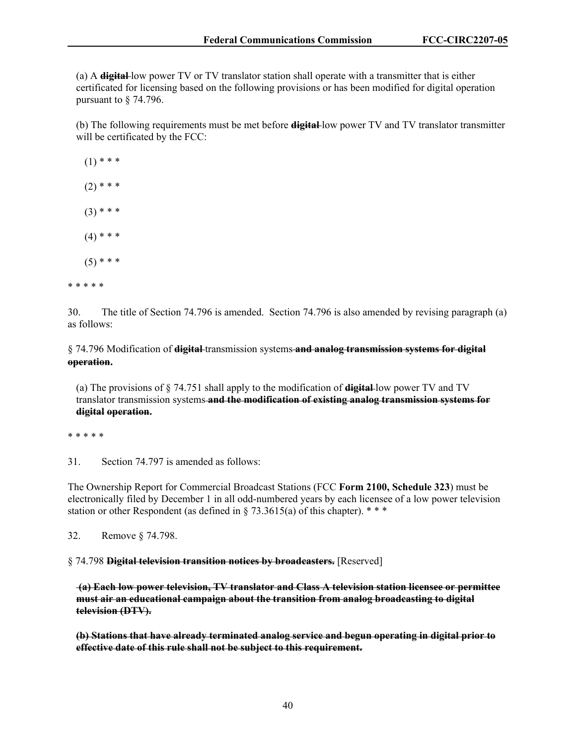(a) A **digital** low power TV or TV translator station shall operate with a transmitter that is either certificated for licensing based on the following provisions or has been modified for digital operation pursuant to § 74.796.

(b) The following requirements must be met before **digital** low power TV and TV translator transmitter will be certificated by the FCC:

 $(1)$  \* \* \*  $(2)$  \* \* \*  $(3)$  \* \* \*  $(4)$  \* \* \*  $(5)$  \* \* \* \* \* \* \* \*

30. The title of Section 74.796 is amended. Section 74.796 is also amended by revising paragraph (a) as follows:

§ 74.796 Modification of **digital** transmission systems **and analog transmission systems for digital operation.** 

(a) The provisions of § 74.751 shall apply to the modification of **digital** low power TV and TV translator transmission systems **and the modification of existing analog transmission systems for digital operation.**

\* \* \* \* \*

31. Section 74.797 is amended as follows:

The Ownership Report for Commercial Broadcast Stations (FCC **Form 2100, Schedule 323**) must be electronically filed by December 1 in all odd-numbered years by each licensee of a low power television station or other Respondent (as defined in § 73.3615(a) of this chapter).  $***$ 

32. Remove § 74.798.

§ 74.798 **Digital television transition notices by broadcasters.** [Reserved]

**(a) Each low power television, TV translator and Class A television station licensee or permittee must air an educational campaign about the transition from analog broadcasting to digital television (DTV).** 

**(b) Stations that have already terminated analog service and begun operating in digital prior to effective date of this rule shall not be subject to this requirement.**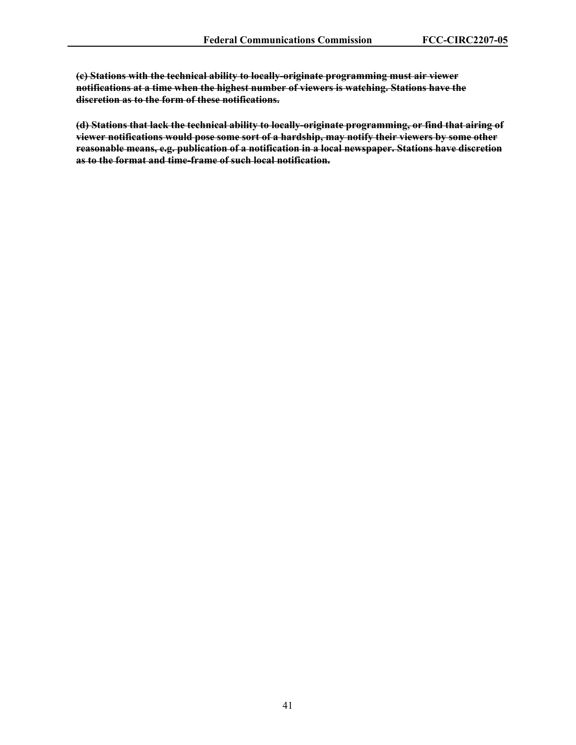**(c) Stations with the technical ability to locally-originate programming must air viewer notifications at a time when the highest number of viewers is watching. Stations have the discretion as to the form of these notifications.** 

**(d) Stations that lack the technical ability to locally-originate programming, or find that airing of viewer notifications would pose some sort of a hardship, may notify their viewers by some other reasonable means, e.g. publication of a notification in a local newspaper. Stations have discretion as to the format and time-frame of such local notification.**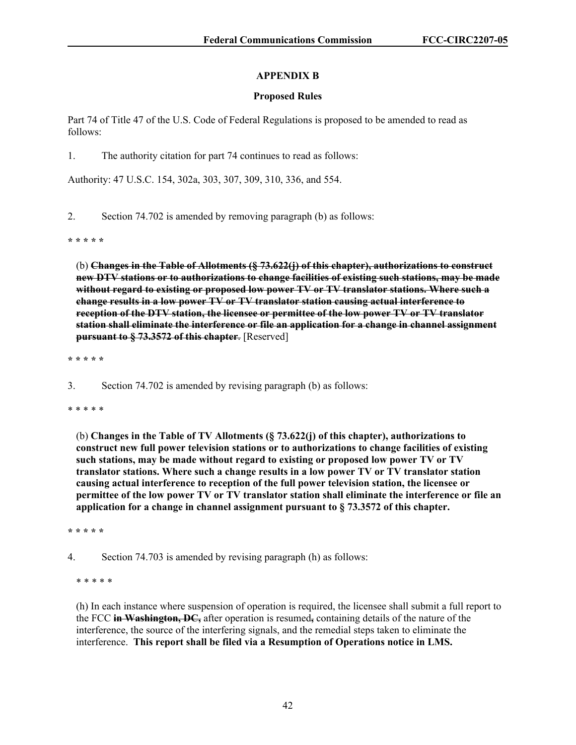# **APPENDIX B**

## **Proposed Rules**

Part 74 of Title 47 of the U.S. Code of Federal Regulations is proposed to be amended to read as follows:

1. The authority citation for part 74 continues to read as follows:

Authority: 47 U.S.C. 154, 302a, 303, 307, 309, 310, 336, and 554.

2. Section 74.702 is amended by removing paragraph (b) as follows:

**\* \* \* \* \*** 

(b) **Changes in the Table of Allotments (§ 73.622(j) of this chapter), authorizations to construct new DTV stations or to authorizations to change facilities of existing such stations, may be made without regard to existing or proposed low power TV or TV translator stations. Where such a change results in a low power TV or TV translator station causing actual interference to reception of the DTV station, the licensee or permittee of the low power TV or TV translator station shall eliminate the interference or file an application for a change in channel assignment pursuant to § 73.3572 of this chapter**. [Reserved]

**\* \* \* \* \***

3. Section 74.702 is amended by revising paragraph (b) as follows:

\* \* \* \* \*

(b) **Changes in the Table of TV Allotments (§ 73.622(j) of this chapter), authorizations to construct new full power television stations or to authorizations to change facilities of existing such stations, may be made without regard to existing or proposed low power TV or TV translator stations. Where such a change results in a low power TV or TV translator station causing actual interference to reception of the full power television station, the licensee or permittee of the low power TV or TV translator station shall eliminate the interference or file an application for a change in channel assignment pursuant to § 73.3572 of this chapter.** 

**\* \* \* \* \***

4. Section 74.703 is amended by revising paragraph (h) as follows:

\* \* \* \* \*

(h) In each instance where suspension of operation is required, the licensee shall submit a full report to the FCC **in Washington, DC,** after operation is resumed**,** containing details of the nature of the interference, the source of the interfering signals, and the remedial steps taken to eliminate the interference. **This report shall be filed via a Resumption of Operations notice in LMS.**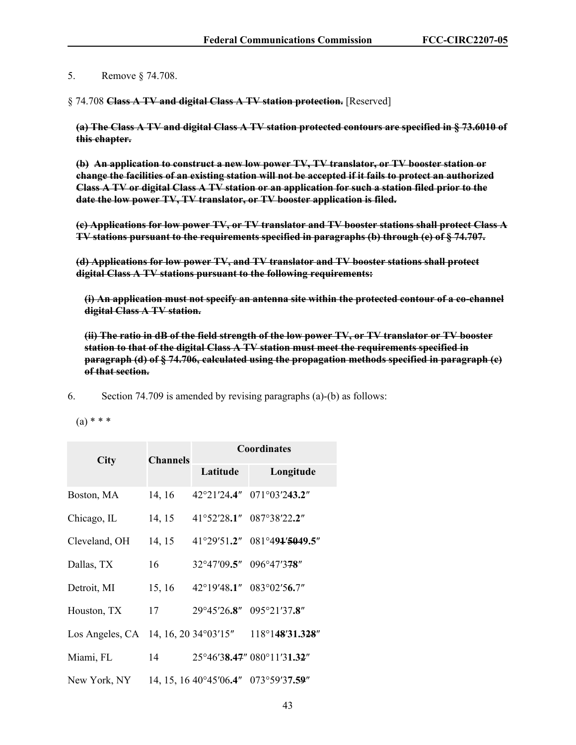5. Remove § 74.708.

§ 74.708 **Class A TV and digital Class A TV station protection.** [Reserved]

**(a) The Class A TV and digital Class A TV station protected contours are specified in § 73.6010 of this chapter.**

**(b) An application to construct a new low power TV, TV translator, or TV booster station or change the facilities of an existing station will not be accepted if it fails to protect an authorized Class A TV or digital Class A TV station or an application for such a station filed prior to the date the low power TV, TV translator, or TV booster application is filed.** 

**(c) Applications for low power TV, or TV translator and TV booster stations shall protect Class A TV stations pursuant to the requirements specified in paragraphs (b) through (e) of § 74.707.** 

**(d) Applications for low power TV, and TV translator and TV booster stations shall protect digital Class A TV stations pursuant to the following requirements:** 

**(i) An application must not specify an antenna site within the protected contour of a co-channel digital Class A TV station.** 

**(ii) The ratio in dB of the field strength of the low power TV, or TV translator or TV booster station to that of the digital Class A TV station must meet the requirements specified in paragraph (d) of § 74.706, calculated using the propagation methods specified in paragraph (c) of that section.** 

6. Section 74.709 is amended by revising paragraphs (a)-(b) as follows:

 $(a) * * *$ 

| <b>City</b>     | <b>Channels</b> | Coordinates                     |                             |
|-----------------|-----------------|---------------------------------|-----------------------------|
|                 |                 | Latitude                        | Longitude                   |
| Boston, MA      | 14, 16          | 42°21′24.4″                     | 071°03'243.2"               |
| Chicago, IL     | 14, 15          |                                 | 41°52'28.1″ 087°38'22.2″    |
| Cleveland, OH   | 14, 15          |                                 | 41°29'51.2" 081°491'5049.5" |
| Dallas, TX      | 16              | 32°47'09.5" 096°47'378"         |                             |
| Detroit, MI     | 15, 16          | $42^{\circ}19'48.1''$           | $083^{\circ}02'56.7''$      |
| Houston, TX     | 17              |                                 | 29°45'26.8" 095°21'37.8"    |
| Los Angeles, CA |                 | 14, 16, 20 34 $^{\circ}$ 03'15" | $118^{\circ}148'31.328''$   |
| Miami, FL       | 14              |                                 | 25°46'38.47" 080°11'31.32"  |
| New York, NY    |                 | 14, 15, 16 40°45′06.4″          | 073°59'37.59"               |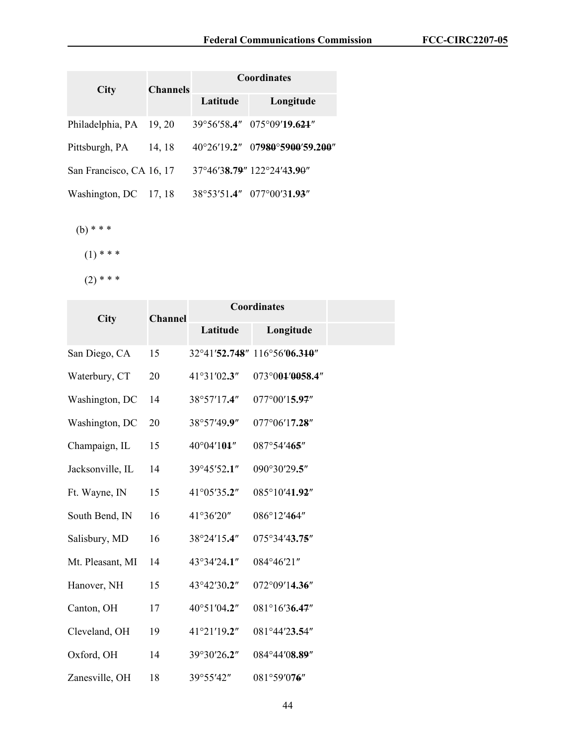|                          | <b>Channels</b><br><b>City</b> |          | <b>Coordinates</b>                   |  |  |
|--------------------------|--------------------------------|----------|--------------------------------------|--|--|
|                          |                                | Latitude | Longitude                            |  |  |
| Philadelphia, PA         | 19, 20                         |          | 39°56′58.4″ 075°09′19.624″           |  |  |
| Pittsburgh, PA           | 14, 18                         |          | 40°26'19.2" 07980°5900'59.200"       |  |  |
| San Francisco, CA 16, 17 |                                |          | $37^{\circ}46'38.79''$ 122°24'43.90" |  |  |
| Washington, DC           | 17, 18                         |          | 38°53'51.4" 077°00'31.93"            |  |  |

(b) \* \* \*

 $(1)$  \* \* \*

 $(2)$  \* \* \*

| City             | <b>Channel</b> | <b>Coordinates</b>   |                              |  |
|------------------|----------------|----------------------|------------------------------|--|
|                  |                | Latitude             | Longitude                    |  |
| San Diego, CA    | 15             |                      | 32°41'52.748" 116°56'06.310" |  |
| Waterbury, CT    | 20             | 41°31'02.3"          | 073°001'0058.4"              |  |
| Washington, DC   | 14             | 38°57'17.4"          | 077°00'15.97"                |  |
| Washington, DC   | 20             | 38°57'49.9"          | 077°06'17.28"                |  |
| Champaign, IL    | 15             | $40^{\circ}04'101''$ | 087°54'465"                  |  |
| Jacksonville, IL | 14             | 39°45'52.1"          | 090°30'29.5"                 |  |
| Ft. Wayne, IN    | 15             | 41°05'35.2"          | 085°10'41.92"                |  |
| South Bend, IN   | 16             | 41°36'20"            | 086°12'464"                  |  |
| Salisbury, MD    | 16             | 38°24'15.4"          | 075°34'43.75"                |  |
| Mt. Pleasant, MI | 14             | 43°34'24.1"          | 084°46'21"                   |  |
| Hanover, NH      | 15             | 43°42'30.2"          | 072°09'14.36"                |  |
| Canton, OH       | 17             | 40°51′04.2"          | 081°16'36.47"                |  |
| Cleveland, OH    | 19             | 41°21'19.2"          | 081°44'23.54"                |  |
| Oxford, OH       | 14             | 39°30'26.2"          | 084°44'08.89"                |  |
| Zanesville, OH   | 18             | 39°55'42"            | 081°59'076"                  |  |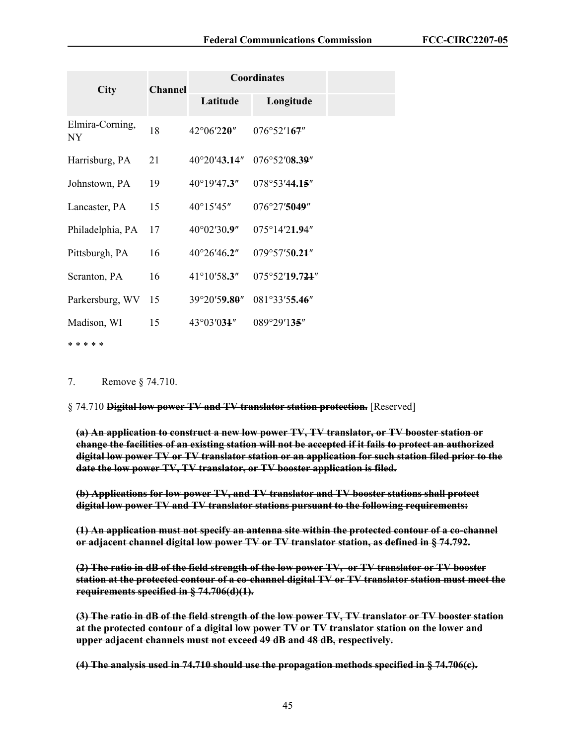| <b>Channel</b><br><b>City</b> |    | <b>Coordinates</b>     |                         |  |
|-------------------------------|----|------------------------|-------------------------|--|
|                               |    | Latitude               | Longitude               |  |
| Elmira-Corning,<br>NY.        | 18 | 42°06'220"             | 076°52'167"             |  |
| Harrisburg, PA                | 21 | $40^{\circ}20'43.14''$ | 076°52′08.39″           |  |
| Johnstown, PA                 | 19 | 40°19'47.3"            | 078°53'44.15''          |  |
| Lancaster, PA                 | 15 | $40^{\circ}15'45''$    | 076°27'5049"            |  |
| Philadelphia, PA              | 17 | 40°02'30.9"            | $075^{\circ}14'21.94''$ |  |
| Pittsburgh, PA                | 16 | $40^{\circ}26'46.2''$  | 079°57'50.21"           |  |
| Scranton, PA                  | 16 | $41^{\circ}10'58.3''$  | 075°52'19.724"          |  |
| Parkersburg, WV               | 15 | 39°20'59.80"           | 081°33'55.46"           |  |
| Madison, WI                   | 15 | $43^{\circ}03'031''$   | $089^{\circ}29'135''$   |  |
| * * * * *                     |    |                        |                         |  |

7. Remove § 74.710.

§ 74.710 **Digital low power TV and TV translator station protection.** [Reserved]

**(a) An application to construct a new low power TV, TV translator, or TV booster station or change the facilities of an existing station will not be accepted if it fails to protect an authorized digital low power TV or TV translator station or an application for such station filed prior to the date the low power TV, TV translator, or TV booster application is filed.**

**(b) Applications for low power TV, and TV translator and TV booster stations shall protect digital low power TV and TV translator stations pursuant to the following requirements:** 

**(1) An application must not specify an antenna site within the protected contour of a co-channel or adjacent channel digital low power TV or TV translator station, as defined in § 74.792.** 

**(2) The ratio in dB of the field strength of the low power TV, or TV translator or TV booster station at the protected contour of a co-channel digital TV or TV translator station must meet the requirements specified in § 74.706(d)(1).** 

**(3) The ratio in dB of the field strength of the low power TV, TV translator or TV booster station at the protected contour of a digital low power TV or TV translator station on the lower and upper adjacent channels must not exceed 49 dB and 48 dB, respectively.** 

**(4) The analysis used in 74.710 should use the propagation methods specified in § 74.706(c).**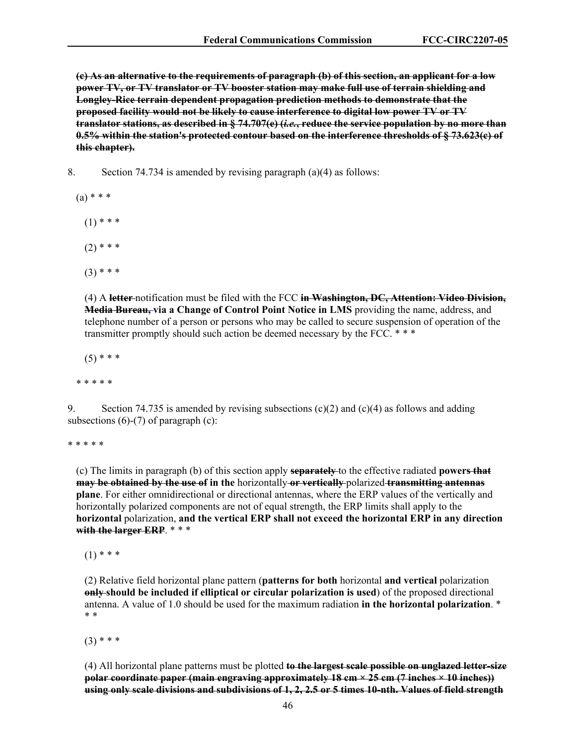**(c) As an alternative to the requirements of paragraph (b) of this section, an applicant for a low power TV, or TV translator or TV booster station may make full use of terrain shielding and Longley-Rice terrain dependent propagation prediction methods to demonstrate that the proposed facility would not be likely to cause interference to digital low power TV or TV translator stations, as described in § 74.707(e) (***i.e.***, reduce the service population by no more than 0.5% within the station's protected contour based on the interference thresholds of § 73.623(c) of this chapter).** 

8. Section 74.734 is amended by revising paragraph (a)(4) as follows:

- $(a) * * *$ 
	- $(1)$  \* \* \*
	- $(2)$  \* \* \*
	- $(3)$  \* \* \*

(4) A **letter** notification must be filed with the FCC **in Washington, DC, Attention: Video Division, Media Bureau, via a Change of Control Point Notice in LMS** providing the name, address, and telephone number of a person or persons who may be called to secure suspension of operation of the transmitter promptly should such action be deemed necessary by the FCC. \* \* \*

 $(5)$  \* \* \*

\* \* \* \* \*

9. Section 74.735 is amended by revising subsections (c)(2) and (c)(4) as follows and adding subsections  $(6)-(7)$  of paragraph  $(c)$ :

\* \* \* \* \*

(c) The limits in paragraph (b) of this section apply **separately** to the effective radiated **powers that may be obtained by the use of in the** horizontally **or vertically** polarized **transmitting antennas plane**. For either omnidirectional or directional antennas, where the ERP values of the vertically and horizontally polarized components are not of equal strength, the ERP limits shall apply to the **horizontal** polarization, **and the vertical ERP shall not exceed the horizontal ERP in any direction with the larger ERP**. \* \* \*

 $(1)$  \* \* \*

(2) Relative field horizontal plane pattern (**patterns for both** horizontal **and vertical** polarization **only should be included if elliptical or circular polarization is used**) of the proposed directional antenna. A value of 1.0 should be used for the maximum radiation **in the horizontal polarization**. \* \* \*

 $(3)$  \* \* \*

(4) All horizontal plane patterns must be plotted **to the largest scale possible on unglazed letter-size polar coordinate paper (main engraving approximately 18 cm × 25 cm (7 inches × 10 inches)) using only scale divisions and subdivisions of 1, 2, 2.5 or 5 times 10-nth. Values of field strength**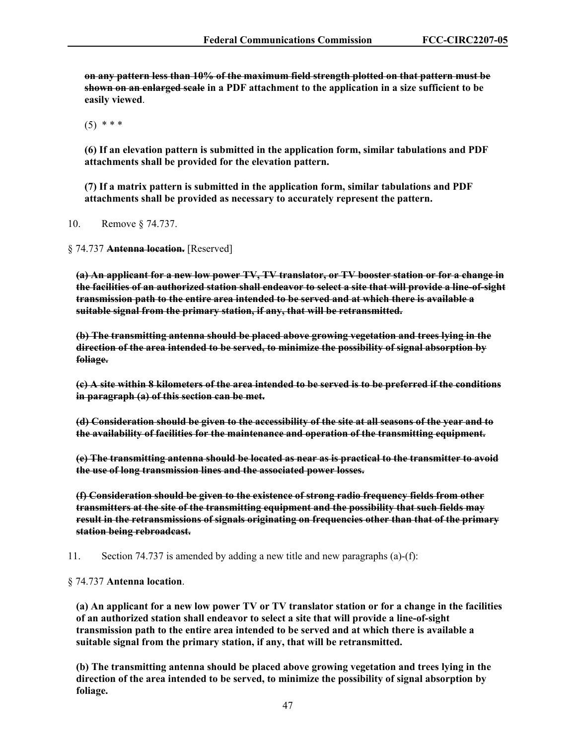**on any pattern less than 10% of the maximum field strength plotted on that pattern must be shown on an enlarged scale in a PDF attachment to the application in a size sufficient to be easily viewed**.

 $(5)$  \* \* \*

**(6) If an elevation pattern is submitted in the application form, similar tabulations and PDF attachments shall be provided for the elevation pattern.** 

**(7) If a matrix pattern is submitted in the application form, similar tabulations and PDF attachments shall be provided as necessary to accurately represent the pattern.**

10. Remove § 74.737.

§ 74.737 **Antenna location.** [Reserved]

**(a) An applicant for a new low power TV, TV translator, or TV booster station or for a change in the facilities of an authorized station shall endeavor to select a site that will provide a line-of-sight transmission path to the entire area intended to be served and at which there is available a suitable signal from the primary station, if any, that will be retransmitted.** 

**(b) The transmitting antenna should be placed above growing vegetation and trees lying in the direction of the area intended to be served, to minimize the possibility of signal absorption by foliage.** 

**(c) A site within 8 kilometers of the area intended to be served is to be preferred if the conditions in paragraph (a) of this section can be met.** 

**(d) Consideration should be given to the accessibility of the site at all seasons of the year and to the availability of facilities for the maintenance and operation of the transmitting equipment.** 

**(e) The transmitting antenna should be located as near as is practical to the transmitter to avoid the use of long transmission lines and the associated power losses.** 

**(f) Consideration should be given to the existence of strong radio frequency fields from other transmitters at the site of the transmitting equipment and the possibility that such fields may result in the retransmissions of signals originating on frequencies other than that of the primary station being rebroadcast.**

11. Section 74.737 is amended by adding a new title and new paragraphs (a)-(f):

§ 74.737 **Antenna location**.

**(a) An applicant for a new low power TV or TV translator station or for a change in the facilities of an authorized station shall endeavor to select a site that will provide a line-of-sight transmission path to the entire area intended to be served and at which there is available a suitable signal from the primary station, if any, that will be retransmitted.** 

**(b) The transmitting antenna should be placed above growing vegetation and trees lying in the direction of the area intended to be served, to minimize the possibility of signal absorption by foliage.**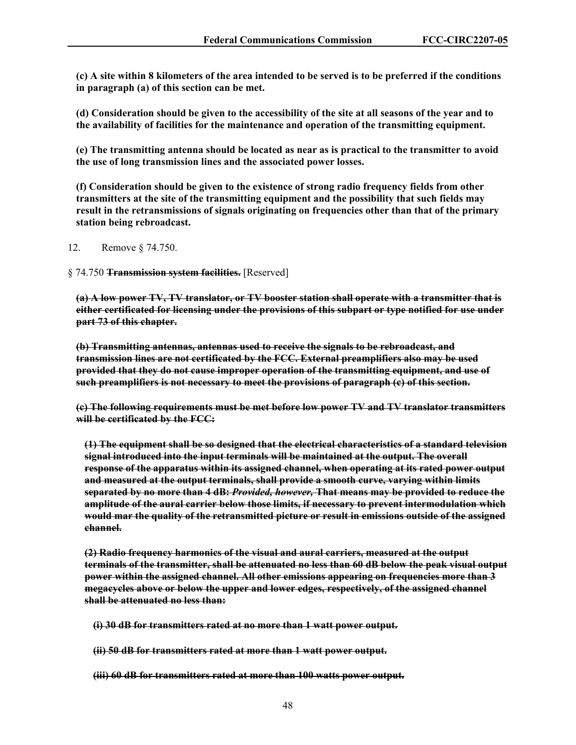**(c) A site within 8 kilometers of the area intended to be served is to be preferred if the conditions in paragraph (a) of this section can be met.** 

**(d) Consideration should be given to the accessibility of the site at all seasons of the year and to the availability of facilities for the maintenance and operation of the transmitting equipment.** 

**(e) The transmitting antenna should be located as near as is practical to the transmitter to avoid the use of long transmission lines and the associated power losses.** 

**(f) Consideration should be given to the existence of strong radio frequency fields from other transmitters at the site of the transmitting equipment and the possibility that such fields may result in the retransmissions of signals originating on frequencies other than that of the primary station being rebroadcast.**

12. Remove § 74.750.

§ 74.750 **Transmission system facilities.** [Reserved]

**(a) A low power TV, TV translator, or TV booster station shall operate with a transmitter that is either certificated for licensing under the provisions of this subpart or type notified for use under part 73 of this chapter.** 

**(b) Transmitting antennas, antennas used to receive the signals to be rebroadcast, and transmission lines are not certificated by the FCC. External preamplifiers also may be used provided that they do not cause improper operation of the transmitting equipment, and use of such preamplifiers is not necessary to meet the provisions of paragraph (c) of this section.** 

**(c) The following requirements must be met before low power TV and TV translator transmitters will be certificated by the FCC:** 

**(1) The equipment shall be so designed that the electrical characteristics of a standard television signal introduced into the input terminals will be maintained at the output. The overall response of the apparatus within its assigned channel, when operating at its rated power output and measured at the output terminals, shall provide a smooth curve, varying within limits separated by no more than 4 dB:** *Provided, however,* **That means may be provided to reduce the amplitude of the aural carrier below those limits, if necessary to prevent intermodulation which would mar the quality of the retransmitted picture or result in emissions outside of the assigned channel.** 

**(2) Radio frequency harmonics of the visual and aural carriers, measured at the output terminals of the transmitter, shall be attenuated no less than 60 dB below the peak visual output power within the assigned channel. All other emissions appearing on frequencies more than 3 megacycles above or below the upper and lower edges, respectively, of the assigned channel shall be attenuated no less than:** 

**(i) 30 dB for transmitters rated at no more than 1 watt power output.** 

**(ii) 50 dB for transmitters rated at more than 1 watt power output.** 

**(iii) 60 dB for transmitters rated at more than 100 watts power output.**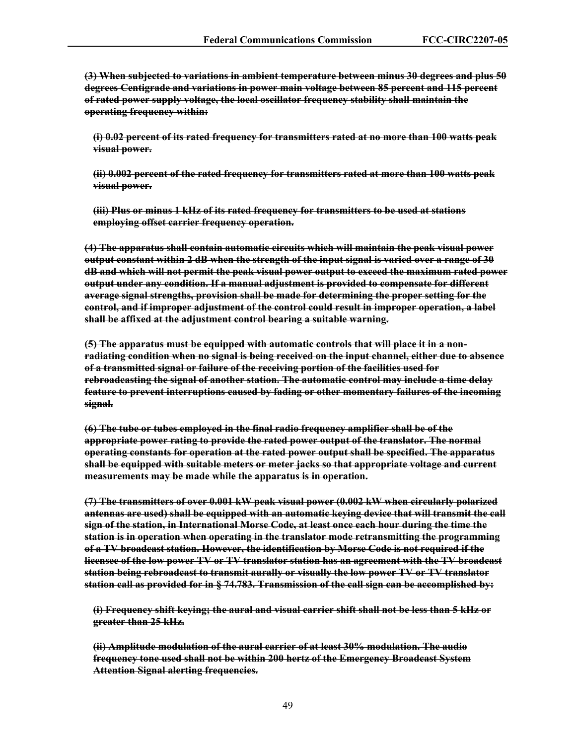**(3) When subjected to variations in ambient temperature between minus 30 degrees and plus 50 degrees Centigrade and variations in power main voltage between 85 percent and 115 percent of rated power supply voltage, the local oscillator frequency stability shall maintain the operating frequency within:** 

**(i) 0.02 percent of its rated frequency for transmitters rated at no more than 100 watts peak visual power.** 

**(ii) 0.002 percent of the rated frequency for transmitters rated at more than 100 watts peak visual power.** 

**(iii) Plus or minus 1 kHz of its rated frequency for transmitters to be used at stations employing offset carrier frequency operation.** 

**(4) The apparatus shall contain automatic circuits which will maintain the peak visual power output constant within 2 dB when the strength of the input signal is varied over a range of 30 dB and which will not permit the peak visual power output to exceed the maximum rated power output under any condition. If a manual adjustment is provided to compensate for different average signal strengths, provision shall be made for determining the proper setting for the control, and if improper adjustment of the control could result in improper operation, a label shall be affixed at the adjustment control bearing a suitable warning.** 

**(5) The apparatus must be equipped with automatic controls that will place it in a nonradiating condition when no signal is being received on the input channel, either due to absence of a transmitted signal or failure of the receiving portion of the facilities used for rebroadcasting the signal of another station. The automatic control may include a time delay feature to prevent interruptions caused by fading or other momentary failures of the incoming signal.** 

**(6) The tube or tubes employed in the final radio frequency amplifier shall be of the appropriate power rating to provide the rated power output of the translator. The normal operating constants for operation at the rated power output shall be specified. The apparatus shall be equipped with suitable meters or meter jacks so that appropriate voltage and current measurements may be made while the apparatus is in operation.** 

**(7) The transmitters of over 0.001 kW peak visual power (0.002 kW when circularly polarized antennas are used) shall be equipped with an automatic keying device that will transmit the call sign of the station, in International Morse Code, at least once each hour during the time the station is in operation when operating in the translator mode retransmitting the programming of a TV broadcast station. However, the identification by Morse Code is not required if the licensee of the low power TV or TV translator station has an agreement with the TV broadcast station being rebroadcast to transmit aurally or visually the low power TV or TV translator station call as provided for in § 74.783. Transmission of the call sign can be accomplished by:** 

**(i) Frequency shift keying; the aural and visual carrier shift shall not be less than 5 kHz or greater than 25 kHz.** 

**(ii) Amplitude modulation of the aural carrier of at least 30% modulation. The audio frequency tone used shall not be within 200 hertz of the Emergency Broadcast System Attention Signal alerting frequencies.**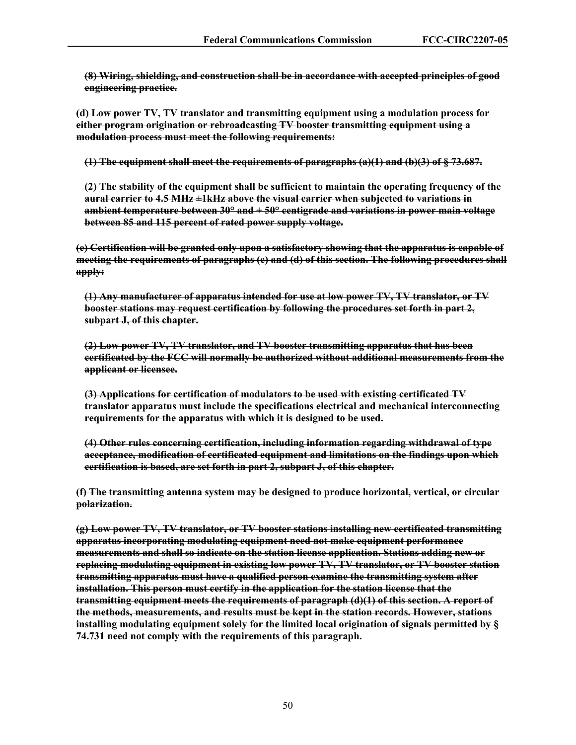**(8) Wiring, shielding, and construction shall be in accordance with accepted principles of good engineering practice.** 

**(d) Low power TV, TV translator and transmitting equipment using a modulation process for either program origination or rebroadcasting TV booster transmitting equipment using a modulation process must meet the following requirements:** 

**(1) The equipment shall meet the requirements of paragraphs (a)(1) and (b)(3) of § 73.687.** 

**(2) The stability of the equipment shall be sufficient to maintain the operating frequency of the aural carrier to 4.5 MHz ±1kHz above the visual carrier when subjected to variations in ambient temperature between 30° and + 50° centigrade and variations in power main voltage between 85 and 115 percent of rated power supply voltage.** 

**(e) Certification will be granted only upon a satisfactory showing that the apparatus is capable of meeting the requirements of paragraphs (c) and (d) of this section. The following procedures shall apply:** 

**(1) Any manufacturer of apparatus intended for use at low power TV, TV translator, or TV booster stations may request certification by following the procedures set forth in part 2, subpart J, of this chapter.**

**(2) Low power TV, TV translator, and TV booster transmitting apparatus that has been certificated by the FCC will normally be authorized without additional measurements from the applicant or licensee.**

**(3) Applications for certification of modulators to be used with existing certificated TV translator apparatus must include the specifications electrical and mechanical interconnecting requirements for the apparatus with which it is designed to be used.**

**(4) Other rules concerning certification, including information regarding withdrawal of type acceptance, modification of certificated equipment and limitations on the findings upon which certification is based, are set forth in part 2, subpart J, of this chapter.**

**(f) The transmitting antenna system may be designed to produce horizontal, vertical, or circular polarization.** 

**(g) Low power TV, TV translator, or TV booster stations installing new certificated transmitting apparatus incorporating modulating equipment need not make equipment performance measurements and shall so indicate on the station license application. Stations adding new or replacing modulating equipment in existing low power TV, TV translator, or TV booster station transmitting apparatus must have a qualified person examine the transmitting system after installation. This person must certify in the application for the station license that the transmitting equipment meets the requirements of paragraph (d)(1) of this section. A report of the methods, measurements, and results must be kept in the station records. However, stations installing modulating equipment solely for the limited local origination of signals permitted by § 74.731 need not comply with the requirements of this paragraph.**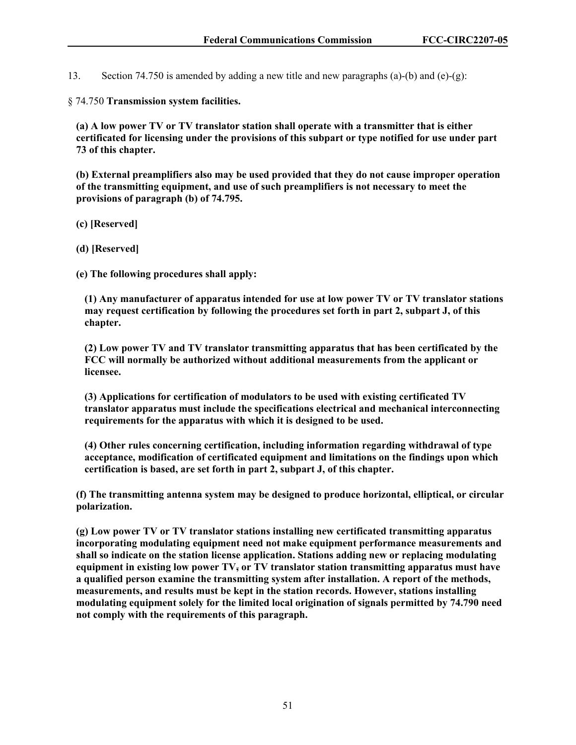13. Section 74.750 is amended by adding a new title and new paragraphs (a)-(b) and (e)-(g):

§ 74.750 **Transmission system facilities.**

**(a) A low power TV or TV translator station shall operate with a transmitter that is either certificated for licensing under the provisions of this subpart or type notified for use under part 73 of this chapter.**

**(b) External preamplifiers also may be used provided that they do not cause improper operation of the transmitting equipment, and use of such preamplifiers is not necessary to meet the provisions of paragraph (b) of 74.795.**

**(c) [Reserved]**

**(d) [Reserved]** 

**(e) The following procedures shall apply:**

**(1) Any manufacturer of apparatus intended for use at low power TV or TV translator stations may request certification by following the procedures set forth in part 2, subpart J, of this chapter.**

**(2) Low power TV and TV translator transmitting apparatus that has been certificated by the FCC will normally be authorized without additional measurements from the applicant or licensee.**

**(3) Applications for certification of modulators to be used with existing certificated TV translator apparatus must include the specifications electrical and mechanical interconnecting requirements for the apparatus with which it is designed to be used.**

**(4) Other rules concerning certification, including information regarding withdrawal of type acceptance, modification of certificated equipment and limitations on the findings upon which certification is based, are set forth in part 2, subpart J, of this chapter.**

**(f) The transmitting antenna system may be designed to produce horizontal, elliptical, or circular polarization.**

**(g) Low power TV or TV translator stations installing new certificated transmitting apparatus incorporating modulating equipment need not make equipment performance measurements and shall so indicate on the station license application. Stations adding new or replacing modulating equipment in existing low power TV, or TV translator station transmitting apparatus must have a qualified person examine the transmitting system after installation. A report of the methods, measurements, and results must be kept in the station records. However, stations installing modulating equipment solely for the limited local origination of signals permitted by 74.790 need not comply with the requirements of this paragraph.**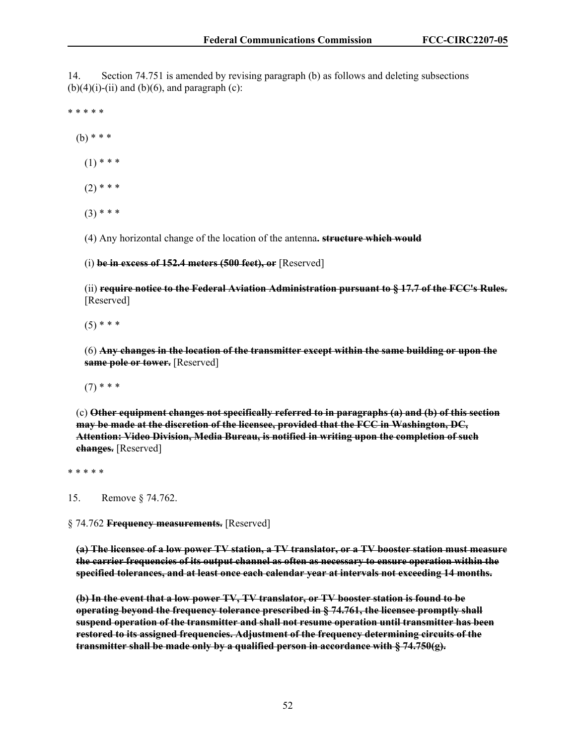14. Section 74.751 is amended by revising paragraph (b) as follows and deleting subsections  $(b)(4)(i)-(ii)$  and  $(b)(6)$ , and paragraph  $(c)$ :

\* \* \* \* \*

(b) \* \* \*

 $(1)$  \* \* \*

- $(2)$  \* \* \*
- $(3)$  \* \* \*

(4) Any horizontal change of the location of the antenna**. structure which would**

(i) **be in excess of 152.4 meters (500 feet), or** [Reserved]

(ii) **require notice to the Federal Aviation Administration pursuant to § 17.7 of the FCC's Rules.** [Reserved]

 $(5)$  \* \* \*

(6) **Any changes in the location of the transmitter except within the same building or upon the same pole or tower.** [Reserved]

 $(7)$  \* \* \*

(c) **Other equipment changes not specifically referred to in paragraphs (a) and (b) of this section may be made at the discretion of the licensee, provided that the FCC in Washington, DC, Attention: Video Division, Media Bureau, is notified in writing upon the completion of such changes.** [Reserved]

\* \* \* \* \*

15. Remove § 74.762.

§ 74.762 **Frequency measurements.** [Reserved]

**(a) The licensee of a low power TV station, a TV translator, or a TV booster station must measure the carrier frequencies of its output channel as often as necessary to ensure operation within the specified tolerances, and at least once each calendar year at intervals not exceeding 14 months.** 

**(b) In the event that a low power TV, TV translator, or TV booster station is found to be operating beyond the frequency tolerance prescribed in § 74.761, the licensee promptly shall suspend operation of the transmitter and shall not resume operation until transmitter has been restored to its assigned frequencies. Adjustment of the frequency determining circuits of the transmitter shall be made only by a qualified person in accordance with § 74.750(g).**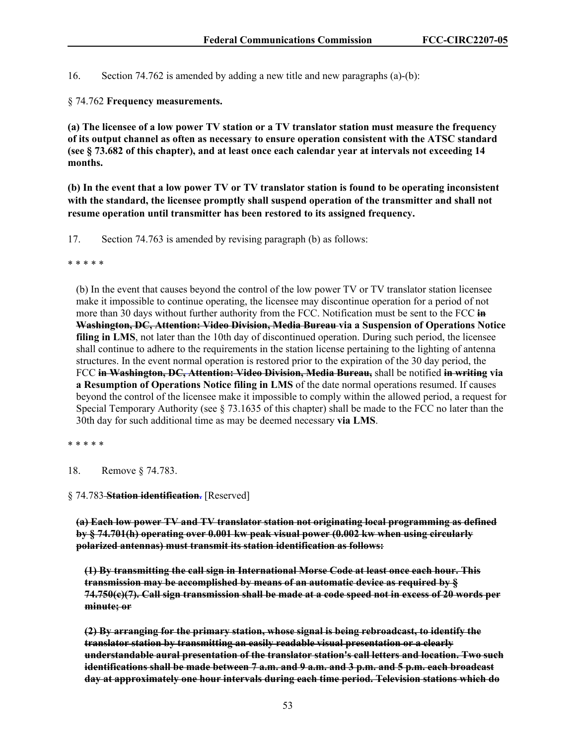16. Section 74.762 is amended by adding a new title and new paragraphs (a)-(b):

§ 74.762 **Frequency measurements.**

**(a) The licensee of a low power TV station or a TV translator station must measure the frequency of its output channel as often as necessary to ensure operation consistent with the ATSC standard (see § 73.682 of this chapter), and at least once each calendar year at intervals not exceeding 14 months.** 

**(b) In the event that a low power TV or TV translator station is found to be operating inconsistent with the standard, the licensee promptly shall suspend operation of the transmitter and shall not resume operation until transmitter has been restored to its assigned frequency.**

17. Section 74.763 is amended by revising paragraph (b) as follows:

\* \* \* \* \*

(b) In the event that causes beyond the control of the low power TV or TV translator station licensee make it impossible to continue operating, the licensee may discontinue operation for a period of not more than 30 days without further authority from the FCC. Notification must be sent to the FCC **in Washington, DC, Attention: Video Division, Media Bureau via a Suspension of Operations Notice filing in LMS**, not later than the 10th day of discontinued operation. During such period, the licensee shall continue to adhere to the requirements in the station license pertaining to the lighting of antenna structures. In the event normal operation is restored prior to the expiration of the 30 day period, the FCC **in Washington, DC, Attention: Video Division, Media Bureau,** shall be notified **in writing via a Resumption of Operations Notice filing in LMS** of the date normal operations resumed. If causes beyond the control of the licensee make it impossible to comply within the allowed period, a request for Special Temporary Authority (see § 73.1635 of this chapter) shall be made to the FCC no later than the 30th day for such additional time as may be deemed necessary **via LMS**.

\* \* \* \* \*

18. Remove § 74.783.

§ 74.783 **Station identification.** [Reserved]

**(a) Each low power TV and TV translator station not originating local programming as defined by § 74.701(h) operating over 0.001 kw peak visual power (0.002 kw when using circularly polarized antennas) must transmit its station identification as follows:** 

**(1) By transmitting the call sign in International Morse Code at least once each hour. This transmission may be accomplished by means of an automatic device as required by § 74.750(c)(7). Call sign transmission shall be made at a code speed not in excess of 20 words per minute; or** 

**(2) By arranging for the primary station, whose signal is being rebroadcast, to identify the translator station by transmitting an easily readable visual presentation or a clearly understandable aural presentation of the translator station's call letters and location. Two such identifications shall be made between 7 a.m. and 9 a.m. and 3 p.m. and 5 p.m. each broadcast day at approximately one hour intervals during each time period. Television stations which do**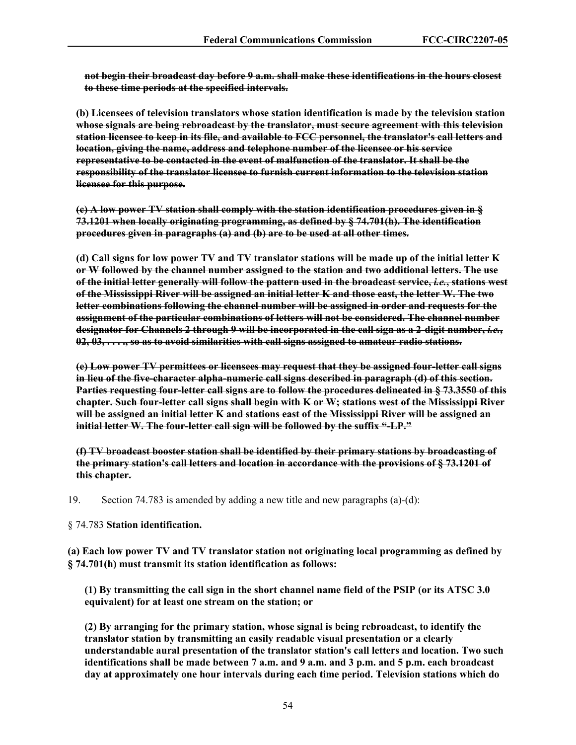**not begin their broadcast day before 9 a.m. shall make these identifications in the hours closest to these time periods at the specified intervals.** 

**(b) Licensees of television translators whose station identification is made by the television station whose signals are being rebroadcast by the translator, must secure agreement with this television station licensee to keep in its file, and available to FCC personnel, the translator's call letters and location, giving the name, address and telephone number of the licensee or his service representative to be contacted in the event of malfunction of the translator. It shall be the responsibility of the translator licensee to furnish current information to the television station licensee for this purpose.** 

**(c) A low power TV station shall comply with the station identification procedures given in § 73.1201 when locally originating programming, as defined by § 74.701(h). The identification procedures given in paragraphs (a) and (b) are to be used at all other times.** 

**(d) Call signs for low power TV and TV translator stations will be made up of the initial letter K or W followed by the channel number assigned to the station and two additional letters. The use of the initial letter generally will follow the pattern used in the broadcast service,** *i.e.***, stations west of the Mississippi River will be assigned an initial letter K and those east, the letter W. The two letter combinations following the channel number will be assigned in order and requests for the assignment of the particular combinations of letters will not be considered. The channel number designator for Channels 2 through 9 will be incorporated in the call sign as a 2-digit number,** *i.e.***, 02, 03, . . . ., so as to avoid similarities with call signs assigned to amateur radio stations.** 

**(e) Low power TV permittees or licensees may request that they be assigned four-letter call signs in lieu of the five-character alpha-numeric call signs described in paragraph (d) of this section. Parties requesting four-letter call signs are to follow the procedures delineated in § 73.3550 of this chapter. Such four-letter call signs shall begin with K or W; stations west of the Mississippi River will be assigned an initial letter K and stations east of the Mississippi River will be assigned an initial letter W. The four-letter call sign will be followed by the suffix "-LP."** 

**(f) TV broadcast booster station shall be identified by their primary stations by broadcasting of the primary station's call letters and location in accordance with the provisions of § 73.1201 of this chapter.**

19. Section 74.783 is amended by adding a new title and new paragraphs (a)-(d):

§ 74.783 **Station identification.**

**(a) Each low power TV and TV translator station not originating local programming as defined by § 74.701(h) must transmit its station identification as follows:**

**(1) By transmitting the call sign in the short channel name field of the PSIP (or its ATSC 3.0 equivalent) for at least one stream on the station; or** 

**(2) By arranging for the primary station, whose signal is being rebroadcast, to identify the translator station by transmitting an easily readable visual presentation or a clearly understandable aural presentation of the translator station's call letters and location. Two such identifications shall be made between 7 a.m. and 9 a.m. and 3 p.m. and 5 p.m. each broadcast day at approximately one hour intervals during each time period. Television stations which do**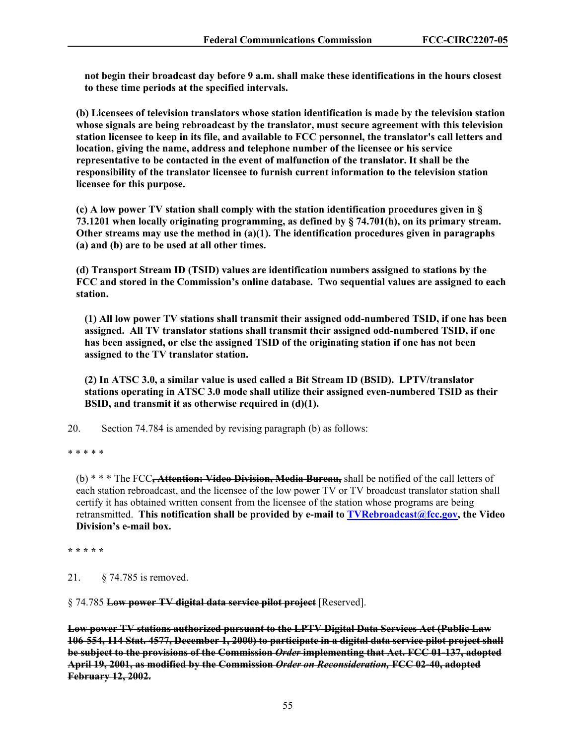**not begin their broadcast day before 9 a.m. shall make these identifications in the hours closest to these time periods at the specified intervals.**

**(b) Licensees of television translators whose station identification is made by the television station whose signals are being rebroadcast by the translator, must secure agreement with this television station licensee to keep in its file, and available to FCC personnel, the translator's call letters and location, giving the name, address and telephone number of the licensee or his service representative to be contacted in the event of malfunction of the translator. It shall be the responsibility of the translator licensee to furnish current information to the television station licensee for this purpose.**

**(c) A low power TV station shall comply with the station identification procedures given in § 73.1201 when locally originating programming, as defined by § 74.701(h), on its primary stream. Other streams may use the method in (a)(1). The identification procedures given in paragraphs (a) and (b) are to be used at all other times.**

**(d) Transport Stream ID (TSID) values are identification numbers assigned to stations by the FCC and stored in the Commission's online database. Two sequential values are assigned to each station.** 

**(1) All low power TV stations shall transmit their assigned odd-numbered TSID, if one has been assigned. All TV translator stations shall transmit their assigned odd-numbered TSID, if one has been assigned, or else the assigned TSID of the originating station if one has not been assigned to the TV translator station.** 

**(2) In ATSC 3.0, a similar value is used called a Bit Stream ID (BSID). LPTV/translator stations operating in ATSC 3.0 mode shall utilize their assigned even-numbered TSID as their BSID, and transmit it as otherwise required in (d)(1).** 

20. Section 74.784 is amended by revising paragraph (b) as follows:

\* \* \* \* \*

(b) \* \* \* The FCC**, Attention: Video Division, Media Bureau,** shall be notified of the call letters of each station rebroadcast, and the licensee of the low power TV or TV broadcast translator station shall certify it has obtained written consent from the licensee of the station whose programs are being retransmitted. **This notification shall be provided by e-mail to TVRebroadcast@fcc.gov, the Video Division's e-mail box.** 

**\* \* \* \* \***

21. § 74.785 is removed.

§ 74.785 **Low power TV digital data service pilot project** [Reserved].

**Low power TV stations authorized pursuant to the LPTV Digital Data Services Act (Public Law 106-554, 114 Stat. 4577, December 1, 2000) to participate in a digital data service pilot project shall be subject to the provisions of the Commission** *Order* **implementing that Act. FCC 01-137, adopted April 19, 2001, as modified by the Commission** *Order on Reconsideration,* **FCC 02-40, adopted February 12, 2002.**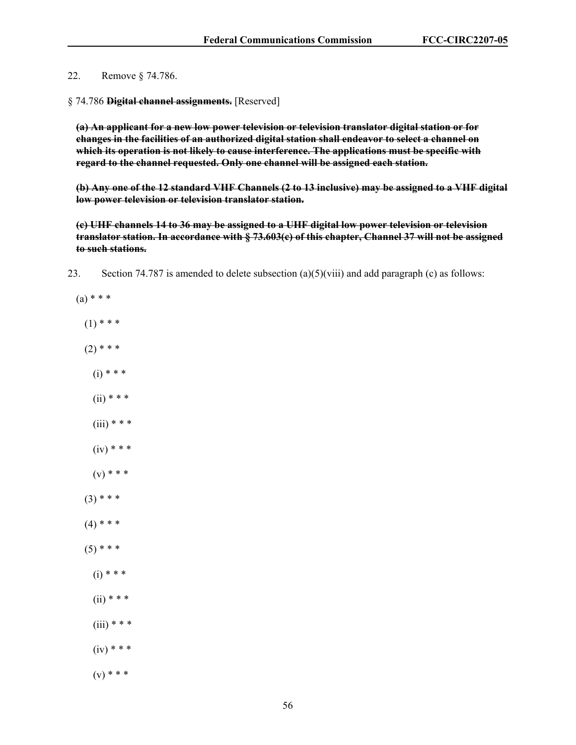22. Remove § 74.786.

§ 74.786 **Digital channel assignments.** [Reserved]

**(a) An applicant for a new low power television or television translator digital station or for changes in the facilities of an authorized digital station shall endeavor to select a channel on which its operation is not likely to cause interference. The applications must be specific with regard to the channel requested. Only one channel will be assigned each station.** 

**(b) Any one of the 12 standard VHF Channels (2 to 13 inclusive) may be assigned to a VHF digital low power television or television translator station.** 

**(c) UHF channels 14 to 36 may be assigned to a UHF digital low power television or television translator station. In accordance with § 73.603(c) of this chapter, Channel 37 will not be assigned to such stations.** 

- 23. Section 74.787 is amended to delete subsection (a)(5)(viii) and add paragraph (c) as follows:
	- $(a) * * *$  $(1)$  \* \* \*  $(2)$  \* \* \*  $(i) * * *$  $(ii)$  \* \* \*  $(iii)$  \* \* \*  $(iv) * * *$  $(v) * * *$  $(3)$  \* \* \*  $(4)$  \* \* \*  $(5)$  \* \* \*  $(i) * * *$  $(ii)$  \* \* \*  $(iii)$  \* \* \*  $(iv) * * *$  $(v) * * *$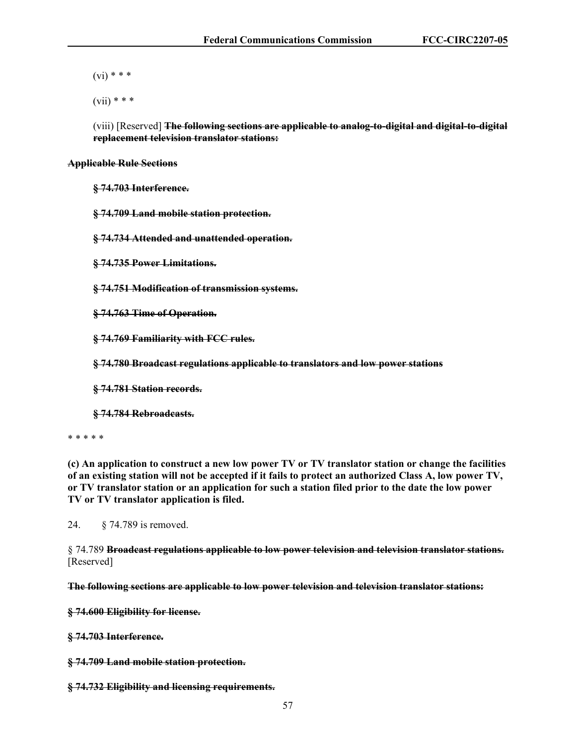$(vi)$  \* \* \*

 $(vii)$  \* \* \*

(viii) [Reserved] **The following sections are applicable to analog-to-digital and digital-to-digital replacement television translator stations:** 

### **Applicable Rule Sections**

**§ 74.703 Interference.** 

**§ 74.709 Land mobile station protection.** 

**§ 74.734 Attended and unattended operation.** 

**§ 74.735 Power Limitations.** 

**§ 74.751 Modification of transmission systems.** 

**§ 74.763 Time of Operation.** 

**§ 74.769 Familiarity with FCC rules.** 

**§ 74.780 Broadcast regulations applicable to translators and low power stations** 

**§ 74.781 Station records.** 

**§ 74.784 Rebroadcasts.** 

\* \* \* \* \*

**(c) An application to construct a new low power TV or TV translator station or change the facilities of an existing station will not be accepted if it fails to protect an authorized Class A, low power TV, or TV translator station or an application for such a station filed prior to the date the low power TV or TV translator application is filed.**

24. § 74.789 is removed.

§ 74.789 **Broadcast regulations applicable to low power television and television translator stations.** [Reserved]

**The following sections are applicable to low power television and television translator stations:** 

**§ 74.600 Eligibility for license.** 

**§ 74.703 Interference.** 

**§ 74.709 Land mobile station protection.** 

**§ 74.732 Eligibility and licensing requirements.**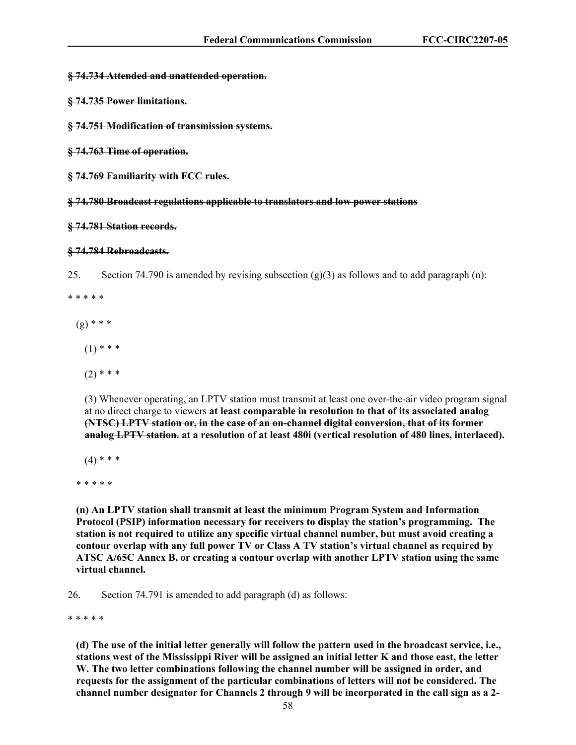#### **§ 74.734 Attended and unattended operation.**

- **§ 74.735 Power limitations.**
- **§ 74.751 Modification of transmission systems.**
- **§ 74.763 Time of operation.**
- **§ 74.769 Familiarity with FCC rules.**

**§ 74.780 Broadcast regulations applicable to translators and low power stations** 

#### **§ 74.781 Station records.**

#### **§ 74.784 Rebroadcasts.**

25. Section 74.790 is amended by revising subsection  $(g)(3)$  as follows and to add paragraph (n):

\* \* \* \* \*

- $(g)$  \* \* \*
	- $(1)$  \* \* \*
	- $(2)$  \* \* \*

(3) Whenever operating, an LPTV station must transmit at least one over-the-air video program signal at no direct charge to viewers **at least comparable in resolution to that of its associated analog (NTSC) LPTV station or, in the case of an on-channel digital conversion, that of its former analog LPTV station. at a resolution of at least 480i (vertical resolution of 480 lines, interlaced).**

 $(4)$  \* \* \*

\* \* \* \* \*

**(n) An LPTV station shall transmit at least the minimum Program System and Information Protocol (PSIP) information necessary for receivers to display the station's programming. The station is not required to utilize any specific virtual channel number, but must avoid creating a contour overlap with any full power TV or Class A TV station's virtual channel as required by ATSC A/65C Annex B, or creating a contour overlap with another LPTV station using the same virtual channel.** 

26. Section 74.791 is amended to add paragraph (d) as follows:

\* \* \* \* \*

**(d) The use of the initial letter generally will follow the pattern used in the broadcast service, i.e., stations west of the Mississippi River will be assigned an initial letter K and those east, the letter W. The two letter combinations following the channel number will be assigned in order, and requests for the assignment of the particular combinations of letters will not be considered. The channel number designator for Channels 2 through 9 will be incorporated in the call sign as a 2-**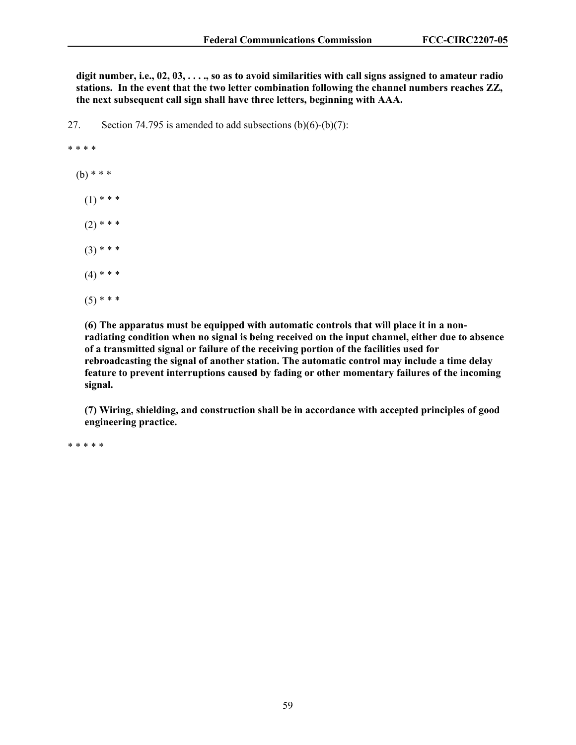**digit number, i.e., 02, 03, . . . ., so as to avoid similarities with call signs assigned to amateur radio stations. In the event that the two letter combination following the channel numbers reaches ZZ, the next subsequent call sign shall have three letters, beginning with AAA.**

27. Section 74.795 is amended to add subsections (b)(6)-(b)(7):

#### \* \* \* \*

- $(b)$  \* \* \*
	- $(1)$  \* \* \*
	- $(2)$  \* \* \*
	- $(3)$  \* \* \*
	- $(4)$  \* \* \*
	- $(5)$  \* \* \*

**(6) The apparatus must be equipped with automatic controls that will place it in a nonradiating condition when no signal is being received on the input channel, either due to absence of a transmitted signal or failure of the receiving portion of the facilities used for rebroadcasting the signal of another station. The automatic control may include a time delay feature to prevent interruptions caused by fading or other momentary failures of the incoming signal.**

**(7) Wiring, shielding, and construction shall be in accordance with accepted principles of good engineering practice.**

\* \* \* \* \*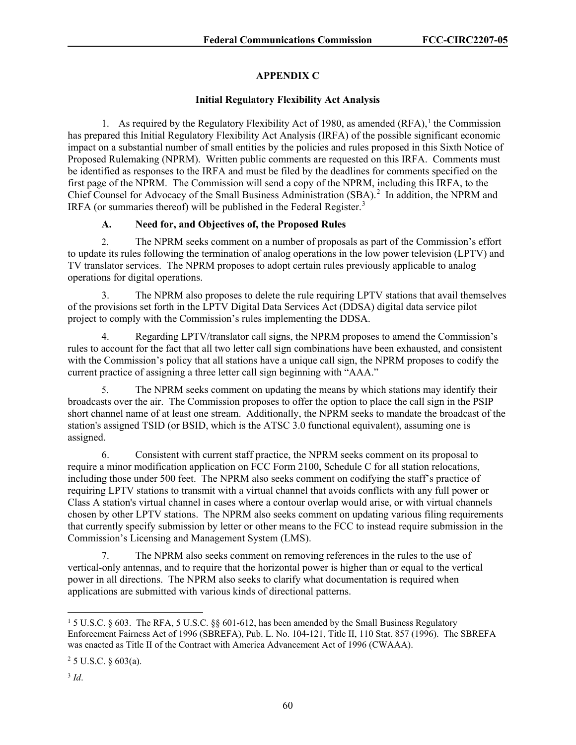# **APPENDIX C**

# **Initial Regulatory Flexibility Act Analysis**

[1](#page-60-0). As required by the Regulatory Flexibility Act of 1980, as amended  $(RFA)$ ,<sup>1</sup> the Commission has prepared this Initial Regulatory Flexibility Act Analysis (IRFA) of the possible significant economic impact on a substantial number of small entities by the policies and rules proposed in this Sixth Notice of Proposed Rulemaking (NPRM). Written public comments are requested on this IRFA. Comments must be identified as responses to the IRFA and must be filed by the deadlines for comments specified on the first page of the NPRM. The Commission will send a copy of the NPRM, including this IRFA, to the Chief Counsel for Advocacy of the Small Business Administration (SBA).<sup>[2](#page-60-1)</sup> In addition, the NPRM and IRFA (or summaries thereof) will be published in the Federal Register.<sup>[3](#page-60-2)</sup>

# **A. Need for, and Objectives of, the Proposed Rules**

2. The NPRM seeks comment on a number of proposals as part of the Commission's effort to update its rules following the termination of analog operations in the low power television (LPTV) and TV translator services. The NPRM proposes to adopt certain rules previously applicable to analog operations for digital operations.

3. The NPRM also proposes to delete the rule requiring LPTV stations that avail themselves of the provisions set forth in the LPTV Digital Data Services Act (DDSA) digital data service pilot project to comply with the Commission's rules implementing the DDSA.

4. Regarding LPTV/translator call signs, the NPRM proposes to amend the Commission's rules to account for the fact that all two letter call sign combinations have been exhausted, and consistent with the Commission's policy that all stations have a unique call sign, the NPRM proposes to codify the current practice of assigning a three letter call sign beginning with "AAA."

5. The NPRM seeks comment on updating the means by which stations may identify their broadcasts over the air. The Commission proposes to offer the option to place the call sign in the PSIP short channel name of at least one stream. Additionally, the NPRM seeks to mandate the broadcast of the station's assigned TSID (or BSID, which is the ATSC 3.0 functional equivalent), assuming one is assigned.

6. Consistent with current staff practice, the NPRM seeks comment on its proposal to require a minor modification application on FCC Form 2100, Schedule C for all station relocations, including those under 500 feet. The NPRM also seeks comment on codifying the staff's practice of requiring LPTV stations to transmit with a virtual channel that avoids conflicts with any full power or Class A station's virtual channel in cases where a contour overlap would arise, or with virtual channels chosen by other LPTV stations. The NPRM also seeks comment on updating various filing requirements that currently specify submission by letter or other means to the FCC to instead require submission in the Commission's Licensing and Management System (LMS).

7. The NPRM also seeks comment on removing references in the rules to the use of vertical-only antennas, and to require that the horizontal power is higher than or equal to the vertical power in all directions. The NPRM also seeks to clarify what documentation is required when applications are submitted with various kinds of directional patterns.

<span id="page-60-0"></span><sup>1</sup> 5 U.S.C. § 603. The RFA, 5 U.S.C. §§ 601-612, has been amended by the Small Business Regulatory Enforcement Fairness Act of 1996 (SBREFA), Pub. L. No. 104-121, Title II, 110 Stat. 857 (1996). The SBREFA was enacted as Title II of the Contract with America Advancement Act of 1996 (CWAAA).

<span id="page-60-1"></span> $25$  U.S.C. § 603(a).

<span id="page-60-2"></span><sup>3</sup> *Id*.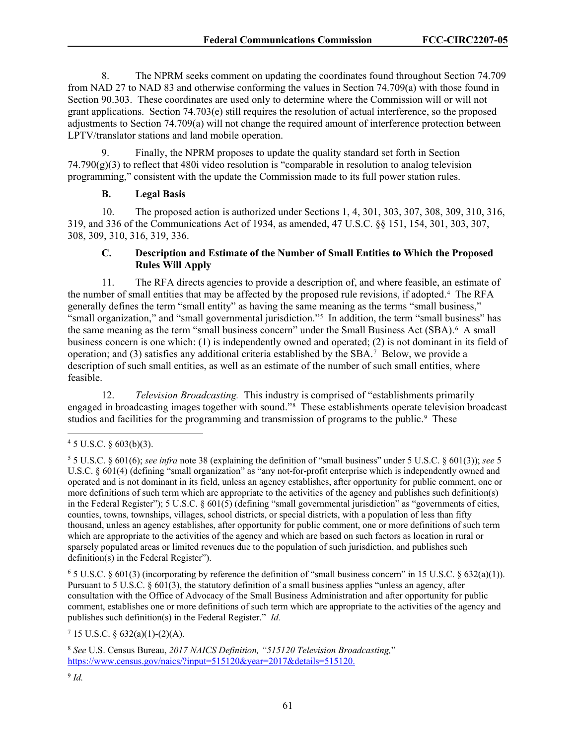8. The NPRM seeks comment on updating the coordinates found throughout Section 74.709 from NAD 27 to NAD 83 and otherwise conforming the values in Section 74.709(a) with those found in Section 90.303. These coordinates are used only to determine where the Commission will or will not grant applications. Section 74.703(e) still requires the resolution of actual interference, so the proposed adjustments to Section 74.709(a) will not change the required amount of interference protection between LPTV/translator stations and land mobile operation.

Finally, the NPRM proposes to update the quality standard set forth in Section  $74.790(g)(3)$  to reflect that 480i video resolution is "comparable in resolution to analog television programming," consistent with the update the Commission made to its full power station rules.

## **B. Legal Basis**

10. The proposed action is authorized under Sections 1, 4, 301, 303, 307, 308, 309, 310, 316, 319, and 336 of the Communications Act of 1934, as amended, 47 U.S.C. §§ 151, 154, 301, 303, 307, 308, 309, 310, 316, 319, 336.

# **C. Description and Estimate of the Number of Small Entities to Which the Proposed Rules Will Apply**

11. The RFA directs agencies to provide a description of, and where feasible, an estimate of the number of small entities that may be affected by the proposed rule revisions, if adopted.[4](#page-61-0) The RFA generally defines the term "small entity" as having the same meaning as the terms "small business," "small organization," and "small governmental jurisdiction."[5](#page-61-1) In addition, the term "small business" has the same meaning as the term "small business concern" under the Small Business Act (SBA).<sup>[6](#page-61-2)</sup> A small business concern is one which: (1) is independently owned and operated; (2) is not dominant in its field of operation; and  $(3)$  satisfies any additional criteria established by the SBA.<sup>[7](#page-61-3)</sup> Below, we provide a description of such small entities, as well as an estimate of the number of such small entities, where feasible.

12. *Television Broadcasting.* This industry is comprised of "establishments primarily engaged in broadcasting images together with sound."[8](#page-61-4) These establishments operate television broadcast studios and facilities for the programming and transmission of programs to the public.<sup>[9](#page-61-5)</sup> These

<span id="page-61-2"></span> $6$  5 U.S.C. § 601(3) (incorporating by reference the definition of "small business concern" in 15 U.S.C. § 632(a)(1)). Pursuant to 5 U.S.C. § 601(3), the statutory definition of a small business applies "unless an agency, after consultation with the Office of Advocacy of the Small Business Administration and after opportunity for public comment, establishes one or more definitions of such term which are appropriate to the activities of the agency and publishes such definition(s) in the Federal Register." *Id.*

<span id="page-61-3"></span> $7$  15 U.S.C. § 632(a)(1)-(2)(A).

<span id="page-61-0"></span> $45$  U.S.C. § 603(b)(3).

<span id="page-61-1"></span><sup>5</sup> 5 U.S.C. § 601(6); *see infra* note 38 (explaining the definition of "small business" under 5 U.S.C. § 601(3)); *see* 5 U.S.C. § 601(4) (defining "small organization" as "any not-for-profit enterprise which is independently owned and operated and is not dominant in its field, unless an agency establishes, after opportunity for public comment, one or more definitions of such term which are appropriate to the activities of the agency and publishes such definition(s) in the Federal Register"); 5 U.S.C. § 601(5) (defining "small governmental jurisdiction" as "governments of cities, counties, towns, townships, villages, school districts, or special districts, with a population of less than fifty thousand, unless an agency establishes, after opportunity for public comment, one or more definitions of such term which are appropriate to the activities of the agency and which are based on such factors as location in rural or sparsely populated areas or limited revenues due to the population of such jurisdiction, and publishes such definition(s) in the Federal Register").

<span id="page-61-5"></span><span id="page-61-4"></span><sup>8</sup> *See* U.S. Census Bureau, *2017 NAICS Definition, "515120 Television Broadcasting,*" [https://www.census.gov/naics/?input=515120&year=2017&details=515120.](https://www.census.gov/naics/?input=515120&year=2017&details=515120)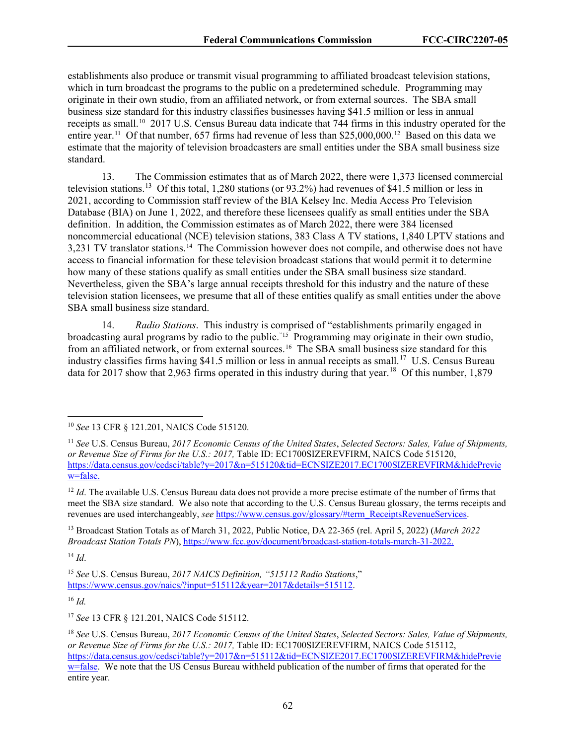establishments also produce or transmit visual programming to affiliated broadcast television stations, which in turn broadcast the programs to the public on a predetermined schedule. Programming may originate in their own studio, from an affiliated network, or from external sources. The SBA small business size standard for this industry classifies businesses having \$41.5 million or less in annual receipts as small.[10](#page-62-0) 2017 U.S. Census Bureau data indicate that 744 firms in this industry operated for the entire year.[11](#page-62-1) Of that number, 657 firms had revenue of less than \$25,000,000.[12](#page-62-2) Based on this data we estimate that the majority of television broadcasters are small entities under the SBA small business size standard.

13. The Commission estimates that as of March 2022, there were 1,373 licensed commercial television stations.[13](#page-62-3) Of this total, 1,280 stations (or 93.2%) had revenues of \$41.5 million or less in 2021, according to Commission staff review of the BIA Kelsey Inc. Media Access Pro Television Database (BIA) on June 1, 2022, and therefore these licensees qualify as small entities under the SBA definition. In addition, the Commission estimates as of March 2022, there were 384 licensed noncommercial educational (NCE) television stations, 383 Class A TV stations, 1,840 LPTV stations and 3,231 TV translator stations.[14](#page-62-4) The Commission however does not compile, and otherwise does not have access to financial information for these television broadcast stations that would permit it to determine how many of these stations qualify as small entities under the SBA small business size standard. Nevertheless, given the SBA's large annual receipts threshold for this industry and the nature of these television station licensees, we presume that all of these entities qualify as small entities under the above SBA small business size standard.

14. *Radio Stations*. This industry is comprised of "establishments primarily engaged in broadcasting aural programs by radio to the public."[15](#page-62-5) Programming may originate in their own studio, from an affiliated network, or from external sources.<sup>[16](#page-62-6)</sup> The SBA small business size standard for this industry classifies firms having \$41.5 million or less in annual receipts as small.<sup>[17](#page-62-7)</sup> U.S. Census Bureau data for 2017 show that 2,963 firms operated in this industry during that year.<sup>[18](#page-62-8)</sup> Of this number, 1,879

<span id="page-62-3"></span><sup>13</sup> Broadcast Station Totals as of March 31, 2022, Public Notice, DA 22-365 (rel. April 5, 2022) (*March 2022 Broadcast Station Totals PN*), https://www.fcc.gov/document/broadcast-station-totals-march-31-2022.

<span id="page-62-4"></span><sup>14</sup> *Id*.

<span id="page-62-6"></span><sup>16</sup> *Id.*

<span id="page-62-7"></span><sup>17</sup> *See* 13 CFR § 121.201, NAICS Code 515112.

<span id="page-62-0"></span><sup>10</sup> *See* 13 CFR § 121.201, NAICS Code 515120.

<span id="page-62-1"></span><sup>11</sup> *See* U.S. Census Bureau, *2017 Economic Census of the United States*, *Selected Sectors: Sales, Value of Shipments, or Revenue Size of Firms for the U.S.: 2017,* Table ID: EC1700SIZEREVFIRM, NAICS Code 515120, https://data.census.gov/cedsci/table?y=2017&n=515120&tid=ECNSIZE2017.EC1700SIZEREVFIRM&hidePrevie w=false.

<span id="page-62-2"></span><sup>&</sup>lt;sup>12</sup> *Id*. The available U.S. Census Bureau data does not provide a more precise estimate of the number of firms that meet the SBA size standard. We also note that according to the U.S. Census Bureau glossary, the terms receipts and revenues are used interchangeably, *see* https://www.census.gov/glossary/#term\_ReceiptsRevenueServices.

<span id="page-62-5"></span><sup>15</sup> *See* U.S. Census Bureau, *2017 NAICS Definition, "515112 Radio Stations*," https://www.census.gov/naics/?input=515112&year=2017&details=515112.

<span id="page-62-8"></span><sup>18</sup> *See* U.S. Census Bureau, *2017 Economic Census of the United States*, *Selected Sectors: Sales, Value of Shipments, or Revenue Size of Firms for the U.S.: 2017,* Table ID: EC1700SIZEREVFIRM, NAICS Code 515112, https://data.census.gov/cedsci/table?y=2017&n=515112&tid=ECNSIZE2017.EC1700SIZEREVFIRM&hidePrevie w=false. We note that the US Census Bureau withheld publication of the number of firms that operated for the entire year.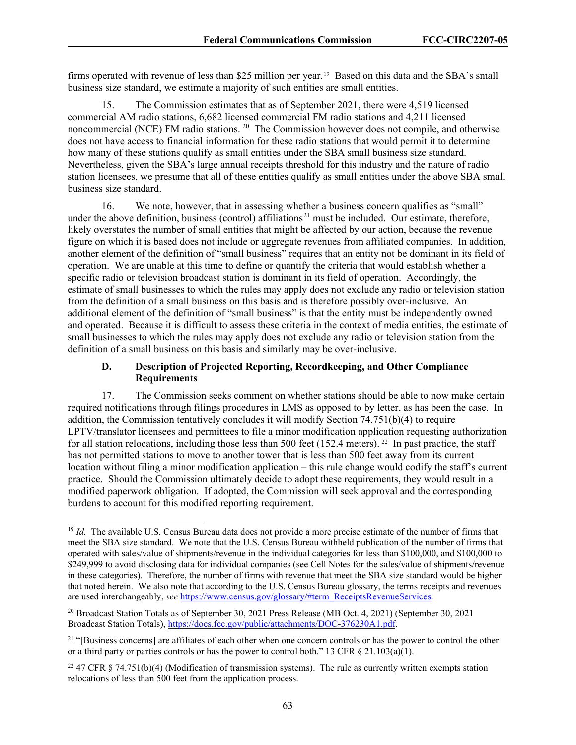firms operated with revenue of less than \$25 million per year. [19](#page-63-0) Based on this data and the SBA's small business size standard, we estimate a majority of such entities are small entities.

15. The Commission estimates that as of September 2021, there were 4,519 licensed commercial AM radio stations, 6,682 licensed commercial FM radio stations and 4,211 licensed noncommercial (NCE) FM radio stations. <sup>20</sup> The Commission however does not compile, and otherwise does not have access to financial information for these radio stations that would permit it to determine how many of these stations qualify as small entities under the SBA small business size standard. Nevertheless, given the SBA's large annual receipts threshold for this industry and the nature of radio station licensees, we presume that all of these entities qualify as small entities under the above SBA small business size standard.

16. We note, however, that in assessing whether a business concern qualifies as "small" under the above definition, business (control) affiliations<sup>[21](#page-63-2)</sup> must be included. Our estimate, therefore, likely overstates the number of small entities that might be affected by our action, because the revenue figure on which it is based does not include or aggregate revenues from affiliated companies. In addition, another element of the definition of "small business" requires that an entity not be dominant in its field of operation. We are unable at this time to define or quantify the criteria that would establish whether a specific radio or television broadcast station is dominant in its field of operation. Accordingly, the estimate of small businesses to which the rules may apply does not exclude any radio or television station from the definition of a small business on this basis and is therefore possibly over-inclusive. An additional element of the definition of "small business" is that the entity must be independently owned and operated. Because it is difficult to assess these criteria in the context of media entities, the estimate of small businesses to which the rules may apply does not exclude any radio or television station from the definition of a small business on this basis and similarly may be over-inclusive.

## **D. Description of Projected Reporting, Recordkeeping, and Other Compliance Requirements**

17. The Commission seeks comment on whether stations should be able to now make certain required notifications through filings procedures in LMS as opposed to by letter, as has been the case. In addition, the Commission tentatively concludes it will modify Section 74.751(b)(4) to require LPTV/translator licensees and permittees to file a minor modification application requesting authorization for all station relocations, including those less than 500 feet (152.4 meters). <sup>[22](#page-63-3)</sup> In past practice, the staff has not permitted stations to move to another tower that is less than 500 feet away from its current location without filing a minor modification application – this rule change would codify the staff's current practice. Should the Commission ultimately decide to adopt these requirements, they would result in a modified paperwork obligation. If adopted, the Commission will seek approval and the corresponding burdens to account for this modified reporting requirement.

<span id="page-63-0"></span><sup>&</sup>lt;sup>19</sup> *Id.* The available U.S. Census Bureau data does not provide a more precise estimate of the number of firms that meet the SBA size standard. We note that the U.S. Census Bureau withheld publication of the number of firms that operated with sales/value of shipments/revenue in the individual categories for less than \$100,000, and \$100,000 to \$249,999 to avoid disclosing data for individual companies (see Cell Notes for the sales/value of shipments/revenue in these categories). Therefore, the number of firms with revenue that meet the SBA size standard would be higher that noted herein. We also note that according to the U.S. Census Bureau glossary, the terms receipts and revenues are used interchangeably, *see* https://www.census.gov/glossary/#term\_ReceiptsRevenueServices.

<span id="page-63-1"></span><sup>20</sup> Broadcast Station Totals as of September 30, 2021 Press Release (MB Oct. 4, 2021) (September 30, 2021 Broadcast Station Totals), https://docs.fcc.gov/public/attachments/DOC-376230A1.pdf.

<span id="page-63-2"></span> $21$  "[Business concerns] are affiliates of each other when one concern controls or has the power to control the other or a third party or parties controls or has the power to control both." 13 CFR § 21.103(a)(1).

<span id="page-63-3"></span><sup>&</sup>lt;sup>22</sup> 47 CFR § 74.751(b)(4) (Modification of transmission systems). The rule as currently written exempts station relocations of less than 500 feet from the application process.